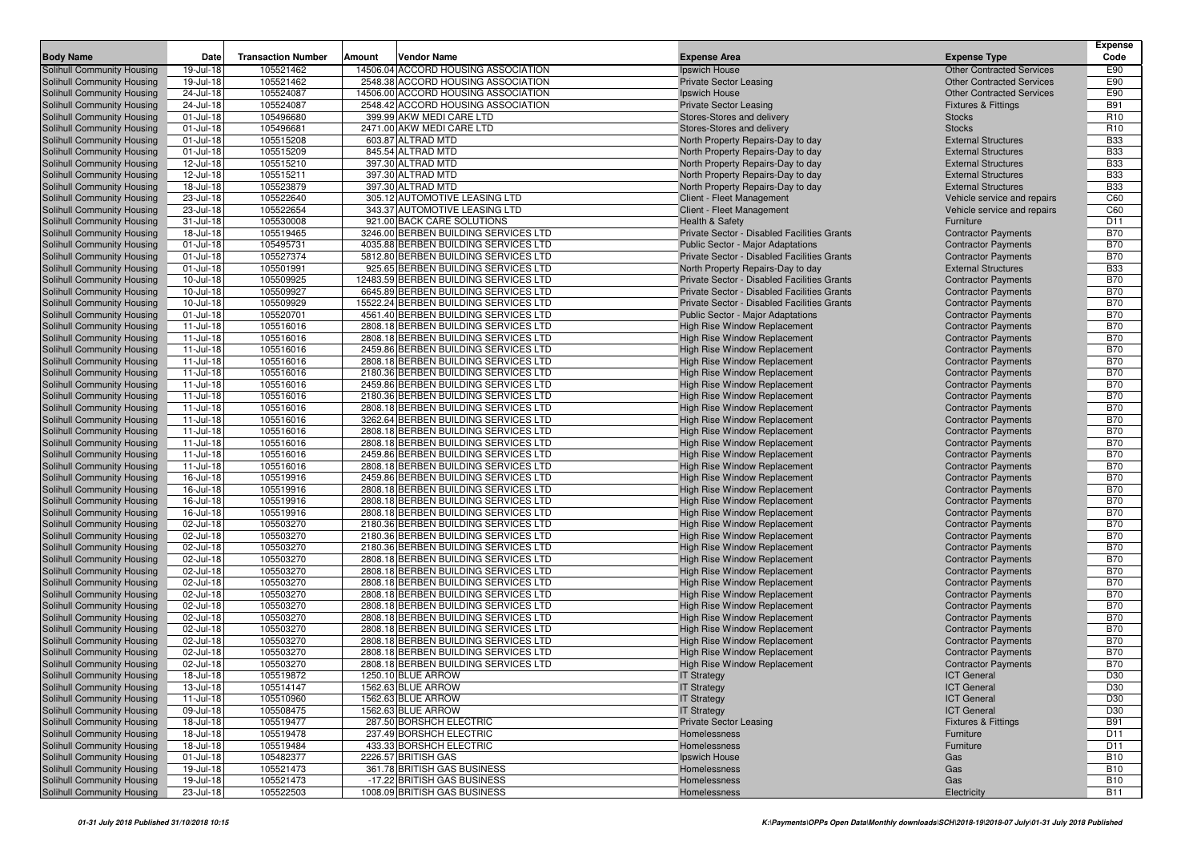|                                                          |                              |                           |        |                                                                              |                                                                        |                                                          | <b>Expense</b>           |
|----------------------------------------------------------|------------------------------|---------------------------|--------|------------------------------------------------------------------------------|------------------------------------------------------------------------|----------------------------------------------------------|--------------------------|
| <b>Body Name</b>                                         | Date                         | <b>Transaction Number</b> | Amount | <b>Vendor Name</b>                                                           | <b>Expense Area</b>                                                    | <b>Expense Type</b>                                      | Code                     |
| <b>Solihull Community Housing</b>                        | 19-Jul-18                    | 105521462                 |        | 14506.04 ACCORD HOUSING ASSOCIATION                                          | Ipswich House                                                          | <b>Other Contracted Services</b>                         | E90                      |
| Solihull Community Housing                               | 19-Jul-18                    | 105521462                 |        | 2548.38 ACCORD HOUSING ASSOCIATION                                           | <b>Private Sector Leasing</b>                                          | <b>Other Contracted Services</b>                         | E90                      |
| Solihull Community Housing                               | 24-Jul-18                    | 105524087                 |        | 14506.00 ACCORD HOUSING ASSOCIATION                                          | Ipswich House                                                          | <b>Other Contracted Services</b>                         | E90                      |
| Solihull Community Housing                               | 24-Jul-18                    | 105524087                 |        | 2548.42 ACCORD HOUSING ASSOCIATION                                           | <b>Private Sector Leasing</b>                                          | <b>Fixtures &amp; Fittings</b>                           | <b>B91</b>               |
| Solihull Community Housing                               | 01-Jul-18                    | 105496680                 |        | 399.99 AKW MEDI CARE LTD                                                     | Stores-Stores and delivery                                             | <b>Stocks</b>                                            | R <sub>10</sub>          |
| Solihull Community Housing                               | 01-Jul-18                    | 105496681                 |        | 2471.00 AKW MEDI CARE LTD                                                    | Stores-Stores and delivery                                             | <b>Stocks</b>                                            | R <sub>10</sub>          |
| Solihull Community Housing                               | 01-Jul-18                    | 105515208                 |        | 603.87 ALTRAD MTD                                                            | North Property Repairs-Day to day                                      | <b>External Structures</b>                               | <b>B33</b>               |
| Solihull Community Housing                               | 01-Jul-18                    | 105515209                 |        | 845.54 ALTRAD MTD                                                            | North Property Repairs-Day to day                                      | <b>External Structures</b>                               | <b>B33</b>               |
| Solihull Community Housing                               | 12-Jul-18<br>12-Jul-18       | 105515210<br>105515211    |        | 397.30 ALTRAD MTD<br>397.30 ALTRAD MTD                                       | North Property Repairs-Day to day                                      | <b>External Structures</b><br><b>External Structures</b> | <b>B33</b><br><b>B33</b> |
| Solihull Community Housing<br>Solihull Community Housing | 18-Jul-18                    | 105523879                 |        | 397.30 ALTRAD MTD                                                            | North Property Repairs-Day to day<br>North Property Repairs-Day to day | <b>External Structures</b>                               | <b>B33</b>               |
| Solihull Community Housing                               | 23-Jul-18                    | 105522640                 |        | 305.12 AUTOMOTIVE LEASING LTD                                                | Client - Fleet Management                                              | Vehicle service and repairs                              | C60                      |
| Solihull Community Housing                               | 23-Jul-18                    | 105522654                 |        | 343.37 AUTOMOTIVE LEASING LTD                                                | Client - Fleet Management                                              | Vehicle service and repairs                              | C60                      |
| Solihull Community Housing                               | 31-Jul-18                    | 105530008                 |        | 921.00 BACK CARE SOLUTIONS                                                   | <b>Health &amp; Safety</b>                                             | Furniture                                                | D <sub>11</sub>          |
| Solihull Community Housing                               | 18-Jul-18                    | 105519465                 |        | 3246.00 BERBEN BUILDING SERVICES LTD                                         | Private Sector - Disabled Facilities Grants                            | <b>Contractor Payments</b>                               | <b>B70</b>               |
| Solihull Community Housing                               | 01-Jul-18                    | 105495731                 |        | 4035.88 BERBEN BUILDING SERVICES LTD                                         | Public Sector - Major Adaptations                                      | <b>Contractor Payments</b>                               | <b>B70</b>               |
| Solihull Community Housing                               | 01-Jul-18                    | 105527374                 |        | 5812.80 BERBEN BUILDING SERVICES LTD                                         | Private Sector - Disabled Facilities Grants                            | <b>Contractor Payments</b>                               | <b>B70</b>               |
| Solihull Community Housing                               | 01-Jul-18                    | 105501991                 |        | 925.65 BERBEN BUILDING SERVICES LTD                                          | North Property Repairs-Day to day                                      | <b>External Structures</b>                               | <b>B33</b>               |
| Solihull Community Housing                               | 10-Jul-18                    | 105509925                 |        | 12483.59 BERBEN BUILDING SERVICES LTD                                        | Private Sector - Disabled Facilities Grants                            | <b>Contractor Payments</b>                               | <b>B70</b>               |
| Solihull Community Housing                               | 10-Jul-18                    | 105509927                 |        | 6645.89 BERBEN BUILDING SERVICES LTD                                         | Private Sector - Disabled Facilities Grants                            | <b>Contractor Payments</b>                               | <b>B70</b>               |
| Solihull Community Housing                               | 10-Jul-18                    | 105509929                 |        | 15522.24 BERBEN BUILDING SERVICES LTD                                        | Private Sector - Disabled Facilities Grants                            | <b>Contractor Payments</b>                               | <b>B70</b>               |
| Solihull Community Housing                               | $01 -$ Jul-18                | 105520701                 |        | 4561.40 BERBEN BUILDING SERVICES LTD                                         | <b>Public Sector - Major Adaptations</b>                               | <b>Contractor Payments</b>                               | <b>B70</b>               |
| Solihull Community Housing                               | $11 -$ Jul-18                | 105516016                 |        | 2808.18 BERBEN BUILDING SERVICES LTD                                         | <b>High Rise Window Replacement</b>                                    | <b>Contractor Payments</b>                               | <b>B70</b>               |
| Solihull Community Housing                               | $11 -$ Jul-18                | 105516016                 |        | 2808.18 BERBEN BUILDING SERVICES LTD                                         | <b>High Rise Window Replacement</b>                                    | <b>Contractor Payments</b>                               | <b>B70</b>               |
| Solihull Community Housing                               | $11 -$ Jul-18                | 105516016                 |        | 2459.86 BERBEN BUILDING SERVICES LTD                                         | High Rise Window Replacement                                           | <b>Contractor Payments</b>                               | <b>B70</b>               |
| Solihull Community Housing                               | $11$ -Jul-18                 | 105516016                 |        | 2808.18 BERBEN BUILDING SERVICES LTD                                         | High Rise Window Replacement                                           | <b>Contractor Payments</b>                               | <b>B70</b>               |
| Solihull Community Housing                               | $11 -$ Jul-18                | 105516016                 |        | 2180.36 BERBEN BUILDING SERVICES LTD                                         | High Rise Window Replacement                                           | <b>Contractor Payments</b>                               | <b>B70</b>               |
| Solihull Community Housing                               | $11 -$ Jul-18                | 105516016                 |        | 2459.86 BERBEN BUILDING SERVICES LTD                                         | High Rise Window Replacement                                           | <b>Contractor Payments</b>                               | <b>B70</b>               |
| Solihull Community Housing                               | 11-Jul-18                    | 105516016                 |        | 2180.36 BERBEN BUILDING SERVICES LTD                                         | <b>High Rise Window Replacement</b>                                    | <b>Contractor Payments</b>                               | <b>B70</b>               |
| Solihull Community Housing                               | $11$ -Jul-18                 | 105516016                 |        | 2808.18 BERBEN BUILDING SERVICES LTD                                         | <b>High Rise Window Replacement</b>                                    | <b>Contractor Payments</b>                               | <b>B70</b>               |
| Solihull Community Housing<br>Solihull Community Housing | 11-Jul-18                    | 105516016                 |        | 3262.64 BERBEN BUILDING SERVICES LTD                                         | <b>High Rise Window Replacement</b>                                    | <b>Contractor Payments</b>                               | <b>B70</b><br><b>B70</b> |
| Solihull Community Housing                               | $11$ -Jul-18<br>$11$ -Jul-18 | 105516016<br>105516016    |        | 2808.18 BERBEN BUILDING SERVICES LTD<br>2808.18 BERBEN BUILDING SERVICES LTD | High Rise Window Replacement<br><b>High Rise Window Replacement</b>    | <b>Contractor Payments</b><br><b>Contractor Payments</b> | <b>B70</b>               |
| Solihull Community Housing                               | $11$ -Jul-18                 | 105516016                 |        | 2459.86 BERBEN BUILDING SERVICES LTD                                         | High Rise Window Replacement                                           | <b>Contractor Payments</b>                               | <b>B70</b>               |
| Solihull Community Housing                               | $11$ -Jul-18                 | 105516016                 |        | 2808.18 BERBEN BUILDING SERVICES LTD                                         | High Rise Window Replacement                                           | <b>Contractor Payments</b>                               | <b>B70</b>               |
| Solihull Community Housing                               | 16-Jul-18                    | 105519916                 |        | 2459.86 BERBEN BUILDING SERVICES LTD                                         | High Rise Window Replacement                                           | <b>Contractor Payments</b>                               | <b>B70</b>               |
| Solihull Community Housing                               | 16-Jul-18                    | 105519916                 |        | 2808.18 BERBEN BUILDING SERVICES LTD                                         | High Rise Window Replacement                                           | <b>Contractor Payments</b>                               | <b>B70</b>               |
| Solihull Community Housing                               | 16-Jul-18                    | 105519916                 |        | 2808.18 BERBEN BUILDING SERVICES LTD                                         | High Rise Window Replacement                                           | <b>Contractor Payments</b>                               | <b>B70</b>               |
| Solihull Community Housing                               | 16-Jul-18                    | 105519916                 |        | 2808.18 BERBEN BUILDING SERVICES LTD                                         | High Rise Window Replacement                                           | <b>Contractor Payments</b>                               | <b>B70</b>               |
| Solihull Community Housing                               | 02-Jul-18                    | 105503270                 |        | 2180.36 BERBEN BUILDING SERVICES LTD                                         | High Rise Window Replacement                                           | <b>Contractor Payments</b>                               | <b>B70</b>               |
| Solihull Community Housing                               | 02-Jul-18                    | 105503270                 |        | 2180.36 BERBEN BUILDING SERVICES LTD                                         | High Rise Window Replacement                                           | <b>Contractor Payments</b>                               | <b>B70</b>               |
| Solihull Community Housing                               | 02-Jul-18                    | 105503270                 |        | 2180.36 BERBEN BUILDING SERVICES LTD                                         | High Rise Window Replacement                                           | <b>Contractor Payments</b>                               | <b>B70</b>               |
| Solihull Community Housing                               | 02-Jul-18                    | 105503270                 |        | 2808.18 BERBEN BUILDING SERVICES LTD                                         | High Rise Window Replacement                                           | <b>Contractor Payments</b>                               | <b>B70</b>               |
| Solihull Community Housing                               | 02-Jul-18                    | 105503270                 |        | 2808.18 BERBEN BUILDING SERVICES LTD                                         | High Rise Window Replacement                                           | <b>Contractor Payments</b>                               | <b>B70</b>               |
| Solihull Community Housing                               | 02-Jul-18                    | 105503270                 |        | 2808.18 BERBEN BUILDING SERVICES LTD                                         | High Rise Window Replacement                                           | <b>Contractor Payments</b>                               | <b>B70</b>               |
| Solihull Community Housing                               | 02-Jul-18                    | 105503270                 |        | 2808.18 BERBEN BUILDING SERVICES LTD                                         | High Rise Window Replacement                                           | <b>Contractor Payments</b>                               | <b>B70</b>               |
| Solihull Community Housing                               | 02-Jul-18                    | 105503270                 |        | 2808.18 BERBEN BUILDING SERVICES LTD                                         | High Rise Window Replacement                                           | <b>Contractor Payments</b>                               | <b>B70</b>               |
| Solihull Community Housing                               | 02-Jul-18                    | 105503270                 |        | 2808.18 BERBEN BUILDING SERVICES LTD                                         | High Rise Window Replacement                                           | <b>Contractor Payments</b>                               | <b>B70</b>               |
| Solihull Community Housing                               | 02-Jul-18                    | 105503270                 |        | 2808.18 BERBEN BUILDING SERVICES LTD                                         | High Rise Window Replacement                                           | <b>Contractor Payments</b>                               | <b>B70</b>               |
| Solihull Community Housing                               | 02-Jul-18                    | 105503270                 |        | 2808.18 BERBEN BUILDING SERVICES LTD                                         | High Rise Window Replacement                                           | <b>Contractor Payments</b><br><b>Contractor Payments</b> | <b>B70</b><br><b>B70</b> |
| Solihull Community Housing<br>Solihull Community Housing | 02-Jul-18<br>02-Jul-18       | 105503270<br>105503270    |        | 2808.18 BERBEN BUILDING SERVICES LTD<br>2808.18 BERBEN BUILDING SERVICES LTD | High Rise Window Replacement<br>High Rise Window Replacement           | <b>Contractor Payments</b>                               | <b>B70</b>               |
| Solihull Community Housing                               | 18-Jul-18                    | 105519872                 |        | 1250.10 BLUE ARROW                                                           | <b>IT Strategy</b>                                                     | <b>ICT General</b>                                       | D30                      |
| Solihull Community Housing                               | 13-Jul-18                    | 105514147                 |        | 1562.63 BLUE ARROW                                                           | <b>IT Strategy</b>                                                     | <b>ICT General</b>                                       | D30                      |
| Solihull Community Housing                               | $11$ -Jul-18                 | 105510960                 |        | 1562.63 BLUE ARROW                                                           | <b>IT Strategy</b>                                                     | <b>ICT General</b>                                       | D30                      |
| Solihull Community Housing                               | 09-Jul-18                    | 105508475                 |        | 1562.63 BLUE ARROW                                                           | <b>IT Strategy</b>                                                     | <b>ICT</b> General                                       | D30                      |
| Solihull Community Housing                               | 18-Jul-18                    | 105519477                 |        | 287.50 BORSHCH ELECTRIC                                                      | <b>Private Sector Leasing</b>                                          | <b>Fixtures &amp; Fittings</b>                           | <b>B91</b>               |
| Solihull Community Housing                               | 18-Jul-18                    | 105519478                 |        | 237.49 BORSHCH ELECTRIC                                                      | Homelessness                                                           | Furniture                                                | D <sub>11</sub>          |
| Solihull Community Housing                               | 18-Jul-18                    | 105519484                 |        | 433.33 BORSHCH ELECTRIC                                                      | Homelessness                                                           | Furniture                                                | D11                      |
| Solihull Community Housing                               | $01$ -Jul-18                 | 105482377                 |        | 2226.57 BRITISH GAS                                                          | Ipswich House                                                          | Gas                                                      | <b>B10</b>               |
| Solihull Community Housing                               | 19-Jul-18                    | 105521473                 |        | 361.78 BRITISH GAS BUSINESS                                                  | Homelessness                                                           | Gas                                                      | <b>B10</b>               |
| Solihull Community Housing                               | 19-Jul-18                    | 105521473                 |        | -17.22 BRITISH GAS BUSINESS                                                  | Homelessness                                                           | Gas                                                      | <b>B10</b>               |
| Solihull Community Housing                               | 23-Jul-18                    | 105522503                 |        | 1008.09 BRITISH GAS BUSINESS                                                 | Homelessness                                                           | Electricity                                              | <b>B11</b>               |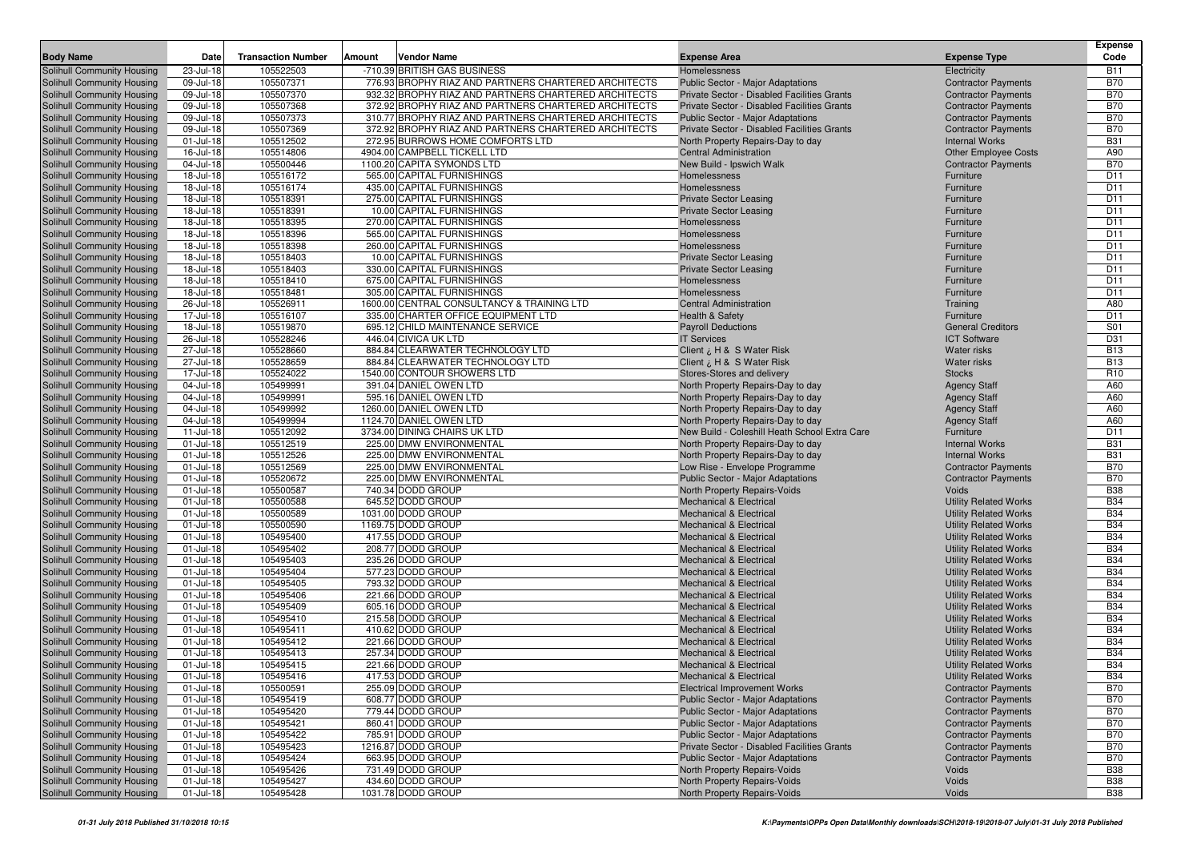|                                                          |                        |                           |        |                                                                                                              |                                                                                            |                                                              | <b>Expense</b>                     |
|----------------------------------------------------------|------------------------|---------------------------|--------|--------------------------------------------------------------------------------------------------------------|--------------------------------------------------------------------------------------------|--------------------------------------------------------------|------------------------------------|
| <b>Body Name</b>                                         | Date                   | <b>Transaction Number</b> | Amount | Vendor Name                                                                                                  | <b>Expense Area</b>                                                                        | <b>Expense Type</b>                                          | Code                               |
| Solihull Community Housing                               | 23-Jul-18              | 105522503                 |        | -710.39 BRITISH GAS BUSINESS                                                                                 | Homelessness                                                                               | Electricity                                                  | <b>B11</b>                         |
| Solihull Community Housing                               | 09-Jul-18              | 105507371                 |        | 776.93 BROPHY RIAZ AND PARTNERS CHARTERED ARCHITECTS                                                         | Public Sector - Major Adaptations                                                          | <b>Contractor Payments</b>                                   | <b>B70</b>                         |
| Solihull Community Housing<br>Solihull Community Housing | 09-Jul-18<br>09-Jul-18 | 105507370<br>105507368    |        | 932.32 BROPHY RIAZ AND PARTNERS CHARTERED ARCHITECTS<br>372.92 BROPHY RIAZ AND PARTNERS CHARTERED ARCHITECTS | Private Sector - Disabled Facilities Grants<br>Private Sector - Disabled Facilities Grants | <b>Contractor Payments</b><br><b>Contractor Payments</b>     | <b>B70</b><br><b>B70</b>           |
| Solihull Community Housing                               | 09-Jul-18              | 105507373                 |        | 310.77 BROPHY RIAZ AND PARTNERS CHARTERED ARCHITECTS                                                         | Public Sector - Major Adaptations                                                          | <b>Contractor Payments</b>                                   | <b>B70</b>                         |
| Solihull Community Housing                               | 09-Jul-18              | 105507369                 |        | 372.92 BROPHY RIAZ AND PARTNERS CHARTERED ARCHITECTS                                                         | Private Sector - Disabled Facilities Grants                                                | <b>Contractor Payments</b>                                   | <b>B70</b>                         |
| Solihull Community Housing                               | 01-Jul-18              | 105512502                 |        | 272.95 BURROWS HOME COMFORTS LTD                                                                             | North Property Repairs-Day to day                                                          | <b>Internal Works</b>                                        | <b>B31</b>                         |
| Solihull Community Housing                               | 16-Jul-18              | 105514806                 |        | 4904.00 CAMPBELL TICKELL LTD                                                                                 | <b>Central Administration</b>                                                              | Other Employee Costs                                         | A90                                |
| Solihull Community Housing                               | 04-Jul-18              | 105500446                 |        | 1100.20 CAPITA SYMONDS LTD                                                                                   | New Build - Ipswich Walk                                                                   | <b>Contractor Payments</b>                                   | <b>B70</b>                         |
| Solihull Community Housing                               | 18-Jul-18              | 105516172                 |        | 565.00 CAPITAL FURNISHINGS                                                                                   | Homelessness                                                                               | Furniture                                                    | D <sub>11</sub>                    |
| Solihull Community Housing                               | 18-Jul-18              | 105516174                 |        | 435.00 CAPITAL FURNISHINGS                                                                                   | Homelessness                                                                               | Furniture                                                    | D <sub>11</sub>                    |
| Solihull Community Housing                               | 18-Jul-18              | 105518391                 |        | 275.00 CAPITAL FURNISHINGS                                                                                   | <b>Private Sector Leasing</b>                                                              | Furniture                                                    | D <sub>11</sub>                    |
| Solihull Community Housing                               | 18-Jul-18              | 105518391                 |        | 10.00 CAPITAL FURNISHINGS                                                                                    | <b>Private Sector Leasing</b>                                                              | Furniture                                                    | D <sub>11</sub>                    |
| Solihull Community Housing                               | 18-Jul-18              | 105518395                 |        | 270.00 CAPITAL FURNISHINGS                                                                                   | Homelessness                                                                               | Furniture                                                    | D <sub>11</sub>                    |
| Solihull Community Housing                               | 18-Jul-18              | 105518396                 |        | 565.00 CAPITAL FURNISHINGS                                                                                   | Homelessness                                                                               | Furniture                                                    | D <sub>11</sub>                    |
| Solihull Community Housing                               | 18-Jul-18              | 105518398                 |        | 260.00 CAPITAL FURNISHINGS                                                                                   | Homelessness                                                                               | Furniture                                                    | D <sub>11</sub>                    |
| Solihull Community Housing                               | 18-Jul-18              | 105518403                 |        | 10.00 CAPITAL FURNISHINGS                                                                                    | <b>Private Sector Leasing</b>                                                              | Furniture                                                    | D <sub>11</sub>                    |
| Solihull Community Housing                               | 18-Jul-18              | 105518403                 |        | 330.00 CAPITAL FURNISHINGS                                                                                   | <b>Private Sector Leasing</b>                                                              | Furniture                                                    | D <sub>11</sub>                    |
| Solihull Community Housing                               | 18-Jul-18              | 105518410                 |        | 675.00 CAPITAL FURNISHINGS<br>305.00 CAPITAL FURNISHINGS                                                     | Homelessness                                                                               | Furniture                                                    | D <sub>11</sub><br>D <sub>11</sub> |
| Solihull Community Housing<br>Solihull Community Housing | 18-Jul-18<br>26-Jul-18 | 105518481<br>105526911    |        | 1600.00 CENTRAL CONSULTANCY & TRAINING LTD                                                                   | Homelessness<br><b>Central Administration</b>                                              | Furniture<br>Training                                        | A80                                |
| Solihull Community Housing                               | 17-Jul-18              | 105516107                 |        | 335.00 CHARTER OFFICE EQUIPMENT LTD                                                                          | <b>Health &amp; Safety</b>                                                                 | Furniture                                                    | D <sub>11</sub>                    |
| Solihull Community Housing                               | 18-Jul-18              | 105519870                 |        | 695.12 CHILD MAINTENANCE SERVICE                                                                             | <b>Payroll Deductions</b>                                                                  | <b>General Creditors</b>                                     | S01                                |
| Solihull Community Housing                               | 26-Jul-18              | 105528246                 |        | 446.04 CIVICA UK LTD                                                                                         | <b>IT Services</b>                                                                         | <b>ICT Software</b>                                          | D31                                |
| Solihull Community Housing                               | 27-Jul-18              | 105528660                 |        | 884.84 CLEARWATER TECHNOLOGY LTD                                                                             | Client ¿ H & S Water Risk                                                                  | <b>Water risks</b>                                           | <b>B13</b>                         |
| Solihull Community Housing                               | 27-Jul-18              | 105528659                 |        | 884.84 CLEARWATER TECHNOLOGY LTD                                                                             | Client ¿ H & S Water Risk                                                                  | <b>Water risks</b>                                           | <b>B13</b>                         |
| Solihull Community Housing                               | 17-Jul-18              | 105524022                 |        | 1540.00 CONTOUR SHOWERS LTD                                                                                  | Stores-Stores and delivery                                                                 | <b>Stocks</b>                                                | R <sub>10</sub>                    |
| Solihull Community Housing                               | 04-Jul-18              | 105499991                 |        | 391.04 DANIEL OWEN LTD                                                                                       | North Property Repairs-Day to day                                                          | <b>Agency Staff</b>                                          | A60                                |
| Solihull Community Housing                               | 04-Jul-18              | 105499991                 |        | 595.16 DANIEL OWEN LTD                                                                                       | North Property Repairs-Day to day                                                          | <b>Agency Staff</b>                                          | A60                                |
| Solihull Community Housing                               | 04-Jul-18              | 105499992                 |        | 1260.00 DANIEL OWEN LTD                                                                                      | North Property Repairs-Day to day                                                          | <b>Agency Staff</b>                                          | A60                                |
| Solihull Community Housing                               | 04-Jul-18              | 105499994                 |        | 1124.70 DANIEL OWEN LTD                                                                                      | North Property Repairs-Day to day                                                          | <b>Agency Staff</b>                                          | A60                                |
| Solihull Community Housing                               | $11$ -Jul-18           | 105512092                 |        | 3734.00 DINING CHAIRS UK LTD                                                                                 | New Build - Coleshill Heath School Extra Care                                              | Furniture                                                    | D <sub>11</sub>                    |
| Solihull Community Housing                               | 01-Jul-18              | 105512519                 |        | 225.00 DMW ENVIRONMENTAL                                                                                     | North Property Repairs-Day to day                                                          | <b>Internal Works</b>                                        | <b>B31</b>                         |
| Solihull Community Housing                               | 01-Jul-18              | 105512526                 |        | 225.00 DMW ENVIRONMENTAL                                                                                     | North Property Repairs-Day to day                                                          | <b>Internal Works</b>                                        | <b>B31</b>                         |
| Solihull Community Housing                               | 01-Jul-18<br>01-Jul-18 | 105512569<br>105520672    |        | 225.00 DMW ENVIRONMENTAL<br>225.00 DMW ENVIRONMENTAL                                                         | Low Rise - Envelope Programme                                                              | <b>Contractor Payments</b>                                   | <b>B70</b><br><b>B70</b>           |
| Solihull Community Housing<br>Solihull Community Housing | 01-Jul-18              | 105500587                 |        | 740.34 DODD GROUP                                                                                            | Public Sector - Major Adaptations<br>North Property Repairs-Voids                          | <b>Contractor Payments</b><br>Voids                          | <b>B38</b>                         |
| Solihull Community Housing                               | 01-Jul-18              | 105500588                 |        | 645.52 DODD GROUP                                                                                            | <b>Mechanical &amp; Electrical</b>                                                         | <b>Utility Related Works</b>                                 | <b>B34</b>                         |
| Solihull Community Housing                               | 01-Jul-18              | 105500589                 |        | 1031.00 DODD GROUP                                                                                           | <b>Mechanical &amp; Electrical</b>                                                         | <b>Utility Related Works</b>                                 | <b>B34</b>                         |
| Solihull Community Housing                               | 01-Jul-18              | 105500590                 |        | 1169.75 DODD GROUP                                                                                           | <b>Mechanical &amp; Electrical</b>                                                         | <b>Utility Related Works</b>                                 | <b>B34</b>                         |
| Solihull Community Housing                               | 01-Jul-18              | 105495400                 |        | 417.55 DODD GROUP                                                                                            | <b>Mechanical &amp; Electrical</b>                                                         | <b>Utility Related Works</b>                                 | <b>B34</b>                         |
| Solihull Community Housing                               | 01-Jul-18              | 105495402                 |        | 208.77 DODD GROUP                                                                                            | <b>Mechanical &amp; Electrical</b>                                                         | <b>Utility Related Works</b>                                 | <b>B34</b>                         |
| Solihull Community Housing                               | 01-Jul-18              | 105495403                 |        | 235.26 DODD GROUP                                                                                            | <b>Mechanical &amp; Electrical</b>                                                         | <b>Utility Related Works</b>                                 | <b>B34</b>                         |
| Solihull Community Housing                               | 01-Jul-18              | 105495404                 |        | 577.23 DODD GROUP                                                                                            | <b>Mechanical &amp; Electrical</b>                                                         | <b>Utility Related Works</b>                                 | <b>B34</b>                         |
| Solihull Community Housing                               | 01-Jul-18              | 105495405                 |        | 793.32 DODD GROUP                                                                                            | <b>Mechanical &amp; Electrical</b>                                                         | <b>Utility Related Works</b>                                 | <b>B34</b>                         |
| Solihull Community Housing                               | 01-Jul-18              | 105495406                 |        | 221.66 DODD GROUP                                                                                            | <b>Mechanical &amp; Electrical</b>                                                         | <b>Utility Related Works</b>                                 | <b>B34</b>                         |
| Solihull Community Housing                               | 01-Jul-18              | 105495409                 |        | 605.16 DODD GROUP                                                                                            | <b>Mechanical &amp; Electrical</b>                                                         | <b>Utility Related Works</b>                                 | <b>B34</b>                         |
| Solihull Community Housing                               | 01-Jul-18              | 105495410                 |        | 215.58 DODD GROUP                                                                                            | <b>Mechanical &amp; Electrical</b>                                                         | <b>Utility Related Works</b>                                 | <b>B34</b>                         |
| Solihull Community Housing                               | 01-Jul-18              | 105495411                 |        | 410.62 DODD GROUP                                                                                            | <b>Mechanical &amp; Electrical</b>                                                         | <b>Utility Related Works</b>                                 | <b>B34</b>                         |
| Solihull Community Housing                               | 01-Jul-18<br>01-Jul-18 | 105495412                 |        | 221.66 DODD GROUP<br>257.34 DODD GROUP                                                                       | <b>Mechanical &amp; Electrical</b><br><b>Mechanical &amp; Electrical</b>                   | <b>Utility Related Works</b>                                 | <b>B34</b><br><b>B34</b>           |
| Solihull Community Housing<br>Solihull Community Housing | 01-Jul-18              | 105495413<br>105495415    |        | 221.66 DODD GROUP                                                                                            | <b>Mechanical &amp; Electrical</b>                                                         | <b>Utility Related Works</b><br><b>Utility Related Works</b> | <b>B34</b>                         |
| Solihull Community Housing                               | $01 -$ Jul-18          | 105495416                 |        | 417.53 DODD GROUP                                                                                            | Mechanical & Electrical                                                                    | <b>Utility Related Works</b>                                 | <b>B34</b>                         |
| Solihull Community Housing                               | 01-Jul-18              | 105500591                 |        | 255.09 DODD GROUP                                                                                            | <b>Electrical Improvement Works</b>                                                        | <b>Contractor Payments</b>                                   | <b>B70</b>                         |
| Solihull Community Housing                               | $01$ -Jul-18           | 105495419                 |        | 608.77 DODD GROUP                                                                                            | Public Sector - Major Adaptations                                                          | <b>Contractor Payments</b>                                   | <b>B70</b>                         |
| Solihull Community Housing                               | $01$ -Jul-18           | 105495420                 |        | 779.44 DODD GROUP                                                                                            | Public Sector - Major Adaptations                                                          | <b>Contractor Payments</b>                                   | <b>B70</b>                         |
| Solihull Community Housing                               | $01$ -Jul-18           | 105495421                 |        | 860.41 DODD GROUP                                                                                            | <b>Public Sector - Major Adaptations</b>                                                   | <b>Contractor Payments</b>                                   | <b>B70</b>                         |
| Solihull Community Housing                               | $01$ -Jul-18           | 105495422                 |        | 785.91 DODD GROUP                                                                                            | Public Sector - Major Adaptations                                                          | <b>Contractor Payments</b>                                   | <b>B70</b>                         |
| Solihull Community Housing                               | $01$ -Jul-18           | 105495423                 |        | 1216.87 DODD GROUP                                                                                           | Private Sector - Disabled Facilities Grants                                                | <b>Contractor Payments</b>                                   | <b>B70</b>                         |
| Solihull Community Housing                               | $01 -$ Jul-18          | 105495424                 |        | 663.95 DODD GROUP                                                                                            | <b>Public Sector - Major Adaptations</b>                                                   | <b>Contractor Payments</b>                                   | <b>B70</b>                         |
| Solihull Community Housing                               | $01 -$ Jul-18          | 105495426                 |        | 731.49 DODD GROUP                                                                                            | North Property Repairs-Voids                                                               | Voids                                                        | <b>B38</b>                         |
| Solihull Community Housing                               | 01-Jul-18              | 105495427                 |        | 434.60 DODD GROUP                                                                                            | North Property Repairs-Voids                                                               | Voids                                                        | <b>B38</b>                         |
| Solihull Community Housing                               | 01-Jul-18              | 105495428                 |        | 1031.78 DODD GROUP                                                                                           | North Property Repairs-Voids                                                               | Voids                                                        | <b>B38</b>                         |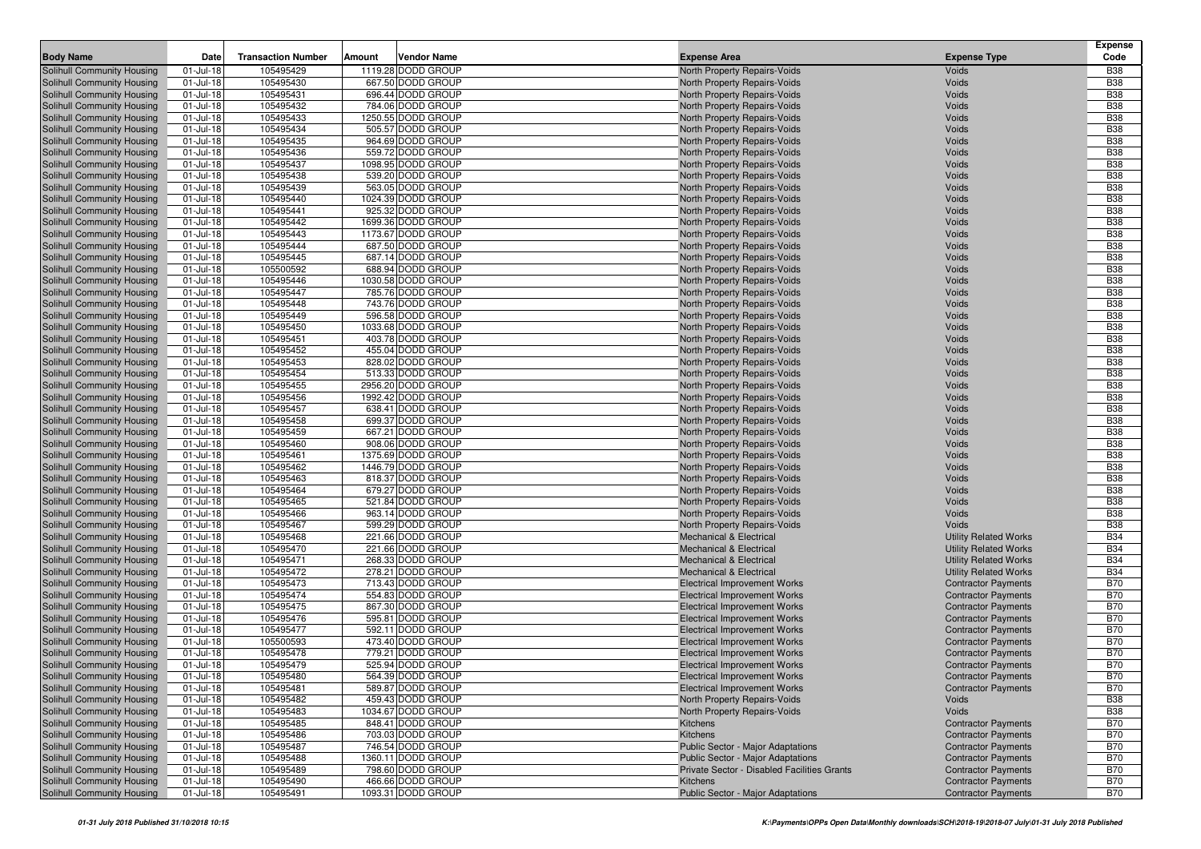| <b>Body Name</b>                                         | Date                      | <b>Transaction Number</b> | <b>Vendor Name</b><br>Amount           | <b>Expense Area</b>                                                        | <b>Expense Type</b>                                      | <b>Expense</b><br>Code   |
|----------------------------------------------------------|---------------------------|---------------------------|----------------------------------------|----------------------------------------------------------------------------|----------------------------------------------------------|--------------------------|
| Solihull Community Housing                               | 01-Jul-18                 | 105495429                 | 1119.28 DODD GROUP                     | North Property Repairs-Voids                                               | Voids                                                    | <b>B38</b>               |
| Solihull Community Housing                               | $01$ -Jul-18              | 105495430                 | 667.50 DODD GROUP                      | North Property Repairs-Voids                                               | Voids                                                    | <b>B38</b>               |
| Solihull Community Housing                               | 01-Jul-18                 | 105495431                 | 696.44 DODD GROUP                      | North Property Repairs-Voids                                               | Voids                                                    | <b>B38</b>               |
| Solihull Community Housing                               | 01-Jul-18                 | 105495432                 | 784.06 DODD GROUP                      | North Property Repairs-Voids                                               | Voids                                                    | <b>B38</b>               |
| Solihull Community Housing                               | $01$ -Jul-18              | 105495433                 | 1250.55 DODD GROUP                     | North Property Repairs-Voids                                               | Voids                                                    | <b>B38</b>               |
| Solihull Community Housing                               | 01-Jul-18                 | 105495434                 | 505.57 DODD GROUP                      | North Property Repairs-Voids                                               | Voids                                                    | <b>B38</b>               |
| Solihull Community Housing                               | 01-Jul-18                 | 105495435                 | 964.69 DODD GROUP                      | North Property Repairs-Voids                                               | Voids                                                    | <b>B38</b>               |
| Solihull Community Housing                               | $01$ -Jul-18              | 105495436                 | 559.72 DODD GROUP                      | North Property Repairs-Voids                                               | Voids                                                    | <b>B38</b>               |
| Solihull Community Housing                               | 01-Jul-18                 | 105495437                 | 1098.95 DODD GROUP                     | North Property Repairs-Voids                                               | Voids                                                    | <b>B38</b>               |
| Solihull Community Housing                               | 01-Jul-18                 | 105495438                 | 539.20 DODD GROUP                      | North Property Repairs-Voids                                               | Voids                                                    | <b>B38</b>               |
| Solihull Community Housing                               | $01$ -Jul-18              | 105495439                 | 563.05 DODD GROUP                      | North Property Repairs-Voids                                               | Voids                                                    | <b>B38</b>               |
| Solihull Community Housing                               | 01-Jul-18                 | 105495440                 | 1024.39 DODD GROUP                     | North Property Repairs-Voids                                               | Voids                                                    | <b>B38</b>               |
| Solihull Community Housing                               | 01-Jul-18                 | 105495441                 | 925.32 DODD GROUP                      | North Property Repairs-Voids                                               | Voids                                                    | <b>B38</b>               |
| Solihull Community Housing                               | 01-Jul-18                 | 105495442                 | 1699.36 DODD GROUP                     | North Property Repairs-Voids                                               | Voids                                                    | <b>B38</b>               |
| Solihull Community Housing                               | 01-Jul-18                 | 105495443                 | 1173.67 DODD GROUP                     | North Property Repairs-Voids                                               | Voids                                                    | <b>B38</b>               |
| Solihull Community Housing                               | 01-Jul-18                 | 105495444                 | 687.50 DODD GROUP                      | North Property Repairs-Voids                                               | Voids                                                    | <b>B38</b>               |
| Solihull Community Housing                               | 01-Jul-18                 | 105495445                 | 687.14 DODD GROUP                      | North Property Repairs-Voids                                               | Voids                                                    | <b>B38</b>               |
| Solihull Community Housing                               | $01$ -Jul-18              | 105500592                 | 688.94 DODD GROUP                      | North Property Repairs-Voids                                               | Voids                                                    | <b>B38</b>               |
| Solihull Community Housing                               | $01$ -Jul-18              | 105495446                 | 1030.58 DODD GROUP                     | North Property Repairs-Voids                                               | Voids                                                    | <b>B38</b>               |
| Solihull Community Housing                               | 01-Jul-18                 | 105495447                 | 785.76 DODD GROUP                      | North Property Repairs-Voids                                               | Voids                                                    | <b>B38</b>               |
| Solihull Community Housing                               | 01-Jul-18                 | 105495448                 | 743.76 DODD GROUP                      | North Property Repairs-Voids                                               | Voids                                                    | <b>B38</b>               |
| Solihull Community Housing                               | 01-Jul-18                 | 105495449                 | 596.58 DODD GROUP                      | <b>North Property Repairs-Voids</b>                                        | Voids                                                    | <b>B38</b>               |
| Solihull Community Housing                               | 01-Jul-18                 | 105495450                 | 1033.68 DODD GROUP                     | North Property Repairs-Voids                                               | Voids                                                    | <b>B38</b>               |
| Solihull Community Housing                               | $01$ -Jul-18              | 105495451                 | 403.78 DODD GROUP                      | North Property Repairs-Voids                                               | Voids                                                    | <b>B38</b>               |
| Solihull Community Housing                               | 01-Jul-18                 | 105495452                 | 455.04 DODD GROUP                      | <b>North Property Repairs-Voids</b>                                        | Voids                                                    | <b>B38</b>               |
| Solihull Community Housing                               | 01-Jul-18                 | 105495453                 | 828.02 DODD GROUP                      | North Property Repairs-Voids                                               | Voids                                                    | <b>B38</b>               |
| Solihull Community Housing                               | $01$ -Jul-18              | 105495454                 | 513.33 DODD GROUP                      | North Property Repairs-Voids                                               | Voids                                                    | <b>B38</b>               |
| Solihull Community Housing                               | 01-Jul-18                 | 105495455                 | 2956.20 DODD GROUP                     | North Property Repairs-Voids                                               | Voids                                                    | <b>B38</b>               |
| Solihull Community Housing                               | 01-Jul-18                 | 105495456                 | 1992.42 DODD GROUP                     | North Property Repairs-Voids                                               | Voids                                                    | <b>B38</b>               |
| Solihull Community Housing                               | $01$ -Jul-18              | 105495457                 | 638.41 DODD GROUP                      | North Property Repairs-Voids                                               | Voids                                                    | <b>B38</b>               |
| Solihull Community Housing                               | 01-Jul-18                 | 105495458                 | 699.37 DODD GROUP                      | North Property Repairs-Voids                                               | Voids                                                    | <b>B38</b>               |
| Solihull Community Housing                               | 01-Jul-18                 | 105495459                 | 667.21 DODD GROUP                      | North Property Repairs-Voids                                               | Voids                                                    | <b>B38</b>               |
| Solihull Community Housing                               | $01$ -Jul-18              | 105495460                 | 908.06 DODD GROUP                      | <b>North Property Repairs-Voids</b>                                        | Voids                                                    | <b>B38</b>               |
| Solihull Community Housing                               | 01-Jul-18                 | 105495461                 | 1375.69 DODD GROUP                     | North Property Repairs-Voids                                               | Voids                                                    | <b>B38</b>               |
| Solihull Community Housing                               | 01-Jul-18                 | 105495462                 | 1446.79 DODD GROUP                     | North Property Repairs-Voids                                               | Voids                                                    | <b>B38</b>               |
| Solihull Community Housing                               | $01$ -Jul-18              | 105495463                 | 818.37 DODD GROUP                      | North Property Repairs-Voids                                               | Voids                                                    | <b>B38</b>               |
| Solihull Community Housing                               | $01$ -Jul-18              | 105495464                 | 679.27 DODD GROUP                      | North Property Repairs-Voids                                               | Voids                                                    | <b>B38</b>               |
| Solihull Community Housing                               | 01-Jul-18                 | 105495465                 | 521.84 DODD GROUP                      | North Property Repairs-Voids                                               | Voids                                                    | <b>B38</b>               |
| Solihull Community Housing                               | 01-Jul-18                 | 105495466                 | 963.14 DODD GROUP                      | North Property Repairs-Voids                                               | Voids                                                    | <b>B38</b>               |
| Solihull Community Housing                               | 01-Jul-18                 | 105495467                 | 599.29 DODD GROUP                      | North Property Repairs-Voids                                               | Voids                                                    | <b>B38</b>               |
| Solihull Community Housing                               | $01$ -Jul-18              | 105495468                 | 221.66 DODD GROUP                      | <b>Mechanical &amp; Electrical</b>                                         | <b>Utility Related Works</b>                             | <b>B34</b>               |
| Solihull Community Housing                               | 01-Jul-18                 | 105495470                 | 221.66 DODD GROUP                      | <b>Mechanical &amp; Electrical</b>                                         | <b>Utility Related Works</b>                             | <b>B34</b>               |
| Solihull Community Housing                               | $01$ -Jul-18              | 105495471                 | 268.33 DODD GROUP                      | <b>Mechanical &amp; Electrical</b>                                         | <b>Utility Related Works</b>                             | <b>B34</b>               |
| Solihull Community Housing                               | $01$ -Jul-18              | 105495472                 | 278.21 DODD GROUP                      | <b>Mechanical &amp; Electrical</b>                                         | <b>Utility Related Works</b>                             | <b>B34</b>               |
| Solihull Community Housing                               | $01$ -Jul-18              | 105495473                 | 713.43 DODD GROUP                      | <b>Electrical Improvement Works</b>                                        | <b>Contractor Payments</b>                               | <b>B70</b>               |
| Solihull Community Housing                               | 01-Jul-18                 | 105495474                 | 554.83 DODD GROUP                      | <b>Electrical Improvement Works</b>                                        | <b>Contractor Payments</b>                               | <b>B70</b>               |
| Solihull Community Housing                               | 01-Jul-18<br>$01$ -Jul-18 | 105495475<br>105495476    | 867.30 DODD GROUP<br>595.81 DODD GROUP | <b>Electrical Improvement Works</b>                                        | <b>Contractor Payments</b>                               | <b>B70</b><br><b>B70</b> |
| Solihull Community Housing                               | $01$ -Jul-18              | 105495477                 | 592.11 DODD GROUP                      | <b>Electrical Improvement Works</b>                                        | <b>Contractor Payments</b><br><b>Contractor Payments</b> | <b>B70</b>               |
| Solihull Community Housing                               |                           |                           |                                        | <b>Electrical Improvement Works</b><br><b>Electrical Improvement Works</b> |                                                          | <b>B70</b>               |
| Solihull Community Housing<br>Solihull Community Housing | $01$ -Jul-18<br>01-Jul-18 | 105500593<br>105495478    | 473.40 DODD GROUP<br>779.21 DODD GROUP | <b>Electrical Improvement Works</b>                                        | <b>Contractor Payments</b><br><b>Contractor Payments</b> | <b>B70</b>               |
| Solihull Community Housing                               | 01-Jul-18                 | 105495479                 | 525.94 DODD GROUP                      | <b>Electrical Improvement Works</b>                                        | <b>Contractor Payments</b>                               | <b>B70</b>               |
| Solihull Community Housing                               | $01 -$ Jul-18             | 105495480                 | 564.39 DODD GROUP                      | <b>Electrical Improvement Works</b>                                        | <b>Contractor Payments</b>                               | <b>B70</b>               |
| Solihull Community Housing                               | $01 -$ Jul-18             | 105495481                 | 589.87 DODD GROUP                      | <b>Electrical Improvement Works</b>                                        | <b>Contractor Payments</b>                               | <b>B70</b>               |
| Solihull Community Housing                               | 01-Jul-18                 | 105495482                 | 459.43 DODD GROUP                      | North Property Repairs-Voids                                               | Voids                                                    | <b>B38</b>               |
| Solihull Community Housing                               | $01 -$ Jul-18             | 105495483                 | 1034.67 DODD GROUP                     | North Property Repairs-Voids                                               | Voids                                                    | <b>B38</b>               |
| Solihull Community Housing                               | $01$ -Jul-18              | 105495485                 | 848.41 DODD GROUP                      | Kitchens                                                                   | <b>Contractor Payments</b>                               | <b>B70</b>               |
| Solihull Community Housing                               | $01$ -Jul-18              | 105495486                 | 703.03 DODD GROUP                      | Kitchens                                                                   | <b>Contractor Payments</b>                               | <b>B70</b>               |
| Solihull Community Housing                               | $01$ -Jul-18              | 105495487                 | 746.54 DODD GROUP                      | Public Sector - Major Adaptations                                          | <b>Contractor Payments</b>                               | <b>B70</b>               |
| Solihull Community Housing                               | $01$ -Jul-18              | 105495488                 | 1360.11 DODD GROUP                     | Public Sector - Major Adaptations                                          | <b>Contractor Payments</b>                               | <b>B70</b>               |
| Solihull Community Housing                               | $01$ -Jul-18              | 105495489                 | 798.60 DODD GROUP                      | Private Sector - Disabled Facilities Grants                                | <b>Contractor Payments</b>                               | <b>B70</b>               |
| Solihull Community Housing                               | $01$ -Jul-18              | 105495490                 | 466.66 DODD GROUP                      | Kitchens                                                                   | <b>Contractor Payments</b>                               | <b>B70</b>               |
| Solihull Community Housing                               | 01-Jul-18                 | 105495491                 | 1093.31 DODD GROUP                     | Public Sector - Major Adaptations                                          | <b>Contractor Payments</b>                               | <b>B70</b>               |
|                                                          |                           |                           |                                        |                                                                            |                                                          |                          |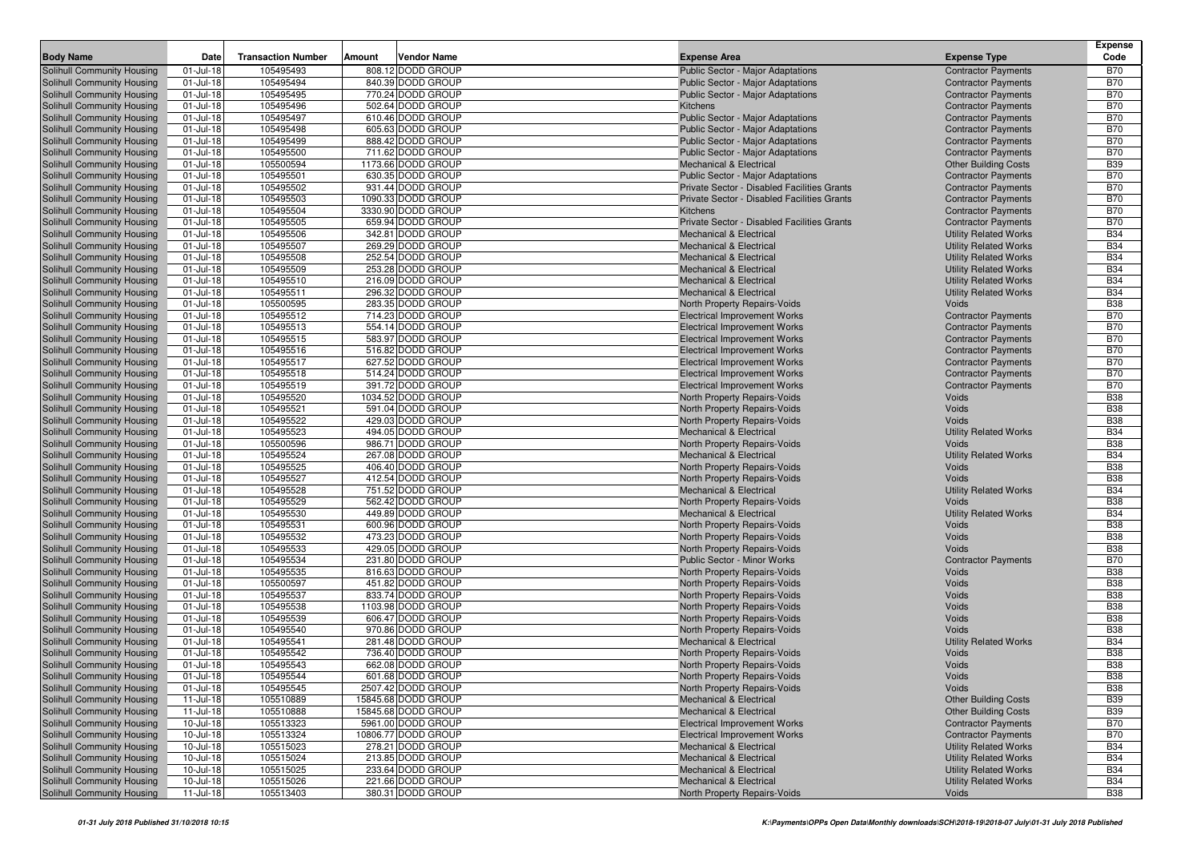|                                                          |                        |                           |                                         |                                                                                         |                                                              | <b>Expense</b>           |
|----------------------------------------------------------|------------------------|---------------------------|-----------------------------------------|-----------------------------------------------------------------------------------------|--------------------------------------------------------------|--------------------------|
| <b>Body Name</b>                                         | Date                   | <b>Transaction Number</b> | Vendor Name<br>Amount                   | <b>Expense Area</b>                                                                     | <b>Expense Type</b>                                          | Code                     |
| Solihull Community Housing                               | $01 -$ Jul-18          | 105495493                 | 808.12 DODD GROUP                       | <b>Public Sector - Major Adaptations</b>                                                | <b>Contractor Payments</b>                                   | <b>B70</b>               |
| Solihull Community Housing                               | $01 -$ Jul-18          | 105495494                 | 840.39 DODD GROUP                       | <b>Public Sector - Major Adaptations</b>                                                | <b>Contractor Payments</b>                                   | <b>B70</b>               |
| Solihull Community Housing                               | 01-Jul-18              | 105495495                 | 770.24 DODD GROUP                       | <b>Public Sector - Major Adaptations</b>                                                | <b>Contractor Payments</b>                                   | <b>B70</b>               |
| Solihull Community Housing                               | $01 -$ Jul-18          | 105495496                 | 502.64 DODD GROUP                       | Kitchens                                                                                | <b>Contractor Payments</b>                                   | <b>B70</b>               |
| Solihull Community Housing                               | $01 -$ Jul-18          | 105495497                 | 610.46 DODD GROUP                       | <b>Public Sector - Major Adaptations</b>                                                | <b>Contractor Payments</b>                                   | <b>B70</b>               |
| Solihull Community Housing                               | $01 -$ Jul-18          | 105495498                 | 605.63 DODD GROUP                       | <b>Public Sector - Major Adaptations</b>                                                | <b>Contractor Payments</b>                                   | <b>B70</b>               |
| Solihull Community Housing                               | 01-Jul-18              | 105495499                 | 888.42 DODD GROUP                       | <b>Public Sector - Major Adaptations</b>                                                | <b>Contractor Payments</b>                                   | <b>B70</b>               |
| Solihull Community Housing                               | 01-Jul-18              | 105495500                 | 711.62 DODD GROUP<br>1173.66 DODD GROUP | <b>Public Sector - Major Adaptations</b>                                                | <b>Contractor Payments</b>                                   | <b>B70</b><br><b>B39</b> |
| Solihull Community Housing                               | $01 -$ Jul-18          | 105500594                 | 630.35 DODD GROUP                       | Mechanical & Electrical                                                                 | <b>Other Building Costs</b>                                  | <b>B70</b>               |
| Solihull Community Housing<br>Solihull Community Housing | 01-Jul-18<br>01-Jul-18 | 105495501<br>105495502    | 931.44 DODD GROUP                       | <b>Public Sector - Major Adaptations</b><br>Private Sector - Disabled Facilities Grants | <b>Contractor Payments</b>                                   | <b>B70</b>               |
| Solihull Community Housing                               | 01-Jul-18              | 105495503                 | 1090.33 DODD GROUP                      | <b>Private Sector - Disabled Facilities Grants</b>                                      | <b>Contractor Payments</b>                                   | <b>B70</b>               |
| Solihull Community Housing                               | $01 -$ Jul-18          | 105495504                 | 3330.90 DODD GROUP                      | Kitchens                                                                                | <b>Contractor Payments</b><br><b>Contractor Payments</b>     | <b>B70</b>               |
| Solihull Community Housing                               | 01-Jul-18              | 105495505                 | 659.94 DODD GROUP                       | <b>Private Sector - Disabled Facilities Grants</b>                                      | <b>Contractor Payments</b>                                   | <b>B70</b>               |
| Solihull Community Housing                               | $01 -$ Jul-18          | 105495506                 | 342.81 DODD GROUP                       | <b>Mechanical &amp; Electrical</b>                                                      | <b>Utility Related Works</b>                                 | <b>B34</b>               |
| Solihull Community Housing                               | 01-Jul-18              | 105495507                 | 269.29 DODD GROUP                       | <b>Mechanical &amp; Electrical</b>                                                      | <b>Utility Related Works</b>                                 | <b>B34</b>               |
| Solihull Community Housing                               | 01-Jul-18              | 105495508                 | 252.54 DODD GROUP                       | <b>Mechanical &amp; Electrical</b>                                                      | <b>Utility Related Works</b>                                 | <b>B34</b>               |
| Solihull Community Housing                               | $01 -$ Jul-18          | 105495509                 | 253.28 DODD GROUP                       | <b>Mechanical &amp; Electrical</b>                                                      | <b>Utility Related Works</b>                                 | <b>B34</b>               |
| Solihull Community Housing                               | 01-Jul-18              | 105495510                 | 216.09 DODD GROUP                       | <b>Mechanical &amp; Electrical</b>                                                      | <b>Utility Related Works</b>                                 | <b>B34</b>               |
| Solihull Community Housing                               | $01 -$ Jul-18          | 105495511                 | 296.32 DODD GROUP                       | <b>Mechanical &amp; Electrical</b>                                                      | <b>Utility Related Works</b>                                 | <b>B34</b>               |
| Solihull Community Housing                               | 01-Jul-18              | 105500595                 | 283.35 DODD GROUP                       | North Property Repairs-Voids                                                            | Voids                                                        | <b>B38</b>               |
| Solihull Community Housing                               | 01-Jul-18              | 105495512                 | 714.23 DODD GROUP                       | <b>Electrical Improvement Works</b>                                                     | <b>Contractor Payments</b>                                   | <b>B70</b>               |
| Solihull Community Housing                               | 01-Jul-18              | 105495513                 | 554.14 DODD GROUP                       | <b>Electrical Improvement Works</b>                                                     | <b>Contractor Payments</b>                                   | <b>B70</b>               |
| Solihull Community Housing                               | 01-Jul-18              | 105495515                 | 583.97 DODD GROUP                       | <b>Electrical Improvement Works</b>                                                     | <b>Contractor Payments</b>                                   | <b>B70</b>               |
| <b>Solihull Community Housing</b>                        | 01-Jul-18              | 105495516                 | 516.82 DODD GROUP                       | <b>Electrical Improvement Works</b>                                                     | <b>Contractor Payments</b>                                   | <b>B70</b>               |
| Solihull Community Housing                               | $01 -$ Jul-18          | 105495517                 | 627.52 DODD GROUP                       | <b>Electrical Improvement Works</b>                                                     | <b>Contractor Payments</b>                                   | <b>B70</b>               |
| Solihull Community Housing                               | $01 -$ Jul-18          | 105495518                 | 514.24 DODD GROUP                       | <b>Electrical Improvement Works</b>                                                     | <b>Contractor Payments</b>                                   | <b>B70</b>               |
| Solihull Community Housing                               | 01-Jul-18              | 105495519                 | 391.72 DODD GROUP                       | <b>Electrical Improvement Works</b>                                                     | <b>Contractor Payments</b>                                   | <b>B70</b>               |
| Solihull Community Housing                               | 01-Jul-18              | 105495520                 | 1034.52 DODD GROUP                      | North Property Repairs-Voids                                                            | Voids                                                        | <b>B38</b>               |
| Solihull Community Housing                               | 01-Jul-18              | 105495521                 | 591.04 DODD GROUP                       | North Property Repairs-Voids                                                            | Voids                                                        | <b>B38</b>               |
| Solihull Community Housing                               | $01 -$ Jul-18          | 105495522                 | 429.03 DODD GROUP                       | North Property Repairs-Voids                                                            | Voids                                                        | <b>B38</b>               |
| Solihull Community Housing                               | $01 -$ Jul-18          | 105495523                 | 494.05 DODD GROUP                       | <b>Mechanical &amp; Electrical</b>                                                      | <b>Utility Related Works</b>                                 | <b>B34</b>               |
| Solihull Community Housing                               | 01-Jul-18              | 105500596                 | 986.71 DODD GROUP                       | North Property Repairs-Voids                                                            | Voids                                                        | <b>B38</b>               |
| Solihull Community Housing                               | $01 -$ Jul-18          | 105495524                 | 267.08 DODD GROUP                       | <b>Mechanical &amp; Electrical</b>                                                      | <b>Utility Related Works</b>                                 | <b>B34</b>               |
| Solihull Community Housing                               | 01-Jul-18              | 105495525                 | 406.40 DODD GROUP                       | North Property Repairs-Voids                                                            | Voids                                                        | <b>B38</b>               |
| Solihull Community Housing                               | 01-Jul-18              | 105495527                 | 412.54 DODD GROUP                       | North Property Repairs-Voids                                                            | Voids                                                        | <b>B38</b>               |
| Solihull Community Housing                               | $01 -$ Jul-18          | 105495528                 | 751.52 DODD GROUP                       | <b>Mechanical &amp; Electrical</b>                                                      | <b>Utility Related Works</b>                                 | <b>B34</b>               |
| Solihull Community Housing                               | $01 -$ Jul-18          | 105495529                 | 562.42 DODD GROUP                       | North Property Repairs-Voids                                                            | Voids                                                        | <b>B38</b>               |
| Solihull Community Housing                               | 01-Jul-18              | 105495530                 | 449.89 DODD GROUP                       | <b>Mechanical &amp; Electrical</b>                                                      | <b>Utility Related Works</b>                                 | <b>B34</b>               |
| Solihull Community Housing                               | $01 -$ Jul-18          | 105495531                 | 600.96 DODD GROUP                       | North Property Repairs-Voids                                                            | Voids                                                        | <b>B38</b>               |
| Solihull Community Housing                               | 01-Jul-18              | 105495532                 | 473.23 DODD GROUP                       | North Property Repairs-Voids                                                            | Voids                                                        | <b>B38</b>               |
| Solihull Community Housing                               | $01 -$ Jul-18          | 105495533                 | 429.05 DODD GROUP                       | North Property Repairs-Voids                                                            | Voids                                                        | <b>B38</b>               |
| Solihull Community Housing                               | 01-Jul-18              | 105495534                 | 231.80 DODD GROUP                       | Public Sector - Minor Works                                                             | <b>Contractor Payments</b>                                   | <b>B70</b>               |
| Solihull Community Housing                               | $01 -$ Jul-18          | 105495535                 | 816.63 DODD GROUP                       | North Property Repairs-Voids                                                            | Voids                                                        | <b>B38</b>               |
| Solihull Community Housing                               | $01 -$ Jul-18          | 105500597                 | 451.82 DODD GROUP                       | North Property Repairs-Voids                                                            | Voids                                                        | <b>B38</b>               |
| Solihull Community Housing                               | 01-Jul-18              | 105495537                 | 833.74 DODD GROUP                       | North Property Repairs-Voids                                                            | Voids                                                        | <b>B38</b>               |
| Solihull Community Housing                               | 01-Jul-18              | 105495538                 | 1103.98 DODD GROUP                      | North Property Repairs-Voids                                                            | Voids                                                        | <b>B38</b>               |
| Solihull Community Housing                               | $01 -$ Jul-18          | 105495539                 | 606.47 DODD GROUP                       | North Property Repairs-Voids                                                            | Voids                                                        | <b>B38</b>               |
| Solihull Community Housing                               | $01 -$ Jul-18          | 105495540                 | 970.86 DODD GROUP                       | North Property Repairs-Voids                                                            | Voids                                                        | <b>B38</b>               |
| Solihull Community Housing                               | 01-Jul-18              | 105495541                 | 281.48 DODD GROUP                       | <b>Mechanical &amp; Electrical</b>                                                      | <b>Utility Related Works</b>                                 | <b>B34</b>               |
| Solihull Community Housing                               | 01-Jul-18              | 105495542                 | 736.40 DODD GROUP                       | North Property Repairs-Voids                                                            | Voids                                                        | <b>B38</b>               |
| Solihull Community Housing                               | $01 -$ Jul-18          | 105495543                 | 662.08 DODD GROUP                       | North Property Repairs-Voids                                                            | Voids                                                        | <b>B38</b>               |
| Solihull Community Housing                               | 01-Jul-18              | 105495544                 | 601.68 DODD GROUP                       | North Property Repairs-Voids                                                            | Voids                                                        | <b>B38</b>               |
| Solihull Community Housing                               | 01-Jul-18              | 105495545                 | 2507.42 DODD GROUP                      | North Property Repairs-Voids                                                            | Voids                                                        | <b>B38</b>               |
| Solihull Community Housing                               | 11-Jul-18              | 105510889                 | 15845.68 DODD GROUP                     | <b>Mechanical &amp; Electrical</b>                                                      | <b>Other Building Costs</b>                                  | <b>B39</b>               |
| Solihull Community Housing                               | $11 -$ Jul-18          | 105510888                 | 15845.68 DODD GROUP                     | Mechanical & Electrical                                                                 | <b>Other Building Costs</b>                                  | <b>B39</b>               |
| Solihull Community Housing                               | 10-Jul-18              | 105513323                 | 5961.00 DODD GROUP                      | <b>Electrical Improvement Works</b>                                                     | <b>Contractor Payments</b>                                   | <b>B70</b>               |
| Solihull Community Housing                               | 10-Jul-18              | 105513324                 | 10806.77 DODD GROUP                     | <b>Electrical Improvement Works</b>                                                     | <b>Contractor Payments</b>                                   | <b>B70</b>               |
| Solihull Community Housing                               | 10-Jul-18              | 105515023                 | 278.21 DODD GROUP<br>213.85 DODD GROUP  | <b>Mechanical &amp; Electrical</b>                                                      | <b>Utility Related Works</b>                                 | <b>B34</b>               |
| Solihull Community Housing<br>Solihull Community Housing | 10-Jul-18              | 105515024<br>105515025    | 233.64 DODD GROUP                       | Mechanical & Electrical<br>Mechanical & Electrical                                      | <b>Utility Related Works</b><br><b>Utility Related Works</b> | <b>B34</b><br><b>B34</b> |
|                                                          | 10-Jul-18              |                           | 221.66 DODD GROUP                       |                                                                                         |                                                              | <b>B34</b>               |
| Solihull Community Housing<br>Solihull Community Housing | 10-Jul-18              | 105515026                 | 380.31 DODD GROUP                       | Mechanical & Electrical<br>North Property Repairs-Voids                                 | <b>Utility Related Works</b><br>Voids                        | <b>B38</b>               |
|                                                          | 11-Jul-18              | 105513403                 |                                         |                                                                                         |                                                              |                          |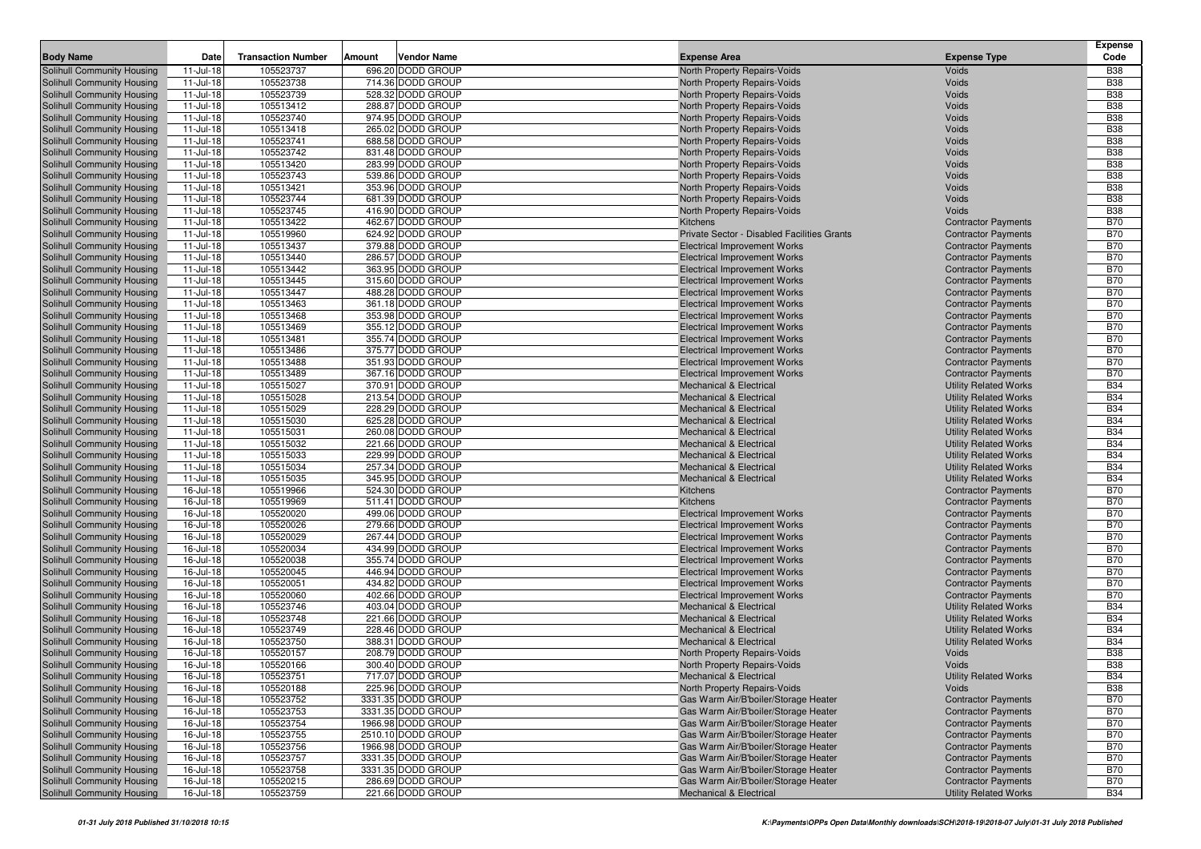| <b>Body Name</b><br>Date<br><b>Transaction Number</b><br><b>Vendor Name</b><br><b>Expense Type</b><br>Amount<br><b>Expense Area</b><br>105523737<br>696.20 DODD GROUP<br>Solihull Community Housing<br>11-Jul-18<br>North Property Repairs-Voids<br>Voids<br>11-Jul-18<br>105523738<br>714.36 DODD GROUP<br>Solihull Community Housing<br>North Property Repairs-Voids<br>Voids<br>$11 -$ Jul-18<br>105523739<br>528.32 DODD GROUP<br>Solihull Community Housing<br>North Property Repairs-Voids<br>Voids<br>$11 -$ Jul-18<br>105513412<br>288.87 DODD GROUP<br>Solihull Community Housing<br>North Property Repairs-Voids<br>Voids<br>105523740<br>11-Jul-18<br>974.95 DODD GROUP<br>Solihull Community Housing<br>North Property Repairs-Voids<br>Voids<br>$11 -$ Jul-18<br>105513418<br>265.02 DODD GROUP<br>Solihull Community Housing<br>North Property Repairs-Voids<br>Voids<br>105523741<br>$11 -$ Jul-18<br>688.58 DODD GROUP<br>Solihull Community Housing<br>North Property Repairs-Voids<br>Voids<br>Solihull Community Housing<br>$11 -$ Jul-18<br>105523742<br>831.48 DODD GROUP<br>North Property Repairs-Voids<br>Voids<br>$11 -$ Jul-18<br>105513420<br>283.99 DODD GROUP<br>Solihull Community Housing<br>North Property Repairs-Voids<br>Voids<br>$11 -$ Jul-18<br>105523743<br>539.86 DODD GROUP<br>Solihull Community Housing<br>North Property Repairs-Voids<br>Voids<br>$11 -$ Jul-18<br>105513421<br>353.96 DODD GROUP<br>Solihull Community Housing<br>North Property Repairs-Voids<br>Voids<br>$11 -$ Jul-18<br>105523744<br>681.39 DODD GROUP<br>Solihull Community Housing<br>North Property Repairs-Voids<br>Voids<br>$11 -$ Jul-18<br>105523745<br>416.90 DODD GROUP<br>Solihull Community Housing<br>North Property Repairs-Voids<br>Voids<br>$11 -$ Jul-18<br>105513422<br>462.67 DODD GROUP<br>Solihull Community Housing<br>Kitchens<br><b>Contractor Payments</b><br>$11 -$ Jul-18<br>105519960<br>624.92 DODD GROUP<br>Solihull Community Housing<br>Private Sector - Disabled Facilities Grants<br><b>Contractor Payments</b><br>379.88 DODD GROUP<br>$11$ -Jul-18<br>105513437<br><b>Contractor Payments</b><br>Solihull Community Housing<br><b>Electrical Improvement Works</b><br>$11 -$ Jul-18<br>Solihull Community Housing<br>105513440<br>286.57 DODD GROUP<br><b>Electrical Improvement Works</b><br><b>Contractor Payments</b><br>$11 -$ Jul-18<br>105513442<br>363.95 DODD GROUP<br>Solihull Community Housing<br><b>Electrical Improvement Works</b><br><b>Contractor Payments</b><br>$11 -$ Jul-18<br>105513445<br>315.60 DODD GROUP<br>Solihull Community Housing<br><b>Electrical Improvement Works</b><br><b>Contractor Payments</b><br>$11 -$ Jul-18<br>105513447<br>488.28 DODD GROUP<br>Solihull Community Housing<br><b>Electrical Improvement Works</b><br><b>Contractor Payments</b> | <b>Expense</b><br>Code   |
|-------------------------------------------------------------------------------------------------------------------------------------------------------------------------------------------------------------------------------------------------------------------------------------------------------------------------------------------------------------------------------------------------------------------------------------------------------------------------------------------------------------------------------------------------------------------------------------------------------------------------------------------------------------------------------------------------------------------------------------------------------------------------------------------------------------------------------------------------------------------------------------------------------------------------------------------------------------------------------------------------------------------------------------------------------------------------------------------------------------------------------------------------------------------------------------------------------------------------------------------------------------------------------------------------------------------------------------------------------------------------------------------------------------------------------------------------------------------------------------------------------------------------------------------------------------------------------------------------------------------------------------------------------------------------------------------------------------------------------------------------------------------------------------------------------------------------------------------------------------------------------------------------------------------------------------------------------------------------------------------------------------------------------------------------------------------------------------------------------------------------------------------------------------------------------------------------------------------------------------------------------------------------------------------------------------------------------------------------------------------------------------------------------------------------------------------------------------------------------------------------------------------------------------------------------------------------------------------------------------------------------------------------------------------------------------------------------------------------------------------------------------------------------------------------------------------------------------------------|--------------------------|
|                                                                                                                                                                                                                                                                                                                                                                                                                                                                                                                                                                                                                                                                                                                                                                                                                                                                                                                                                                                                                                                                                                                                                                                                                                                                                                                                                                                                                                                                                                                                                                                                                                                                                                                                                                                                                                                                                                                                                                                                                                                                                                                                                                                                                                                                                                                                                                                                                                                                                                                                                                                                                                                                                                                                                                                                                                                 | <b>B38</b>               |
|                                                                                                                                                                                                                                                                                                                                                                                                                                                                                                                                                                                                                                                                                                                                                                                                                                                                                                                                                                                                                                                                                                                                                                                                                                                                                                                                                                                                                                                                                                                                                                                                                                                                                                                                                                                                                                                                                                                                                                                                                                                                                                                                                                                                                                                                                                                                                                                                                                                                                                                                                                                                                                                                                                                                                                                                                                                 | <b>B38</b>               |
|                                                                                                                                                                                                                                                                                                                                                                                                                                                                                                                                                                                                                                                                                                                                                                                                                                                                                                                                                                                                                                                                                                                                                                                                                                                                                                                                                                                                                                                                                                                                                                                                                                                                                                                                                                                                                                                                                                                                                                                                                                                                                                                                                                                                                                                                                                                                                                                                                                                                                                                                                                                                                                                                                                                                                                                                                                                 | <b>B38</b>               |
|                                                                                                                                                                                                                                                                                                                                                                                                                                                                                                                                                                                                                                                                                                                                                                                                                                                                                                                                                                                                                                                                                                                                                                                                                                                                                                                                                                                                                                                                                                                                                                                                                                                                                                                                                                                                                                                                                                                                                                                                                                                                                                                                                                                                                                                                                                                                                                                                                                                                                                                                                                                                                                                                                                                                                                                                                                                 | <b>B38</b>               |
|                                                                                                                                                                                                                                                                                                                                                                                                                                                                                                                                                                                                                                                                                                                                                                                                                                                                                                                                                                                                                                                                                                                                                                                                                                                                                                                                                                                                                                                                                                                                                                                                                                                                                                                                                                                                                                                                                                                                                                                                                                                                                                                                                                                                                                                                                                                                                                                                                                                                                                                                                                                                                                                                                                                                                                                                                                                 | <b>B38</b>               |
|                                                                                                                                                                                                                                                                                                                                                                                                                                                                                                                                                                                                                                                                                                                                                                                                                                                                                                                                                                                                                                                                                                                                                                                                                                                                                                                                                                                                                                                                                                                                                                                                                                                                                                                                                                                                                                                                                                                                                                                                                                                                                                                                                                                                                                                                                                                                                                                                                                                                                                                                                                                                                                                                                                                                                                                                                                                 | <b>B38</b>               |
|                                                                                                                                                                                                                                                                                                                                                                                                                                                                                                                                                                                                                                                                                                                                                                                                                                                                                                                                                                                                                                                                                                                                                                                                                                                                                                                                                                                                                                                                                                                                                                                                                                                                                                                                                                                                                                                                                                                                                                                                                                                                                                                                                                                                                                                                                                                                                                                                                                                                                                                                                                                                                                                                                                                                                                                                                                                 | <b>B38</b>               |
|                                                                                                                                                                                                                                                                                                                                                                                                                                                                                                                                                                                                                                                                                                                                                                                                                                                                                                                                                                                                                                                                                                                                                                                                                                                                                                                                                                                                                                                                                                                                                                                                                                                                                                                                                                                                                                                                                                                                                                                                                                                                                                                                                                                                                                                                                                                                                                                                                                                                                                                                                                                                                                                                                                                                                                                                                                                 | <b>B38</b>               |
|                                                                                                                                                                                                                                                                                                                                                                                                                                                                                                                                                                                                                                                                                                                                                                                                                                                                                                                                                                                                                                                                                                                                                                                                                                                                                                                                                                                                                                                                                                                                                                                                                                                                                                                                                                                                                                                                                                                                                                                                                                                                                                                                                                                                                                                                                                                                                                                                                                                                                                                                                                                                                                                                                                                                                                                                                                                 | <b>B38</b>               |
|                                                                                                                                                                                                                                                                                                                                                                                                                                                                                                                                                                                                                                                                                                                                                                                                                                                                                                                                                                                                                                                                                                                                                                                                                                                                                                                                                                                                                                                                                                                                                                                                                                                                                                                                                                                                                                                                                                                                                                                                                                                                                                                                                                                                                                                                                                                                                                                                                                                                                                                                                                                                                                                                                                                                                                                                                                                 | <b>B38</b>               |
|                                                                                                                                                                                                                                                                                                                                                                                                                                                                                                                                                                                                                                                                                                                                                                                                                                                                                                                                                                                                                                                                                                                                                                                                                                                                                                                                                                                                                                                                                                                                                                                                                                                                                                                                                                                                                                                                                                                                                                                                                                                                                                                                                                                                                                                                                                                                                                                                                                                                                                                                                                                                                                                                                                                                                                                                                                                 | <b>B38</b>               |
|                                                                                                                                                                                                                                                                                                                                                                                                                                                                                                                                                                                                                                                                                                                                                                                                                                                                                                                                                                                                                                                                                                                                                                                                                                                                                                                                                                                                                                                                                                                                                                                                                                                                                                                                                                                                                                                                                                                                                                                                                                                                                                                                                                                                                                                                                                                                                                                                                                                                                                                                                                                                                                                                                                                                                                                                                                                 | <b>B38</b>               |
|                                                                                                                                                                                                                                                                                                                                                                                                                                                                                                                                                                                                                                                                                                                                                                                                                                                                                                                                                                                                                                                                                                                                                                                                                                                                                                                                                                                                                                                                                                                                                                                                                                                                                                                                                                                                                                                                                                                                                                                                                                                                                                                                                                                                                                                                                                                                                                                                                                                                                                                                                                                                                                                                                                                                                                                                                                                 | <b>B38</b>               |
|                                                                                                                                                                                                                                                                                                                                                                                                                                                                                                                                                                                                                                                                                                                                                                                                                                                                                                                                                                                                                                                                                                                                                                                                                                                                                                                                                                                                                                                                                                                                                                                                                                                                                                                                                                                                                                                                                                                                                                                                                                                                                                                                                                                                                                                                                                                                                                                                                                                                                                                                                                                                                                                                                                                                                                                                                                                 | <b>B70</b>               |
|                                                                                                                                                                                                                                                                                                                                                                                                                                                                                                                                                                                                                                                                                                                                                                                                                                                                                                                                                                                                                                                                                                                                                                                                                                                                                                                                                                                                                                                                                                                                                                                                                                                                                                                                                                                                                                                                                                                                                                                                                                                                                                                                                                                                                                                                                                                                                                                                                                                                                                                                                                                                                                                                                                                                                                                                                                                 | <b>B70</b>               |
|                                                                                                                                                                                                                                                                                                                                                                                                                                                                                                                                                                                                                                                                                                                                                                                                                                                                                                                                                                                                                                                                                                                                                                                                                                                                                                                                                                                                                                                                                                                                                                                                                                                                                                                                                                                                                                                                                                                                                                                                                                                                                                                                                                                                                                                                                                                                                                                                                                                                                                                                                                                                                                                                                                                                                                                                                                                 | <b>B70</b>               |
|                                                                                                                                                                                                                                                                                                                                                                                                                                                                                                                                                                                                                                                                                                                                                                                                                                                                                                                                                                                                                                                                                                                                                                                                                                                                                                                                                                                                                                                                                                                                                                                                                                                                                                                                                                                                                                                                                                                                                                                                                                                                                                                                                                                                                                                                                                                                                                                                                                                                                                                                                                                                                                                                                                                                                                                                                                                 | <b>B70</b>               |
|                                                                                                                                                                                                                                                                                                                                                                                                                                                                                                                                                                                                                                                                                                                                                                                                                                                                                                                                                                                                                                                                                                                                                                                                                                                                                                                                                                                                                                                                                                                                                                                                                                                                                                                                                                                                                                                                                                                                                                                                                                                                                                                                                                                                                                                                                                                                                                                                                                                                                                                                                                                                                                                                                                                                                                                                                                                 | <b>B70</b>               |
|                                                                                                                                                                                                                                                                                                                                                                                                                                                                                                                                                                                                                                                                                                                                                                                                                                                                                                                                                                                                                                                                                                                                                                                                                                                                                                                                                                                                                                                                                                                                                                                                                                                                                                                                                                                                                                                                                                                                                                                                                                                                                                                                                                                                                                                                                                                                                                                                                                                                                                                                                                                                                                                                                                                                                                                                                                                 | <b>B70</b>               |
|                                                                                                                                                                                                                                                                                                                                                                                                                                                                                                                                                                                                                                                                                                                                                                                                                                                                                                                                                                                                                                                                                                                                                                                                                                                                                                                                                                                                                                                                                                                                                                                                                                                                                                                                                                                                                                                                                                                                                                                                                                                                                                                                                                                                                                                                                                                                                                                                                                                                                                                                                                                                                                                                                                                                                                                                                                                 | <b>B70</b>               |
| $11 -$ Jul-18<br>105513463<br>361.18 DODD GROUP<br>Solihull Community Housing<br><b>Electrical Improvement Works</b><br><b>Contractor Payments</b>                                                                                                                                                                                                                                                                                                                                                                                                                                                                                                                                                                                                                                                                                                                                                                                                                                                                                                                                                                                                                                                                                                                                                                                                                                                                                                                                                                                                                                                                                                                                                                                                                                                                                                                                                                                                                                                                                                                                                                                                                                                                                                                                                                                                                                                                                                                                                                                                                                                                                                                                                                                                                                                                                              | <b>B70</b>               |
| $11 -$ Jul-18<br>105513468<br>353.98 DODD GROUP<br>Solihull Community Housing<br><b>Electrical Improvement Works</b><br><b>Contractor Payments</b>                                                                                                                                                                                                                                                                                                                                                                                                                                                                                                                                                                                                                                                                                                                                                                                                                                                                                                                                                                                                                                                                                                                                                                                                                                                                                                                                                                                                                                                                                                                                                                                                                                                                                                                                                                                                                                                                                                                                                                                                                                                                                                                                                                                                                                                                                                                                                                                                                                                                                                                                                                                                                                                                                              | <b>B70</b>               |
| $11 -$ Jul-18<br>105513469<br>355.12 DODD GROUP<br>Solihull Community Housing<br><b>Electrical Improvement Works</b><br><b>Contractor Payments</b>                                                                                                                                                                                                                                                                                                                                                                                                                                                                                                                                                                                                                                                                                                                                                                                                                                                                                                                                                                                                                                                                                                                                                                                                                                                                                                                                                                                                                                                                                                                                                                                                                                                                                                                                                                                                                                                                                                                                                                                                                                                                                                                                                                                                                                                                                                                                                                                                                                                                                                                                                                                                                                                                                              | <b>B70</b>               |
| Solihull Community Housing<br>$11 -$ Jul-18<br>105513481<br>355.74 DODD GROUP<br><b>Contractor Payments</b><br><b>Electrical Improvement Works</b>                                                                                                                                                                                                                                                                                                                                                                                                                                                                                                                                                                                                                                                                                                                                                                                                                                                                                                                                                                                                                                                                                                                                                                                                                                                                                                                                                                                                                                                                                                                                                                                                                                                                                                                                                                                                                                                                                                                                                                                                                                                                                                                                                                                                                                                                                                                                                                                                                                                                                                                                                                                                                                                                                              | <b>B70</b>               |
| 11-Jul-18<br>105513486<br>375.77 DODD GROUP<br>Solihull Community Housing<br><b>Electrical Improvement Works</b><br><b>Contractor Payments</b>                                                                                                                                                                                                                                                                                                                                                                                                                                                                                                                                                                                                                                                                                                                                                                                                                                                                                                                                                                                                                                                                                                                                                                                                                                                                                                                                                                                                                                                                                                                                                                                                                                                                                                                                                                                                                                                                                                                                                                                                                                                                                                                                                                                                                                                                                                                                                                                                                                                                                                                                                                                                                                                                                                  | <b>B70</b>               |
| $11 -$ Jul-18<br>351.93 DODD GROUP<br>Solihull Community Housing<br>105513488<br><b>Electrical Improvement Works</b><br><b>Contractor Payments</b>                                                                                                                                                                                                                                                                                                                                                                                                                                                                                                                                                                                                                                                                                                                                                                                                                                                                                                                                                                                                                                                                                                                                                                                                                                                                                                                                                                                                                                                                                                                                                                                                                                                                                                                                                                                                                                                                                                                                                                                                                                                                                                                                                                                                                                                                                                                                                                                                                                                                                                                                                                                                                                                                                              | <b>B70</b>               |
| 11-Jul-18<br>105513489<br>367.16 DODD GROUP<br><b>Contractor Payments</b><br>Solihull Community Housing<br><b>Electrical Improvement Works</b>                                                                                                                                                                                                                                                                                                                                                                                                                                                                                                                                                                                                                                                                                                                                                                                                                                                                                                                                                                                                                                                                                                                                                                                                                                                                                                                                                                                                                                                                                                                                                                                                                                                                                                                                                                                                                                                                                                                                                                                                                                                                                                                                                                                                                                                                                                                                                                                                                                                                                                                                                                                                                                                                                                  | <b>B70</b>               |
| $11 -$ Jul-18<br>105515027<br>370.91 DODD GROUP<br><b>Utility Related Works</b><br>Solihull Community Housing<br><b>Mechanical &amp; Electrical</b>                                                                                                                                                                                                                                                                                                                                                                                                                                                                                                                                                                                                                                                                                                                                                                                                                                                                                                                                                                                                                                                                                                                                                                                                                                                                                                                                                                                                                                                                                                                                                                                                                                                                                                                                                                                                                                                                                                                                                                                                                                                                                                                                                                                                                                                                                                                                                                                                                                                                                                                                                                                                                                                                                             | <b>B34</b>               |
| $11 -$ Jul-18<br>105515028<br>213.54 DODD GROUP<br><b>Utility Related Works</b><br>Solihull Community Housing<br><b>Mechanical &amp; Electrical</b>                                                                                                                                                                                                                                                                                                                                                                                                                                                                                                                                                                                                                                                                                                                                                                                                                                                                                                                                                                                                                                                                                                                                                                                                                                                                                                                                                                                                                                                                                                                                                                                                                                                                                                                                                                                                                                                                                                                                                                                                                                                                                                                                                                                                                                                                                                                                                                                                                                                                                                                                                                                                                                                                                             | <b>B34</b>               |
| 11-Jul-18<br>105515029<br>228.29 DODD GROUP<br>Solihull Community Housing<br><b>Mechanical &amp; Electrical</b><br><b>Utility Related Works</b>                                                                                                                                                                                                                                                                                                                                                                                                                                                                                                                                                                                                                                                                                                                                                                                                                                                                                                                                                                                                                                                                                                                                                                                                                                                                                                                                                                                                                                                                                                                                                                                                                                                                                                                                                                                                                                                                                                                                                                                                                                                                                                                                                                                                                                                                                                                                                                                                                                                                                                                                                                                                                                                                                                 | <b>B34</b>               |
| $11 -$ Jul-18<br>105515030<br>625.28 DODD GROUP<br>Solihull Community Housing<br><b>Mechanical &amp; Electrical</b><br><b>Utility Related Works</b>                                                                                                                                                                                                                                                                                                                                                                                                                                                                                                                                                                                                                                                                                                                                                                                                                                                                                                                                                                                                                                                                                                                                                                                                                                                                                                                                                                                                                                                                                                                                                                                                                                                                                                                                                                                                                                                                                                                                                                                                                                                                                                                                                                                                                                                                                                                                                                                                                                                                                                                                                                                                                                                                                             | <b>B34</b>               |
| $11 -$ Jul-18<br>105515031<br>260.08 DODD GROUP<br>Solihull Community Housing<br><b>Mechanical &amp; Electrical</b><br><b>Utility Related Works</b>                                                                                                                                                                                                                                                                                                                                                                                                                                                                                                                                                                                                                                                                                                                                                                                                                                                                                                                                                                                                                                                                                                                                                                                                                                                                                                                                                                                                                                                                                                                                                                                                                                                                                                                                                                                                                                                                                                                                                                                                                                                                                                                                                                                                                                                                                                                                                                                                                                                                                                                                                                                                                                                                                             | <b>B34</b>               |
| Solihull Community Housing<br>11-Jul-18<br>105515032<br>221.66 DODD GROUP<br><b>Mechanical &amp; Electrical</b><br><b>Utility Related Works</b>                                                                                                                                                                                                                                                                                                                                                                                                                                                                                                                                                                                                                                                                                                                                                                                                                                                                                                                                                                                                                                                                                                                                                                                                                                                                                                                                                                                                                                                                                                                                                                                                                                                                                                                                                                                                                                                                                                                                                                                                                                                                                                                                                                                                                                                                                                                                                                                                                                                                                                                                                                                                                                                                                                 | <b>B34</b>               |
| $11 -$ Jul-18<br>105515033<br>229.99 DODD GROUP<br>Solihull Community Housing<br><b>Mechanical &amp; Electrical</b><br><b>Utility Related Works</b>                                                                                                                                                                                                                                                                                                                                                                                                                                                                                                                                                                                                                                                                                                                                                                                                                                                                                                                                                                                                                                                                                                                                                                                                                                                                                                                                                                                                                                                                                                                                                                                                                                                                                                                                                                                                                                                                                                                                                                                                                                                                                                                                                                                                                                                                                                                                                                                                                                                                                                                                                                                                                                                                                             | <b>B34</b>               |
| $11 -$ Jul-18<br>105515034<br>257.34 DODD GROUP<br>Solihull Community Housing<br><b>Mechanical &amp; Electrical</b><br><b>Utility Related Works</b>                                                                                                                                                                                                                                                                                                                                                                                                                                                                                                                                                                                                                                                                                                                                                                                                                                                                                                                                                                                                                                                                                                                                                                                                                                                                                                                                                                                                                                                                                                                                                                                                                                                                                                                                                                                                                                                                                                                                                                                                                                                                                                                                                                                                                                                                                                                                                                                                                                                                                                                                                                                                                                                                                             | <b>B34</b>               |
| 11-Jul-18<br>105515035<br>345.95 DODD GROUP<br>Solihull Community Housing<br><b>Mechanical &amp; Electrical</b><br><b>Utility Related Works</b>                                                                                                                                                                                                                                                                                                                                                                                                                                                                                                                                                                                                                                                                                                                                                                                                                                                                                                                                                                                                                                                                                                                                                                                                                                                                                                                                                                                                                                                                                                                                                                                                                                                                                                                                                                                                                                                                                                                                                                                                                                                                                                                                                                                                                                                                                                                                                                                                                                                                                                                                                                                                                                                                                                 | <b>B34</b>               |
| 16-Jul-18<br>105519966<br>524.30 DODD GROUP<br>Solihull Community Housing<br>Kitchens<br><b>Contractor Payments</b>                                                                                                                                                                                                                                                                                                                                                                                                                                                                                                                                                                                                                                                                                                                                                                                                                                                                                                                                                                                                                                                                                                                                                                                                                                                                                                                                                                                                                                                                                                                                                                                                                                                                                                                                                                                                                                                                                                                                                                                                                                                                                                                                                                                                                                                                                                                                                                                                                                                                                                                                                                                                                                                                                                                             | <b>B70</b>               |
| 16-Jul-18<br>105519969<br>511.41 DODD GROUP<br><b>Contractor Payments</b><br>Solihull Community Housing<br><b>Kitchens</b>                                                                                                                                                                                                                                                                                                                                                                                                                                                                                                                                                                                                                                                                                                                                                                                                                                                                                                                                                                                                                                                                                                                                                                                                                                                                                                                                                                                                                                                                                                                                                                                                                                                                                                                                                                                                                                                                                                                                                                                                                                                                                                                                                                                                                                                                                                                                                                                                                                                                                                                                                                                                                                                                                                                      | <b>B70</b>               |
| 16-Jul-18<br>105520020<br>499.06 DODD GROUP<br>Solihull Community Housing<br><b>Electrical Improvement Works</b><br><b>Contractor Payments</b>                                                                                                                                                                                                                                                                                                                                                                                                                                                                                                                                                                                                                                                                                                                                                                                                                                                                                                                                                                                                                                                                                                                                                                                                                                                                                                                                                                                                                                                                                                                                                                                                                                                                                                                                                                                                                                                                                                                                                                                                                                                                                                                                                                                                                                                                                                                                                                                                                                                                                                                                                                                                                                                                                                  | <b>B70</b>               |
| 16-Jul-18<br>105520026<br>279.66 DODD GROUP<br>Solihull Community Housing<br><b>Electrical Improvement Works</b><br><b>Contractor Payments</b>                                                                                                                                                                                                                                                                                                                                                                                                                                                                                                                                                                                                                                                                                                                                                                                                                                                                                                                                                                                                                                                                                                                                                                                                                                                                                                                                                                                                                                                                                                                                                                                                                                                                                                                                                                                                                                                                                                                                                                                                                                                                                                                                                                                                                                                                                                                                                                                                                                                                                                                                                                                                                                                                                                  | <b>B70</b>               |
| 16-Jul-18<br>105520029<br>267.44 DODD GROUP<br><b>Contractor Payments</b><br>Solihull Community Housing<br><b>Electrical Improvement Works</b>                                                                                                                                                                                                                                                                                                                                                                                                                                                                                                                                                                                                                                                                                                                                                                                                                                                                                                                                                                                                                                                                                                                                                                                                                                                                                                                                                                                                                                                                                                                                                                                                                                                                                                                                                                                                                                                                                                                                                                                                                                                                                                                                                                                                                                                                                                                                                                                                                                                                                                                                                                                                                                                                                                  | <b>B70</b>               |
| 16-Jul-18<br>105520034<br>434.99 DODD GROUP<br>Solihull Community Housing<br><b>Electrical Improvement Works</b><br><b>Contractor Payments</b>                                                                                                                                                                                                                                                                                                                                                                                                                                                                                                                                                                                                                                                                                                                                                                                                                                                                                                                                                                                                                                                                                                                                                                                                                                                                                                                                                                                                                                                                                                                                                                                                                                                                                                                                                                                                                                                                                                                                                                                                                                                                                                                                                                                                                                                                                                                                                                                                                                                                                                                                                                                                                                                                                                  | <b>B70</b>               |
| 16-Jul-18<br>105520038<br>355.74 DODD GROUP<br>Solihull Community Housing<br><b>Electrical Improvement Works</b><br><b>Contractor Payments</b>                                                                                                                                                                                                                                                                                                                                                                                                                                                                                                                                                                                                                                                                                                                                                                                                                                                                                                                                                                                                                                                                                                                                                                                                                                                                                                                                                                                                                                                                                                                                                                                                                                                                                                                                                                                                                                                                                                                                                                                                                                                                                                                                                                                                                                                                                                                                                                                                                                                                                                                                                                                                                                                                                                  | <b>B70</b><br><b>B70</b> |
| 16-Jul-18<br>105520045<br>446.94 DODD GROUP<br>Solihull Community Housing<br><b>Electrical Improvement Works</b><br><b>Contractor Payments</b><br>16-Jul-18<br>105520051<br>434.82 DODD GROUP<br>Solihull Community Housing<br><b>Electrical Improvement Works</b><br><b>Contractor Payments</b>                                                                                                                                                                                                                                                                                                                                                                                                                                                                                                                                                                                                                                                                                                                                                                                                                                                                                                                                                                                                                                                                                                                                                                                                                                                                                                                                                                                                                                                                                                                                                                                                                                                                                                                                                                                                                                                                                                                                                                                                                                                                                                                                                                                                                                                                                                                                                                                                                                                                                                                                                | <b>B70</b>               |
| 402.66 DODD GROUP                                                                                                                                                                                                                                                                                                                                                                                                                                                                                                                                                                                                                                                                                                                                                                                                                                                                                                                                                                                                                                                                                                                                                                                                                                                                                                                                                                                                                                                                                                                                                                                                                                                                                                                                                                                                                                                                                                                                                                                                                                                                                                                                                                                                                                                                                                                                                                                                                                                                                                                                                                                                                                                                                                                                                                                                                               | <b>B70</b>               |
| 16-Jul-18<br>105520060<br>Solihull Community Housing<br><b>Electrical Improvement Works</b><br><b>Contractor Payments</b><br>16-Jul-18<br>105523746<br>403.04 DODD GROUP<br>Solihull Community Housing<br><b>Mechanical &amp; Electrical</b><br><b>Utility Related Works</b>                                                                                                                                                                                                                                                                                                                                                                                                                                                                                                                                                                                                                                                                                                                                                                                                                                                                                                                                                                                                                                                                                                                                                                                                                                                                                                                                                                                                                                                                                                                                                                                                                                                                                                                                                                                                                                                                                                                                                                                                                                                                                                                                                                                                                                                                                                                                                                                                                                                                                                                                                                    | <b>B34</b>               |
| 105523748<br>16-Jul-18<br>221.66 DODD GROUP<br>Solihull Community Housing<br><b>Mechanical &amp; Electrical</b><br><b>Utility Related Works</b>                                                                                                                                                                                                                                                                                                                                                                                                                                                                                                                                                                                                                                                                                                                                                                                                                                                                                                                                                                                                                                                                                                                                                                                                                                                                                                                                                                                                                                                                                                                                                                                                                                                                                                                                                                                                                                                                                                                                                                                                                                                                                                                                                                                                                                                                                                                                                                                                                                                                                                                                                                                                                                                                                                 | <b>B34</b>               |
| Solihull Community Housing<br>16-Jul-18<br>105523749<br>228.46 DODD GROUP<br><b>Mechanical &amp; Electrical</b><br><b>Utility Related Works</b>                                                                                                                                                                                                                                                                                                                                                                                                                                                                                                                                                                                                                                                                                                                                                                                                                                                                                                                                                                                                                                                                                                                                                                                                                                                                                                                                                                                                                                                                                                                                                                                                                                                                                                                                                                                                                                                                                                                                                                                                                                                                                                                                                                                                                                                                                                                                                                                                                                                                                                                                                                                                                                                                                                 | <b>B34</b>               |
| 16-Jul-18<br>105523750<br>388.31 DODD GROUP<br>Solihull Community Housing<br><b>Mechanical &amp; Electrical</b><br><b>Utility Related Works</b>                                                                                                                                                                                                                                                                                                                                                                                                                                                                                                                                                                                                                                                                                                                                                                                                                                                                                                                                                                                                                                                                                                                                                                                                                                                                                                                                                                                                                                                                                                                                                                                                                                                                                                                                                                                                                                                                                                                                                                                                                                                                                                                                                                                                                                                                                                                                                                                                                                                                                                                                                                                                                                                                                                 | <b>B34</b>               |
| 16-Jul-18<br>105520157<br>208.79 DODD GROUP<br>Solihull Community Housing<br>North Property Repairs-Voids<br>Voids                                                                                                                                                                                                                                                                                                                                                                                                                                                                                                                                                                                                                                                                                                                                                                                                                                                                                                                                                                                                                                                                                                                                                                                                                                                                                                                                                                                                                                                                                                                                                                                                                                                                                                                                                                                                                                                                                                                                                                                                                                                                                                                                                                                                                                                                                                                                                                                                                                                                                                                                                                                                                                                                                                                              | <b>B38</b>               |
| Solihull Community Housing<br>16-Jul-18<br>105520166<br>300.40 DODD GROUP<br>North Property Repairs-Voids<br>Voids                                                                                                                                                                                                                                                                                                                                                                                                                                                                                                                                                                                                                                                                                                                                                                                                                                                                                                                                                                                                                                                                                                                                                                                                                                                                                                                                                                                                                                                                                                                                                                                                                                                                                                                                                                                                                                                                                                                                                                                                                                                                                                                                                                                                                                                                                                                                                                                                                                                                                                                                                                                                                                                                                                                              | <b>B38</b>               |
| Solihull Community Housing<br>$16 -$ Jul-18<br>105523751<br>717.07 DODD GROUP<br>Mechanical & Electrical<br><b>Utility Related Works</b>                                                                                                                                                                                                                                                                                                                                                                                                                                                                                                                                                                                                                                                                                                                                                                                                                                                                                                                                                                                                                                                                                                                                                                                                                                                                                                                                                                                                                                                                                                                                                                                                                                                                                                                                                                                                                                                                                                                                                                                                                                                                                                                                                                                                                                                                                                                                                                                                                                                                                                                                                                                                                                                                                                        | <b>B34</b>               |
| Solihull Community Housing<br>16-Jul-18<br>105520188<br>225.96 DODD GROUP<br>North Property Repairs-Voids<br>Voids                                                                                                                                                                                                                                                                                                                                                                                                                                                                                                                                                                                                                                                                                                                                                                                                                                                                                                                                                                                                                                                                                                                                                                                                                                                                                                                                                                                                                                                                                                                                                                                                                                                                                                                                                                                                                                                                                                                                                                                                                                                                                                                                                                                                                                                                                                                                                                                                                                                                                                                                                                                                                                                                                                                              | <b>B38</b>               |
| Solihull Community Housing<br>16-Jul-18<br>105523752<br>3331.35 DODD GROUP<br>Gas Warm Air/B'boiler/Storage Heater<br><b>Contractor Payments</b>                                                                                                                                                                                                                                                                                                                                                                                                                                                                                                                                                                                                                                                                                                                                                                                                                                                                                                                                                                                                                                                                                                                                                                                                                                                                                                                                                                                                                                                                                                                                                                                                                                                                                                                                                                                                                                                                                                                                                                                                                                                                                                                                                                                                                                                                                                                                                                                                                                                                                                                                                                                                                                                                                                | <b>B70</b>               |
| $16$ -Jul-18<br>105523753<br>3331.35 DODD GROUP<br><b>Contractor Payments</b><br>Solihull Community Housing<br>Gas Warm Air/B'boiler/Storage Heater                                                                                                                                                                                                                                                                                                                                                                                                                                                                                                                                                                                                                                                                                                                                                                                                                                                                                                                                                                                                                                                                                                                                                                                                                                                                                                                                                                                                                                                                                                                                                                                                                                                                                                                                                                                                                                                                                                                                                                                                                                                                                                                                                                                                                                                                                                                                                                                                                                                                                                                                                                                                                                                                                             | <b>B70</b>               |
| Solihull Community Housing<br>16-Jul-18<br>105523754<br>1966.98 DODD GROUP<br>Gas Warm Air/B'boiler/Storage Heater<br><b>Contractor Payments</b>                                                                                                                                                                                                                                                                                                                                                                                                                                                                                                                                                                                                                                                                                                                                                                                                                                                                                                                                                                                                                                                                                                                                                                                                                                                                                                                                                                                                                                                                                                                                                                                                                                                                                                                                                                                                                                                                                                                                                                                                                                                                                                                                                                                                                                                                                                                                                                                                                                                                                                                                                                                                                                                                                                | <b>B70</b>               |
| Solihull Community Housing<br>16-Jul-18<br>105523755<br>2510.10 DODD GROUP<br>Gas Warm Air/B'boiler/Storage Heater<br><b>Contractor Payments</b>                                                                                                                                                                                                                                                                                                                                                                                                                                                                                                                                                                                                                                                                                                                                                                                                                                                                                                                                                                                                                                                                                                                                                                                                                                                                                                                                                                                                                                                                                                                                                                                                                                                                                                                                                                                                                                                                                                                                                                                                                                                                                                                                                                                                                                                                                                                                                                                                                                                                                                                                                                                                                                                                                                | <b>B70</b>               |
| 105523756<br>1966.98 DODD GROUP<br>Solihull Community Housing<br>16-Jul-18<br>Gas Warm Air/B'boiler/Storage Heater<br><b>Contractor Payments</b>                                                                                                                                                                                                                                                                                                                                                                                                                                                                                                                                                                                                                                                                                                                                                                                                                                                                                                                                                                                                                                                                                                                                                                                                                                                                                                                                                                                                                                                                                                                                                                                                                                                                                                                                                                                                                                                                                                                                                                                                                                                                                                                                                                                                                                                                                                                                                                                                                                                                                                                                                                                                                                                                                                | <b>B70</b>               |
| $16$ -Jul-18<br>105523757<br>3331.35 DODD GROUP<br>Solihull Community Housing<br>Gas Warm Air/B'boiler/Storage Heater<br><b>Contractor Payments</b>                                                                                                                                                                                                                                                                                                                                                                                                                                                                                                                                                                                                                                                                                                                                                                                                                                                                                                                                                                                                                                                                                                                                                                                                                                                                                                                                                                                                                                                                                                                                                                                                                                                                                                                                                                                                                                                                                                                                                                                                                                                                                                                                                                                                                                                                                                                                                                                                                                                                                                                                                                                                                                                                                             | <b>B70</b>               |
| Solihull Community Housing<br>16-Jul-18<br>105523758<br>3331.35 DODD GROUP<br><b>Contractor Payments</b><br>Gas Warm Air/B'boiler/Storage Heater                                                                                                                                                                                                                                                                                                                                                                                                                                                                                                                                                                                                                                                                                                                                                                                                                                                                                                                                                                                                                                                                                                                                                                                                                                                                                                                                                                                                                                                                                                                                                                                                                                                                                                                                                                                                                                                                                                                                                                                                                                                                                                                                                                                                                                                                                                                                                                                                                                                                                                                                                                                                                                                                                                | <b>B70</b>               |
| Solihull Community Housing<br>$16$ -Jul-18<br>105520215<br>286.69 DODD GROUP<br><b>Contractor Payments</b><br>Gas Warm Air/B'boiler/Storage Heater                                                                                                                                                                                                                                                                                                                                                                                                                                                                                                                                                                                                                                                                                                                                                                                                                                                                                                                                                                                                                                                                                                                                                                                                                                                                                                                                                                                                                                                                                                                                                                                                                                                                                                                                                                                                                                                                                                                                                                                                                                                                                                                                                                                                                                                                                                                                                                                                                                                                                                                                                                                                                                                                                              | <b>B70</b>               |
| 105523759<br>221.66 DODD GROUP<br>Solihull Community Housing<br>$16$ -Jul-18<br><b>Mechanical &amp; Electrical</b><br><b>Utility Related Works</b>                                                                                                                                                                                                                                                                                                                                                                                                                                                                                                                                                                                                                                                                                                                                                                                                                                                                                                                                                                                                                                                                                                                                                                                                                                                                                                                                                                                                                                                                                                                                                                                                                                                                                                                                                                                                                                                                                                                                                                                                                                                                                                                                                                                                                                                                                                                                                                                                                                                                                                                                                                                                                                                                                              | <b>B34</b>               |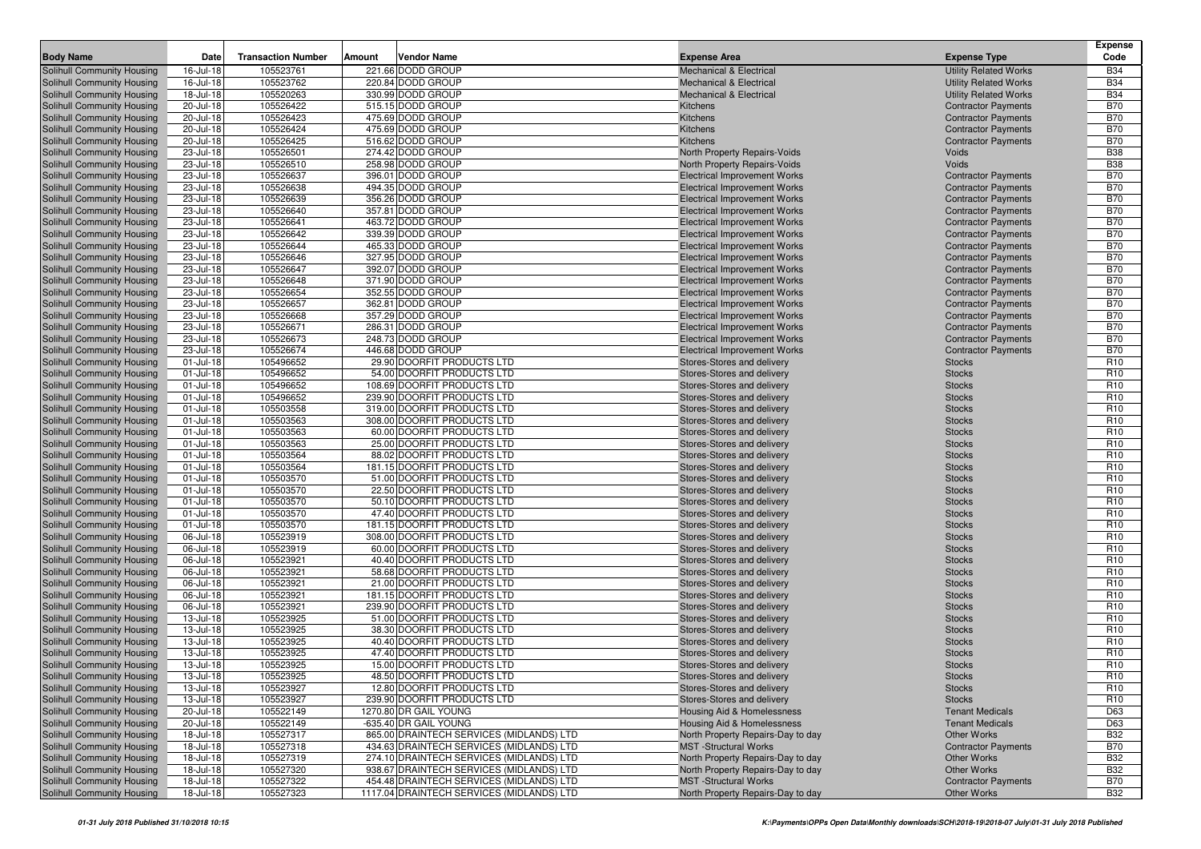|                                   |              |                           |        |                                           |                                                                     |                              | Expense         |
|-----------------------------------|--------------|---------------------------|--------|-------------------------------------------|---------------------------------------------------------------------|------------------------------|-----------------|
| <b>Body Name</b>                  | <b>Date</b>  | <b>Transaction Number</b> | Amount | Vendor Name                               | <b>Expense Area</b>                                                 | <b>Expense Type</b>          | Code            |
| Solihull Community Housing        | 16-Jul-18    | 105523761                 |        | 221.66 DODD GROUP                         | <b>Mechanical &amp; Electrical</b>                                  | <b>Utility Related Works</b> | <b>B34</b>      |
| Solihull Community Housing        | 16-Jul-18    | 105523762                 |        | 220.84 DODD GROUP                         | Mechanical & Electrical                                             | <b>Utility Related Works</b> | <b>B34</b>      |
| Solihull Community Housing        | 18-Jul-18    | 105520263                 |        | 330.99 DODD GROUP                         | <b>Mechanical &amp; Electrical</b>                                  | <b>Utility Related Works</b> | <b>B34</b>      |
| Solihull Community Housing        | 20-Jul-18    | 105526422                 |        | 515.15 DODD GROUP                         | Kitchens                                                            | <b>Contractor Payments</b>   | <b>B70</b>      |
| Solihull Community Housing        | 20-Jul-18    | 105526423                 |        | 475.69 DODD GROUP                         | Kitchens                                                            | <b>Contractor Payments</b>   | <b>B70</b>      |
| Solihull Community Housing        | 20-Jul-18    | 105526424                 |        | 475.69 DODD GROUP                         | Kitchens                                                            | <b>Contractor Payments</b>   | <b>B70</b>      |
| Solihull Community Housing        | 20-Jul-18    | 105526425                 |        | 516.62 DODD GROUP                         | Kitchens                                                            | <b>Contractor Payments</b>   | <b>B70</b>      |
| Solihull Community Housing        | 23-Jul-18    | 105526501                 |        | 274.42 DODD GROUP                         | North Property Repairs-Voids                                        | Voids                        | <b>B38</b>      |
| Solihull Community Housing        | 23-Jul-18    | 105526510                 |        | 258.98 DODD GROUP                         |                                                                     | Voids                        | <b>B38</b>      |
| Solihull Community Housing        | 23-Jul-18    | 105526637                 |        | 396.01 DODD GROUP                         | North Property Repairs-Voids<br><b>Electrical Improvement Works</b> |                              | <b>B70</b>      |
|                                   |              |                           |        | 494.35 DODD GROUP                         | <b>Electrical Improvement Works</b>                                 | <b>Contractor Payments</b>   | <b>B70</b>      |
| Solihull Community Housing        | 23-Jul-18    | 105526638                 |        |                                           |                                                                     | <b>Contractor Payments</b>   |                 |
| Solihull Community Housing        | 23-Jul-18    | 105526639                 |        | 356.26 DODD GROUP                         | <b>Electrical Improvement Works</b>                                 | <b>Contractor Payments</b>   | <b>B70</b>      |
| Solihull Community Housing        | 23-Jul-18    | 105526640                 |        | 357.81 DODD GROUP                         | <b>Electrical Improvement Works</b>                                 | <b>Contractor Payments</b>   | <b>B70</b>      |
| Solihull Community Housing        | 23-Jul-18    | 105526641                 |        | 463.72 DODD GROUP                         | <b>Electrical Improvement Works</b>                                 | <b>Contractor Payments</b>   | <b>B70</b>      |
| Solihull Community Housing        | 23-Jul-18    | 105526642                 |        | 339.39 DODD GROUP                         | <b>Electrical Improvement Works</b>                                 | <b>Contractor Payments</b>   | <b>B70</b>      |
| Solihull Community Housing        | 23-Jul-18    | 105526644                 |        | 465.33 DODD GROUP                         | <b>Electrical Improvement Works</b>                                 | <b>Contractor Payments</b>   | <b>B70</b>      |
| Solihull Community Housing        | 23-Jul-18    | 105526646                 |        | 327.95 DODD GROUP                         | <b>Electrical Improvement Works</b>                                 | <b>Contractor Payments</b>   | <b>B70</b>      |
| Solihull Community Housing        | 23-Jul-18    | 105526647                 |        | 392.07 DODD GROUP                         | <b>Electrical Improvement Works</b>                                 | <b>Contractor Payments</b>   | <b>B70</b>      |
| Solihull Community Housing        | 23-Jul-18    | 105526648                 |        | 371.90 DODD GROUP                         | <b>Electrical Improvement Works</b>                                 | <b>Contractor Payments</b>   | <b>B70</b>      |
| Solihull Community Housing        | 23-Jul-18    | 105526654                 |        | 352.55 DODD GROUP                         | <b>Electrical Improvement Works</b>                                 | <b>Contractor Payments</b>   | <b>B70</b>      |
| Solihull Community Housing        | 23-Jul-18    | 105526657                 |        | 362.81 DODD GROUP                         | <b>Electrical Improvement Works</b>                                 | <b>Contractor Payments</b>   | <b>B70</b>      |
| Solihull Community Housing        | 23-Jul-18    | 105526668                 |        | 357.29 DODD GROUP                         | <b>Electrical Improvement Works</b>                                 | <b>Contractor Payments</b>   | <b>B70</b>      |
| Solihull Community Housing        | 23-Jul-18    | 105526671                 |        | 286.31 DODD GROUP                         | <b>Electrical Improvement Works</b>                                 | <b>Contractor Payments</b>   | <b>B70</b>      |
| Solihull Community Housing        | 23-Jul-18    | 105526673                 |        | 248.73 DODD GROUP                         | <b>Electrical Improvement Works</b>                                 | <b>Contractor Payments</b>   | <b>B70</b>      |
| Solihull Community Housing        | 23-Jul-18    | 105526674                 |        | 446.68 DODD GROUP                         | <b>Electrical Improvement Works</b>                                 | <b>Contractor Payments</b>   | <b>B70</b>      |
| Solihull Community Housing        | 01-Jul-18    | 105496652                 |        | 29.90 DOORFIT PRODUCTS LTD                | Stores-Stores and delivery                                          | <b>Stocks</b>                | R <sub>10</sub> |
| Solihull Community Housing        | 01-Jul-18    | 105496652                 |        | 54.00 DOORFIT PRODUCTS LTD                | Stores-Stores and delivery                                          | <b>Stocks</b>                | R <sub>10</sub> |
| Solihull Community Housing        | 01-Jul-18    | 105496652                 |        | 108.69 DOORFIT PRODUCTS LTD               | Stores-Stores and delivery                                          | <b>Stocks</b>                | R <sub>10</sub> |
| Solihull Community Housing        | 01-Jul-18    | 105496652                 |        | 239.90 DOORFIT PRODUCTS LTD               | Stores-Stores and delivery                                          | <b>Stocks</b>                | R <sub>10</sub> |
| Solihull Community Housing        | 01-Jul-18    | 105503558                 |        | 319.00 DOORFIT PRODUCTS LTD               | Stores-Stores and delivery                                          | <b>Stocks</b>                | R <sub>10</sub> |
| Solihull Community Housing        | 01-Jul-18    | 105503563                 |        | 308.00 DOORFIT PRODUCTS LTD               | Stores-Stores and delivery                                          | <b>Stocks</b>                | R <sub>10</sub> |
| Solihull Community Housing        | 01-Jul-18    | 105503563                 |        | 60.00 DOORFIT PRODUCTS LTD                | Stores-Stores and delivery                                          | <b>Stocks</b>                | R <sub>10</sub> |
| Solihull Community Housing        | $01$ -Jul-18 | 105503563                 |        | 25.00 DOORFIT PRODUCTS LTD                | Stores-Stores and delivery                                          | <b>Stocks</b>                | R <sub>10</sub> |
| Solihull Community Housing        | 01-Jul-18    | 105503564                 |        | 88.02 DOORFIT PRODUCTS LTD                | Stores-Stores and delivery                                          | <b>Stocks</b>                | R <sub>10</sub> |
| Solihull Community Housing        | 01-Jul-18    | 105503564                 |        | 181.15 DOORFIT PRODUCTS LTD               | Stores-Stores and delivery                                          | <b>Stocks</b>                | R <sub>10</sub> |
| Solihull Community Housing        | 01-Jul-18    | 105503570                 |        | 51.00 DOORFIT PRODUCTS LTD                | Stores-Stores and delivery                                          | <b>Stocks</b>                | R <sub>10</sub> |
| Solihull Community Housing        | 01-Jul-18    | 105503570                 |        | 22.50 DOORFIT PRODUCTS LTD                | Stores-Stores and delivery                                          | <b>Stocks</b>                | R <sub>10</sub> |
| Solihull Community Housing        | 01-Jul-18    | 105503570                 |        | 50.10 DOORFIT PRODUCTS LTD                | Stores-Stores and delivery                                          | <b>Stocks</b>                | R <sub>10</sub> |
| Solihull Community Housing        | 01-Jul-18    | 105503570                 |        | 47.40 DOORFIT PRODUCTS LTD                | Stores-Stores and delivery                                          | <b>Stocks</b>                | R <sub>10</sub> |
| Solihull Community Housing        | 01-Jul-18    | 105503570                 |        | 181.15 DOORFIT PRODUCTS LTD               | Stores-Stores and delivery                                          | <b>Stocks</b>                | R <sub>10</sub> |
| Solihull Community Housing        | 06-Jul-18    | 105523919                 |        | 308.00 DOORFIT PRODUCTS LTD               | Stores-Stores and delivery                                          | <b>Stocks</b>                | R <sub>10</sub> |
| Solihull Community Housing        | 06-Jul-18    | 105523919                 |        | 60.00 DOORFIT PRODUCTS LTD                | Stores-Stores and delivery                                          | <b>Stocks</b>                | R <sub>10</sub> |
| Solihull Community Housing        | 06-Jul-18    | 105523921                 |        | 40.40 DOORFIT PRODUCTS LTD                | Stores-Stores and delivery                                          | <b>Stocks</b>                | R <sub>10</sub> |
| Solihull Community Housing        | 06-Jul-18    | 105523921                 |        | 58.68 DOORFIT PRODUCTS LTD                | Stores-Stores and delivery                                          | <b>Stocks</b>                | R <sub>10</sub> |
| Solihull Community Housing        | 06-Jul-18    | 105523921                 |        | 21.00 DOORFIT PRODUCTS LTD                | Stores-Stores and delivery                                          | <b>Stocks</b>                | R <sub>10</sub> |
| Solihull Community Housing        | 06-Jul-18    | 105523921                 |        | 181.15 DOORFIT PRODUCTS LTD               | Stores-Stores and delivery                                          | <b>Stocks</b>                | R <sub>10</sub> |
| Solihull Community Housing        | 06-Jul-18    | 105523921                 |        | 239.90 DOORFIT PRODUCTS LTD               | Stores-Stores and delivery                                          | <b>Stocks</b>                | R <sub>10</sub> |
| Solihull Community Housing        | 13-Jul-18    | 105523925                 |        | 51.00 DOORFIT PRODUCTS LTD                | Stores-Stores and delivery                                          | <b>Stocks</b>                | R <sub>10</sub> |
| Solihull Community Housing        | 13-Jul-18    | 105523925                 |        | 38.30 DOORFIT PRODUCTS LTD                | Stores-Stores and delivery                                          | <b>Stocks</b>                | R <sub>10</sub> |
| Solihull Community Housing        | 13-Jul-18    | 105523925                 |        | 40.40 DOORFIT PRODUCTS LTD                | Stores-Stores and delivery                                          | <b>Stocks</b>                | R <sub>10</sub> |
| Solihull Community Housing        | 13-Jul-18    | 105523925                 |        | 47.40 DOORFIT PRODUCTS LTD                | Stores-Stores and delivery                                          | <b>Stocks</b>                | R <sub>10</sub> |
| Solihull Community Housing        | 13-Jul-18    | 105523925                 |        | 15.00 DOORFIT PRODUCTS LTD                | Stores-Stores and delivery                                          | <b>Stocks</b>                | R <sub>10</sub> |
| Solihull Community Housing        | 13-Jul-18    | 105523925                 |        | 48.50 DOORFIT PRODUCTS LTD                | Stores-Stores and delivery                                          | <b>Stocks</b>                | R <sub>10</sub> |
| <b>Solihull Community Housing</b> | 13-Jul-18    | 105523927                 |        | 12.80 DOORFIT PRODUCTS LTD                | Stores-Stores and delivery                                          | <b>Stocks</b>                | R <sub>10</sub> |
| Solihull Community Housing        | 13-Jul-18    | 105523927                 |        | 239.90 DOORFIT PRODUCTS LTD               | Stores-Stores and delivery                                          | <b>Stocks</b>                | R <sub>10</sub> |
| Solihull Community Housing        | 20-Jul-18    | 105522149                 |        | 1270.80 DR GAIL YOUNG                     | <b>Housing Aid &amp; Homelessness</b>                               | <b>Tenant Medicals</b>       | D63             |
| Solihull Community Housing        | 20-Jul-18    | 105522149                 |        | -635.40 DR GAIL YOUNG                     | Housing Aid & Homelessness                                          | <b>Tenant Medicals</b>       | D63             |
| Solihull Community Housing        | 18-Jul-18    | 105527317                 |        | 865.00 DRAINTECH SERVICES (MIDLANDS) LTD  | North Property Repairs-Day to day                                   | Other Works                  | <b>B32</b>      |
| Solihull Community Housing        | 18-Jul-18    | 105527318                 |        | 434.63 DRAINTECH SERVICES (MIDLANDS) LTD  | <b>MST</b> -Structural Works                                        | <b>Contractor Payments</b>   | <b>B70</b>      |
| Solihull Community Housing        | 18-Jul-18    | 105527319                 |        | 274.10 DRAINTECH SERVICES (MIDLANDS) LTD  | North Property Repairs-Day to day                                   | Other Works                  | <b>B32</b>      |
| Solihull Community Housing        | 18-Jul-18    | 105527320                 |        | 938.67 DRAINTECH SERVICES (MIDLANDS) LTD  | North Property Repairs-Day to day                                   | Other Works                  | <b>B32</b>      |
| <b>Solihull Community Housing</b> | 18-Jul-18    | 105527322                 |        | 454.48 DRAINTECH SERVICES (MIDLANDS) LTD  | <b>MST</b> -Structural Works                                        | <b>Contractor Payments</b>   | <b>B70</b>      |
| <b>Solihull Community Housing</b> | 18-Jul-18    | 105527323                 |        | 1117.04 DRAINTECH SERVICES (MIDLANDS) LTD | North Property Repairs-Day to day                                   | Other Works                  | <b>B32</b>      |
|                                   |              |                           |        |                                           |                                                                     |                              |                 |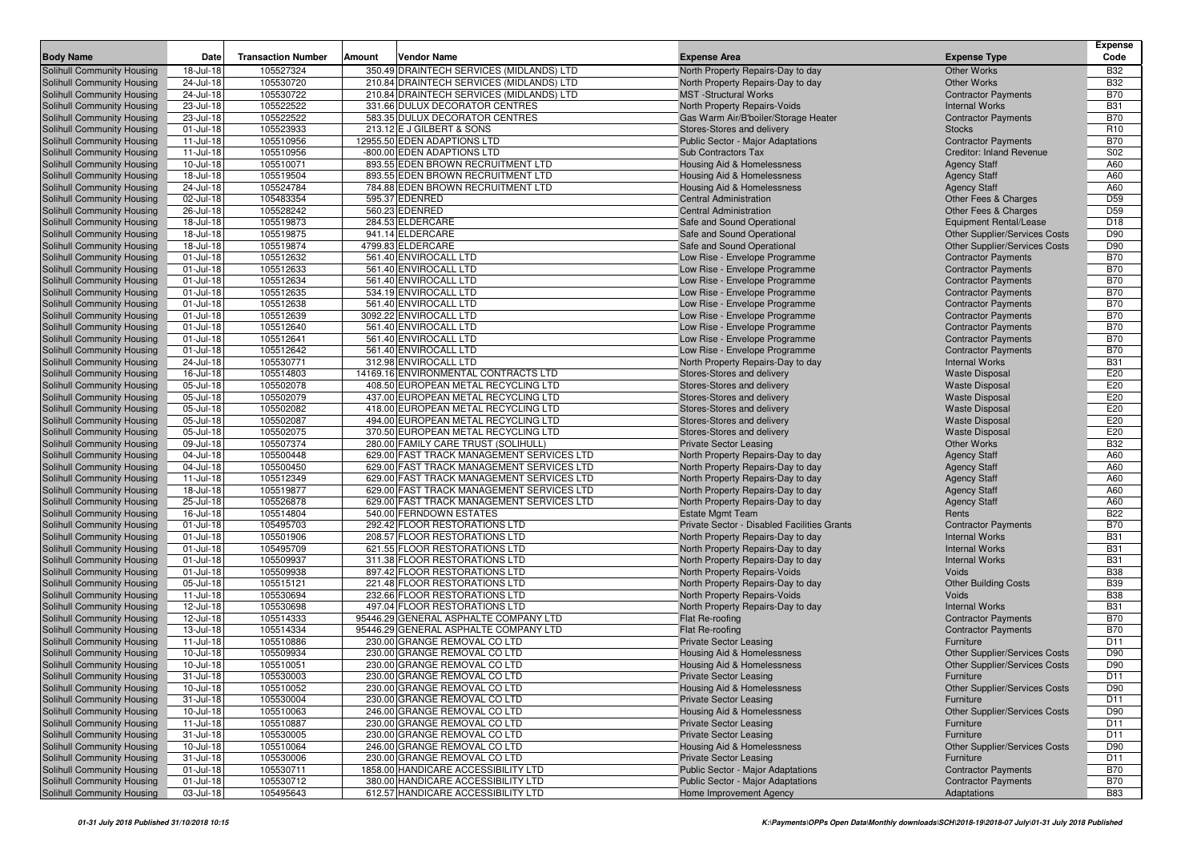| <b>Body Name</b>                                         | Date                   | <b>Transaction Number</b> | Amount | Vendor Name                                                    | <b>Expense Area</b>                                               | <b>Expense Type</b>                  | <b>Expense</b><br>Code   |
|----------------------------------------------------------|------------------------|---------------------------|--------|----------------------------------------------------------------|-------------------------------------------------------------------|--------------------------------------|--------------------------|
| Solihull Community Housing                               | 18-Jul-18              | 105527324                 |        | 350.49 DRAINTECH SERVICES (MIDLANDS) LTD                       | North Property Repairs-Day to day                                 | <b>Other Works</b>                   | <b>B32</b>               |
| Solihull Community Housing                               | 24-Jul-18              | 105530720                 |        | 210.84 DRAINTECH SERVICES (MIDLANDS) LTD                       | North Property Repairs-Day to day                                 | Other Works                          | <b>B32</b>               |
| Solihull Community Housing                               | 24-Jul-18              | 105530722                 |        | 210.84 DRAINTECH SERVICES (MIDLANDS) LTD                       | <b>MST</b> -Structural Works                                      | <b>Contractor Payments</b>           | <b>B70</b>               |
| Solihull Community Housing                               | 23-Jul-18              | 105522522                 |        | 331.66 DULUX DECORATOR CENTRES                                 | North Property Repairs-Voids                                      | <b>Internal Works</b>                | <b>B31</b>               |
| Solihull Community Housing                               | 23-Jul-18              | 105522522                 |        | 583.35 DULUX DECORATOR CENTRES                                 | Gas Warm Air/B'boiler/Storage Heater                              | <b>Contractor Payments</b>           | <b>B70</b>               |
| Solihull Community Housing                               | 01-Jul-18              | 105523933                 |        | 213.12 E J GILBERT & SONS                                      | Stores-Stores and delivery                                        | <b>Stocks</b>                        | R <sub>10</sub>          |
| Solihull Community Housing                               | $11 -$ Jul-18          | 105510956                 |        | 12955.50 EDEN ADAPTIONS LTD                                    | <b>Public Sector - Major Adaptations</b>                          | <b>Contractor Payments</b>           | <b>B70</b>               |
| Solihull Community Housing                               | $11 -$ Jul-18          | 105510956                 |        | -800.00 EDEN ADAPTIONS LTD                                     | <b>Sub Contractors Tax</b>                                        | <b>Creditor: Inland Revenue</b>      | S02                      |
| Solihull Community Housing                               | 10-Jul-18              | 105510071                 |        | 893.55 EDEN BROWN RECRUITMENT LTD                              | Housing Aid & Homelessness                                        | <b>Agency Staff</b>                  | A60                      |
| Solihull Community Housing                               | 18-Jul-18              | 105519504                 |        | 893.55 EDEN BROWN RECRUITMENT LTD                              | Housing Aid & Homelessness                                        | <b>Agency Staff</b>                  | A60                      |
| Solihull Community Housing                               | 24-Jul-18              | 105524784                 |        | 784.88 EDEN BROWN RECRUITMENT LTD                              | <b>Housing Aid &amp; Homelessness</b>                             | <b>Agency Staff</b>                  | A60                      |
| Solihull Community Housing                               | 02-Jul-18              | 105483354                 |        | 595.37 EDENRED                                                 | <b>Central Administration</b>                                     | Other Fees & Charges                 | D <sub>59</sub>          |
| Solihull Community Housing                               | 26-Jul-18              | 105528242                 |        | 560.23 EDENRED                                                 | <b>Central Administration</b>                                     | Other Fees & Charges                 | D <sub>59</sub>          |
| Solihull Community Housing                               | 18-Jul-18              | 105519873                 |        | 284.53 ELDERCARE                                               | Safe and Sound Operational                                        | <b>Equipment Rental/Lease</b>        | D <sub>18</sub>          |
| Solihull Community Housing                               | 18-Jul-18              | 105519875                 |        | 941.14 ELDERCARE                                               | Safe and Sound Operational                                        | Other Supplier/Services Costs        | D90                      |
| Solihull Community Housing                               | 18-Jul-18              | 105519874                 |        | 4799.83 ELDERCARE                                              | Safe and Sound Operational                                        | Other Supplier/Services Costs        | D90                      |
| Solihull Community Housing                               | 01-Jul-18              | 105512632                 |        | 561.40 ENVIROCALL LTD                                          | Low Rise - Envelope Programme                                     | <b>Contractor Payments</b>           | <b>B70</b>               |
| Solihull Community Housing                               | 01-Jul-18              | 105512633                 |        | 561.40 ENVIROCALL LTD                                          | Low Rise - Envelope Programme                                     | <b>Contractor Payments</b>           | <b>B70</b>               |
| Solihull Community Housing                               | 01-Jul-18              | 105512634                 |        | 561.40 ENVIROCALL LTD                                          | Low Rise - Envelope Programme                                     | <b>Contractor Payments</b>           | <b>B70</b>               |
| Solihull Community Housing                               | 01-Jul-18              | 105512635                 |        | 534.19 ENVIROCALL LTD                                          | Low Rise - Envelope Programme                                     | <b>Contractor Payments</b>           | <b>B70</b>               |
| Solihull Community Housing                               | 01-Jul-18              | 105512638                 |        | 561.40 ENVIROCALL LTD                                          | Low Rise - Envelope Programme                                     | <b>Contractor Payments</b>           | <b>B70</b>               |
| Solihull Community Housing                               | 01-Jul-18              | 105512639                 |        | 3092.22 ENVIROCALL LTD                                         | Low Rise - Envelope Programme                                     | <b>Contractor Payments</b>           | <b>B70</b>               |
| Solihull Community Housing                               | 01-Jul-18              | 105512640                 |        | 561.40 ENVIROCALL LTD                                          | Low Rise - Envelope Programme                                     | <b>Contractor Payments</b>           | <b>B70</b>               |
| Solihull Community Housing                               | $01$ -Jul-18           | 105512641                 |        | 561.40 ENVIROCALL LTD                                          | Low Rise - Envelope Programme                                     | <b>Contractor Payments</b>           | <b>B70</b>               |
| Solihull Community Housing                               | 01-Jul-18              | 105512642                 |        | 561.40 ENVIROCALL LTD                                          | Low Rise - Envelope Programme                                     | <b>Contractor Payments</b>           | <b>B70</b>               |
| Solihull Community Housing                               | 24-Jul-18              | 105530771                 |        | 312.98 ENVIROCALL LTD                                          | North Property Repairs-Day to day                                 | <b>Internal Works</b>                | <b>B31</b>               |
| Solihull Community Housing                               | 16-Jul-18              | 105514803                 |        | 14169.16 ENVIRONMENTAL CONTRACTS LTD                           | Stores-Stores and delivery                                        | <b>Waste Disposal</b>                | E20                      |
| Solihull Community Housing                               | 05-Jul-18              | 105502078                 |        | 408.50 EUROPEAN METAL RECYCLING LTD                            | Stores-Stores and delivery                                        | <b>Waste Disposal</b>                | E20                      |
| Solihull Community Housing                               | 05-Jul-18              | 105502079                 |        | 437.00 EUROPEAN METAL RECYCLING LTD                            | Stores-Stores and delivery                                        | <b>Waste Disposal</b>                | E20                      |
| Solihull Community Housing                               | 05-Jul-18              | 105502082                 |        | 418.00 EUROPEAN METAL RECYCLING LTD                            | Stores-Stores and delivery                                        | <b>Waste Disposal</b>                | E20                      |
| Solihull Community Housing                               | 05-Jul-18              | 105502087                 |        | 494.00 EUROPEAN METAL RECYCLING LTD                            | Stores-Stores and delivery                                        | <b>Waste Disposal</b>                | E20                      |
| Solihull Community Housing                               | 05-Jul-18              | 105502075                 |        | 370.50 EUROPEAN METAL RECYCLING LTD                            | Stores-Stores and delivery                                        | <b>Waste Disposal</b>                | E20                      |
| <b>Solihull Community Housing</b>                        | 09-Jul-18              | 105507374                 |        | 280.00 FAMILY CARE TRUST (SOLIHULL)                            | <b>Private Sector Leasing</b>                                     | <b>Other Works</b>                   | <b>B32</b>               |
| Solihull Community Housing                               | 04-Jul-18              | 105500448                 |        | 629.00 FAST TRACK MANAGEMENT SERVICES LTD                      | North Property Repairs-Day to day                                 | <b>Agency Staff</b>                  | A60                      |
| Solihull Community Housing                               | 04-Jul-18              | 105500450                 |        | 629.00 FAST TRACK MANAGEMENT SERVICES LTD                      | North Property Repairs-Day to day                                 | <b>Agency Staff</b>                  | A60                      |
| Solihull Community Housing                               | $11 -$ Jul-18          | 105512349                 |        | 629.00 FAST TRACK MANAGEMENT SERVICES LTD                      | North Property Repairs-Day to day                                 | <b>Agency Staff</b>                  | A60                      |
| Solihull Community Housing                               | 18-Jul-18              | 105519877                 |        | 629.00 FAST TRACK MANAGEMENT SERVICES LTD                      | North Property Repairs-Day to day                                 | <b>Agency Staff</b>                  | A60                      |
| Solihull Community Housing                               | 25-Jul-18              | 105526878                 |        | 629.00 FAST TRACK MANAGEMENT SERVICES LTD                      | North Property Repairs-Day to day                                 | <b>Agency Staff</b>                  | A60                      |
| Solihull Community Housing                               | 16-Jul-18              | 105514804                 |        | 540.00 FERNDOWN ESTATES                                        | <b>Estate Mgmt Team</b>                                           | Rents                                | <b>B22</b>               |
| Solihull Community Housing                               | 01-Jul-18              | 105495703                 |        | 292.42 FLOOR RESTORATIONS LTD                                  | Private Sector - Disabled Facilities Grants                       | <b>Contractor Payments</b>           | <b>B70</b>               |
| <b>Solihull Community Housing</b>                        | 01-Jul-18              | 105501906                 |        | 208.57 FLOOR RESTORATIONS LTD                                  | North Property Repairs-Day to day                                 | <b>Internal Works</b>                | <b>B31</b>               |
| Solihull Community Housing                               | $01$ -Jul-18           | 105495709                 |        | 621.55 FLOOR RESTORATIONS LTD                                  | North Property Repairs-Day to day                                 | <b>Internal Works</b>                | <b>B31</b>               |
| Solihull Community Housing                               | 01-Jul-18              | 105509937                 |        | 311.38 FLOOR RESTORATIONS LTD                                  | North Property Repairs-Day to day                                 | <b>Internal Works</b>                | <b>B31</b><br><b>B38</b> |
| Solihull Community Housing                               | 01-Jul-18<br>05-Jul-18 | 105509938<br>105515121    |        | 897.42 FLOOR RESTORATIONS LTD<br>221.48 FLOOR RESTORATIONS LTD | North Property Repairs-Voids                                      | Voids                                | <b>B39</b>               |
| Solihull Community Housing<br>Solihull Community Housing | $11$ -Jul-18           | 105530694                 |        | 232.66 FLOOR RESTORATIONS LTD                                  | North Property Repairs-Day to day                                 | <b>Other Building Costs</b><br>Voids | <b>B38</b>               |
| Solihull Community Housing                               | 12-Jul-18              | 105530698                 |        | 497.04 FLOOR RESTORATIONS LTD                                  | North Property Repairs-Voids<br>North Property Repairs-Day to day | <b>Internal Works</b>                | <b>B31</b>               |
| Solihull Community Housing                               | 12-Jul-18              | 105514333                 |        | 95446.29 GENERAL ASPHALTE COMPANY LTD                          | Flat Re-roofing                                                   | <b>Contractor Payments</b>           | <b>B70</b>               |
| Solihull Community Housing                               | 13-Jul-18              | 105514334                 |        | 95446.29 GENERAL ASPHALTE COMPANY LTD                          | Flat Re-roofing                                                   | <b>Contractor Payments</b>           | <b>B70</b>               |
| Solihull Community Housing                               | 11-Jul-18              | 105510886                 |        | 230.00 GRANGE REMOVAL CO LTD                                   | <b>Private Sector Leasing</b>                                     | Furniture                            | D <sub>11</sub>          |
| Solihull Community Housing                               | 10-Jul-18              | 105509934                 |        | 230.00 GRANGE REMOVAL CO LTD                                   | <b>Housing Aid &amp; Homelessness</b>                             | <b>Other Supplier/Services Costs</b> | D90                      |
| Solihull Community Housing                               | 10-Jul-18              | 105510051                 |        | 230.00 GRANGE REMOVAL CO LTD                                   | Housing Aid & Homelessness                                        | Other Supplier/Services Costs        | D90                      |
| Solihull Community Housing                               | $31 -$ Jul-18          | 105530003                 |        | 230.00 GRANGE REMOVAL CO LTD                                   | <b>Private Sector Leasing</b>                                     | Furniture                            | D11                      |
| Solihull Community Housing                               | 10-Jul-18              | 105510052                 |        | 230.00 GRANGE REMOVAL CO LTD                                   | <b>Housing Aid &amp; Homelessness</b>                             | Other Supplier/Services Costs        | D90                      |
| Solihull Community Housing                               | $31 -$ Jul-18          | 105530004                 |        | 230.00 GRANGE REMOVAL CO LTD                                   | <b>Private Sector Leasing</b>                                     | Furniture                            | D <sub>11</sub>          |
| Solihull Community Housing                               | 10-Jul-18              | 105510063                 |        | 246.00 GRANGE REMOVAL CO LTD                                   | Housing Aid & Homelessness                                        | Other Supplier/Services Costs        | D90                      |
| Solihull Community Housing                               | 11-Jul-18              | 105510887                 |        | 230.00 GRANGE REMOVAL CO LTD                                   | <b>Private Sector Leasing</b>                                     | Furniture                            | D11                      |
| Solihull Community Housing                               | $31 -$ Jul-18          | 105530005                 |        | 230.00 GRANGE REMOVAL CO LTD                                   | <b>Private Sector Leasing</b>                                     | Furniture                            | D11                      |
| Solihull Community Housing                               | 10-Jul-18              | 105510064                 |        | 246.00 GRANGE REMOVAL CO LTD                                   | Housing Aid & Homelessness                                        | Other Supplier/Services Costs        | D90                      |
| Solihull Community Housing                               | $31 -$ Jul-18          | 105530006                 |        | 230.00 GRANGE REMOVAL CO LTD                                   | <b>Private Sector Leasing</b>                                     | Furniture                            | D11                      |
| Solihull Community Housing                               | 01-Jul-18              | 105530711                 |        | 1858.00 HANDICARE ACCESSIBILITY LTD                            | Public Sector - Major Adaptations                                 | <b>Contractor Payments</b>           | <b>B70</b>               |
| Solihull Community Housing                               | 01-Jul-18              | 105530712                 |        | 380.00 HANDICARE ACCESSIBILITY LTD                             | Public Sector - Major Adaptations                                 | <b>Contractor Payments</b>           | <b>B70</b>               |
| Solihull Community Housing                               | 03-Jul-18              | 105495643                 |        | 612.57 HANDICARE ACCESSIBILITY LTD                             | Home Improvement Agency                                           | Adaptations                          | <b>B83</b>               |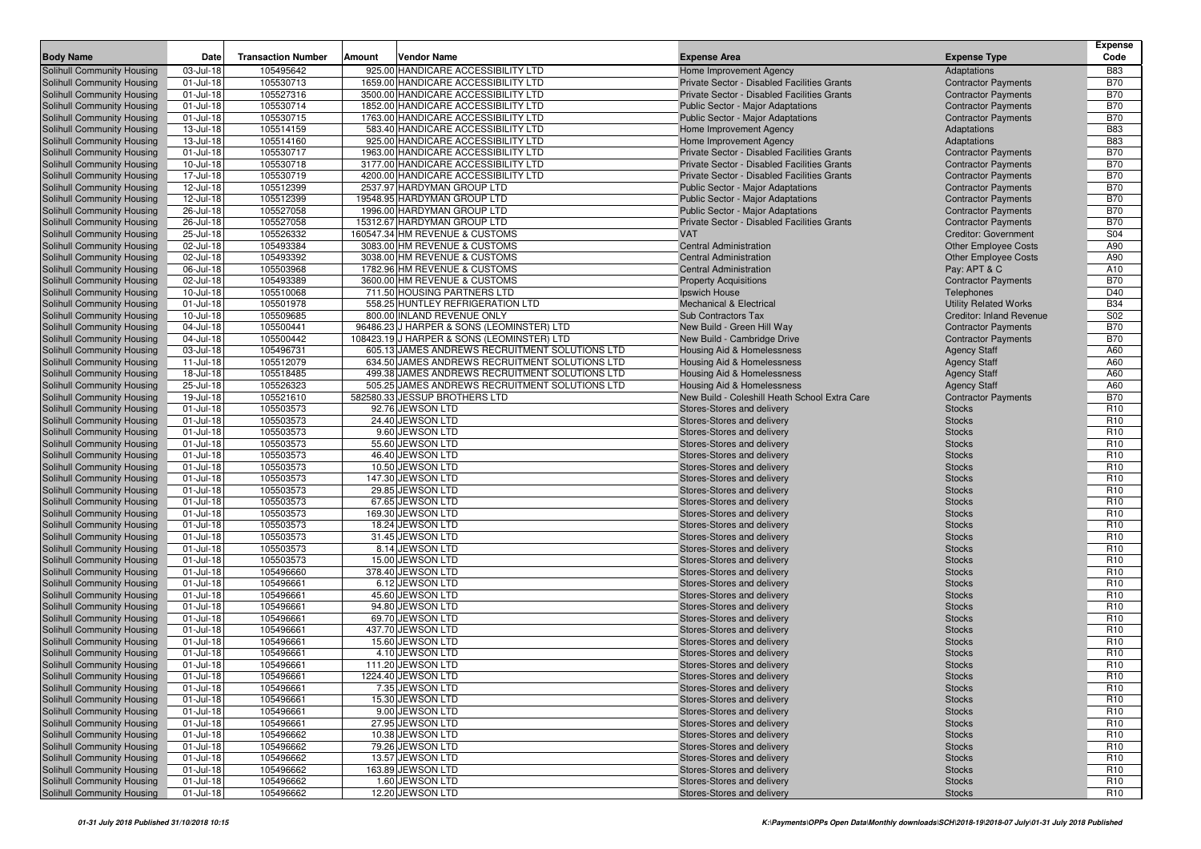| <b>Body Name</b>                  | Date         | <b>Transaction Number</b> | Amount | Vendor Name                                    | <b>Expense Area</b>                           | <b>Expense Type</b>             | Expense<br>Code |
|-----------------------------------|--------------|---------------------------|--------|------------------------------------------------|-----------------------------------------------|---------------------------------|-----------------|
| Solihull Community Housing        | 03-Jul-18    | 105495642                 |        | 925.00 HANDICARE ACCESSIBILITY LTD             | Home Improvement Agency                       | Adaptations                     | <b>B83</b>      |
| Solihull Community Housing        | $01$ -Jul-18 | 105530713                 |        | 1659.00 HANDICARE ACCESSIBILITY LTD            | Private Sector - Disabled Facilities Grants   | <b>Contractor Payments</b>      | <b>B70</b>      |
| Solihull Community Housing        | 01-Jul-18    | 105527316                 |        | 3500.00 HANDICARE ACCESSIBILITY LTD            | Private Sector - Disabled Facilities Grants   | <b>Contractor Payments</b>      | <b>B70</b>      |
| Solihull Community Housing        | 01-Jul-18    | 105530714                 |        | 1852.00 HANDICARE ACCESSIBILITY LTD            | <b>Public Sector - Major Adaptations</b>      | <b>Contractor Payments</b>      | <b>B70</b>      |
| Solihull Community Housing        | 01-Jul-18    | 105530715                 |        | 1763.00 HANDICARE ACCESSIBILITY LTD            | Public Sector - Major Adaptations             | <b>Contractor Payments</b>      | <b>B70</b>      |
| Solihull Community Housing        | 13-Jul-18    | 105514159                 |        | 583.40 HANDICARE ACCESSIBILITY LTD             | Home Improvement Agency                       | Adaptations                     | <b>B83</b>      |
| Solihull Community Housing        | 13-Jul-18    | 105514160                 |        | 925.00 HANDICARE ACCESSIBILITY LTD             | Home Improvement Agency                       | Adaptations                     | <b>B83</b>      |
| Solihull Community Housing        | 01-Jul-18    | 105530717                 |        | 1963.00 HANDICARE ACCESSIBILITY LTD            | Private Sector - Disabled Facilities Grants   | <b>Contractor Payments</b>      | <b>B70</b>      |
| Solihull Community Housing        | 10-Jul-18    | 105530718                 |        | 3177.00 HANDICARE ACCESSIBILITY LTD            | Private Sector - Disabled Facilities Grants   | <b>Contractor Payments</b>      | <b>B70</b>      |
| Solihull Community Housing        | 17-Jul-18    | 105530719                 |        | 4200.00 HANDICARE ACCESSIBILITY LTD            | Private Sector - Disabled Facilities Grants   | <b>Contractor Payments</b>      | <b>B70</b>      |
| Solihull Community Housing        | 12-Jul-18    | 105512399                 |        | 2537.97 HARDYMAN GROUP LTD                     | <b>Public Sector - Major Adaptations</b>      | <b>Contractor Payments</b>      | <b>B70</b>      |
| Solihull Community Housing        | 12-Jul-18    | 105512399                 |        | 19548.95 HARDYMAN GROUP LTD                    | Public Sector - Major Adaptations             | <b>Contractor Payments</b>      | <b>B70</b>      |
| Solihull Community Housing        | 26-Jul-18    | 105527058                 |        | 1996.00 HARDYMAN GROUP LTD                     | Public Sector - Major Adaptations             | <b>Contractor Payments</b>      | <b>B70</b>      |
| Solihull Community Housing        | 26-Jul-18    | 105527058                 |        | 15312.67 HARDYMAN GROUP LTD                    | Private Sector - Disabled Facilities Grants   | <b>Contractor Payments</b>      | <b>B70</b>      |
| Solihull Community Housing        | 25-Jul-18    | 105526332                 |        | 160547.34 HM REVENUE & CUSTOMS                 | <b>VAT</b>                                    | <b>Creditor: Government</b>     | S04             |
| Solihull Community Housing        | 02-Jul-18    | 105493384                 |        | 3083.00 HM REVENUE & CUSTOMS                   | <b>Central Administration</b>                 | <b>Other Employee Costs</b>     | A90             |
| Solihull Community Housing        | 02-Jul-18    | 105493392                 |        | 3038.00 HM REVENUE & CUSTOMS                   | <b>Central Administration</b>                 | <b>Other Employee Costs</b>     | A90             |
| Solihull Community Housing        | 06-Jul-18    | 105503968                 |        | 1782.96 HM REVENUE & CUSTOMS                   | <b>Central Administration</b>                 | Pay: APT & C                    | A10             |
| Solihull Community Housing        | 02-Jul-18    | 105493389                 |        | 3600.00 HM REVENUE & CUSTOMS                   | <b>Property Acquisitions</b>                  | <b>Contractor Payments</b>      | <b>B70</b>      |
| Solihull Community Housing        | 10-Jul-18    | 105510068                 |        | 711.50 HOUSING PARTNERS LTD                    | Ipswich House                                 | Telephones                      | D40             |
| Solihull Community Housing        | 01-Jul-18    | 105501978                 |        | 558.25 HUNTLEY REFRIGERATION LTD               | <b>Mechanical &amp; Electrical</b>            | <b>Utility Related Works</b>    | <b>B34</b>      |
| Solihull Community Housing        | 10-Jul-18    | 105509685                 |        | 800.00 INLAND REVENUE ONLY                     | Sub Contractors Tax                           | <b>Creditor: Inland Revenue</b> | S02             |
| Solihull Community Housing        | 04-Jul-18    | 105500441                 |        | 96486.23 J HARPER & SONS (LEOMINSTER) LTD      | New Build - Green Hill Way                    | <b>Contractor Payments</b>      | <b>B70</b>      |
| Solihull Community Housing        | 04-Jul-18    | 105500442                 |        | 108423.19 J HARPER & SONS (LEOMINSTER) LTD     | New Build - Cambridge Drive                   | <b>Contractor Payments</b>      | <b>B70</b>      |
| Solihull Community Housing        | 03-Jul-18    | 105496731                 |        | 605.13 JAMES ANDREWS RECRUITMENT SOLUTIONS LTD | <b>Housing Aid &amp; Homelessness</b>         | <b>Agency Staff</b>             | A60             |
| Solihull Community Housing        | 11-Jul-18    | 105512079                 |        | 634.50 JAMES ANDREWS RECRUITMENT SOLUTIONS LTD | Housing Aid & Homelessness                    | <b>Agency Staff</b>             | A60             |
| Solihull Community Housing        | 18-Jul-18    | 105518485                 |        | 499.38 JAMES ANDREWS RECRUITMENT SOLUTIONS LTD | Housing Aid & Homelessness                    | <b>Agency Staff</b>             | A60             |
| Solihull Community Housing        | 25-Jul-18    | 105526323                 |        | 505.25 JAMES ANDREWS RECRUITMENT SOLUTIONS LTD | Housing Aid & Homelessness                    | <b>Agency Staff</b>             | A60             |
| Solihull Community Housing        | 19-Jul-18    | 105521610                 |        | 582580.33 JESSUP BROTHERS LTD                  | New Build - Coleshill Heath School Extra Care | <b>Contractor Payments</b>      | <b>B70</b>      |
| Solihull Community Housing        | 01-Jul-18    | 105503573                 |        | 92.76 JEWSON LTD                               | Stores-Stores and delivery                    | <b>Stocks</b>                   | R <sub>10</sub> |
| Solihull Community Housing        | 01-Jul-18    | 105503573                 |        | 24.40 JEWSON LTD                               | Stores-Stores and delivery                    | <b>Stocks</b>                   | R <sub>10</sub> |
| Solihull Community Housing        | 01-Jul-18    | 105503573                 |        | 9.60 JEWSON LTD                                | Stores-Stores and delivery                    | <b>Stocks</b>                   | R <sub>10</sub> |
| Solihull Community Housing        | 01-Jul-18    | 105503573                 |        | 55.60 JEWSON LTD                               | Stores-Stores and delivery                    | <b>Stocks</b>                   | R <sub>10</sub> |
| Solihull Community Housing        | 01-Jul-18    | 105503573                 |        | 46.40 JEWSON LTD                               | Stores-Stores and delivery                    | <b>Stocks</b>                   | R <sub>10</sub> |
| Solihull Community Housing        | 01-Jul-18    | 105503573                 |        | 10.50 JEWSON LTD                               | Stores-Stores and delivery                    | <b>Stocks</b>                   | R <sub>10</sub> |
| Solihull Community Housing        | 01-Jul-18    | 105503573                 |        | 147.30 JEWSON LTD                              | Stores-Stores and delivery                    | <b>Stocks</b>                   | R <sub>10</sub> |
| Solihull Community Housing        | 01-Jul-18    | 105503573                 |        | 29.85 JEWSON LTD                               | Stores-Stores and delivery                    | <b>Stocks</b>                   | R <sub>10</sub> |
| <b>Solihull Community Housing</b> | $01$ -Jul-18 | 105503573                 |        | 67.65 JEWSON LTD                               | Stores-Stores and delivery                    | <b>Stocks</b>                   | R <sub>10</sub> |
| <b>Solihull Community Housing</b> | 01-Jul-18    | 105503573                 |        | 169.30 JEWSON LTD                              | Stores-Stores and delivery                    | <b>Stocks</b>                   | R <sub>10</sub> |
| Solihull Community Housing        | 01-Jul-18    | 105503573                 |        | 18.24 JEWSON LTD                               | Stores-Stores and delivery                    | <b>Stocks</b>                   | R <sub>10</sub> |
| Solihull Community Housing        | 01-Jul-18    | 105503573                 |        | 31.45 JEWSON LTD                               | Stores-Stores and delivery                    | <b>Stocks</b>                   | R <sub>10</sub> |
| Solihull Community Housing        | 01-Jul-18    | 105503573                 |        | 8.14 JEWSON LTD                                | Stores-Stores and delivery                    | <b>Stocks</b>                   | R <sub>10</sub> |
| Solihull Community Housing        | 01-Jul-18    | 105503573                 |        | 15.00 JEWSON LTD                               | Stores-Stores and delivery                    | <b>Stocks</b>                   | R <sub>10</sub> |
| Solihull Community Housing        | 01-Jul-18    | 105496660                 |        | 378.40 JEWSON LTD                              | Stores-Stores and delivery                    | <b>Stocks</b>                   | R <sub>10</sub> |
| Solihull Community Housing        | $01$ -Jul-18 | 105496661                 |        | 6.12 JEWSON LTD                                | Stores-Stores and delivery                    | <b>Stocks</b>                   | R <sub>10</sub> |
| Solihull Community Housing        | 01-Jul-18    | 105496661                 |        | 45.60 JEWSON LTD                               | Stores-Stores and delivery                    | <b>Stocks</b>                   | R <sub>10</sub> |
| Solihull Community Housing        | 01-Jul-18    | 105496661                 |        | 94.80 JEWSON LTD                               | Stores-Stores and delivery                    | <b>Stocks</b>                   | R <sub>10</sub> |
| Solihull Community Housing        | 01-Jul-18    | 105496661                 |        | 69.70 JEWSON LTD                               | Stores-Stores and delivery                    | <b>Stocks</b>                   | R <sub>10</sub> |
| Solihull Community Housing        | 01-Jul-18    | 105496661                 |        | 437.70 JEWSON LTD                              | Stores-Stores and delivery                    | <b>Stocks</b>                   | R <sub>10</sub> |
| <b>Solihull Community Housing</b> | 01-Jul-18    | 105496661                 |        | 15.60 JEWSON LTD                               | Stores-Stores and delivery                    | <b>Stocks</b>                   | R <sub>10</sub> |
| Solihull Community Housing        | 01-Jul-18    | 105496661                 |        | 4.10 JEWSON LTD                                | Stores-Stores and delivery                    | <b>Stocks</b>                   | R <sub>10</sub> |
| Solihull Community Housing        | $01$ -Jul-18 | 105496661                 |        | 111.20 JEWSON LTD                              | Stores-Stores and delivery                    | <b>Stocks</b>                   | R <sub>10</sub> |
| Solihull Community Housing        | 01-Jul-18    | 105496661                 |        | 1224.40 JEWSON LTD                             | Stores-Stores and delivery                    | <b>Stocks</b>                   | R <sub>10</sub> |
| Solihull Community Housing        | 01-Jul-18    | 105496661                 |        | 7.35 JEWSON LTD                                | Stores-Stores and delivery                    | <b>Stocks</b>                   | R <sub>10</sub> |
| Solihull Community Housing        | 01-Jul-18    | 105496661                 |        | 15.30 JEWSON LTD                               | Stores-Stores and delivery                    | <b>Stocks</b>                   | R <sub>10</sub> |
| Solihull Community Housing        | 01-Jul-18    | 105496661                 |        | 9.00 JEWSON LTD                                | Stores-Stores and delivery                    | <b>Stocks</b>                   | R <sub>10</sub> |
| Solihull Community Housing        | 01-Jul-18    | 105496661                 |        | 27.95 JEWSON LTD                               | Stores-Stores and delivery                    | <b>Stocks</b>                   | R <sub>10</sub> |
| Solihull Community Housing        | 01-Jul-18    | 105496662                 |        | 10.38 JEWSON LTD                               | Stores-Stores and delivery                    | <b>Stocks</b>                   | R <sub>10</sub> |
| Solihull Community Housing        | 01-Jul-18    | 105496662                 |        | 79.26 JEWSON LTD                               | Stores-Stores and delivery                    | <b>Stocks</b>                   | R <sub>10</sub> |
| Solihull Community Housing        | 01-Jul-18    | 105496662                 |        | 13.57 JEWSON LTD                               | Stores-Stores and delivery                    | <b>Stocks</b>                   | R <sub>10</sub> |
| Solihull Community Housing        | 01-Jul-18    | 105496662                 |        | 163.89 JEWSON LTD                              | Stores-Stores and delivery                    | <b>Stocks</b>                   | R <sub>10</sub> |
| Solihull Community Housing        | 01-Jul-18    | 105496662                 |        | 1.60 JEWSON LTD                                | Stores-Stores and delivery                    | <b>Stocks</b>                   | R <sub>10</sub> |
| Solihull Community Housing        | 01-Jul-18    | 105496662                 |        | 12.20 JEWSON LTD                               | Stores-Stores and delivery                    | <b>Stocks</b>                   | R <sub>10</sub> |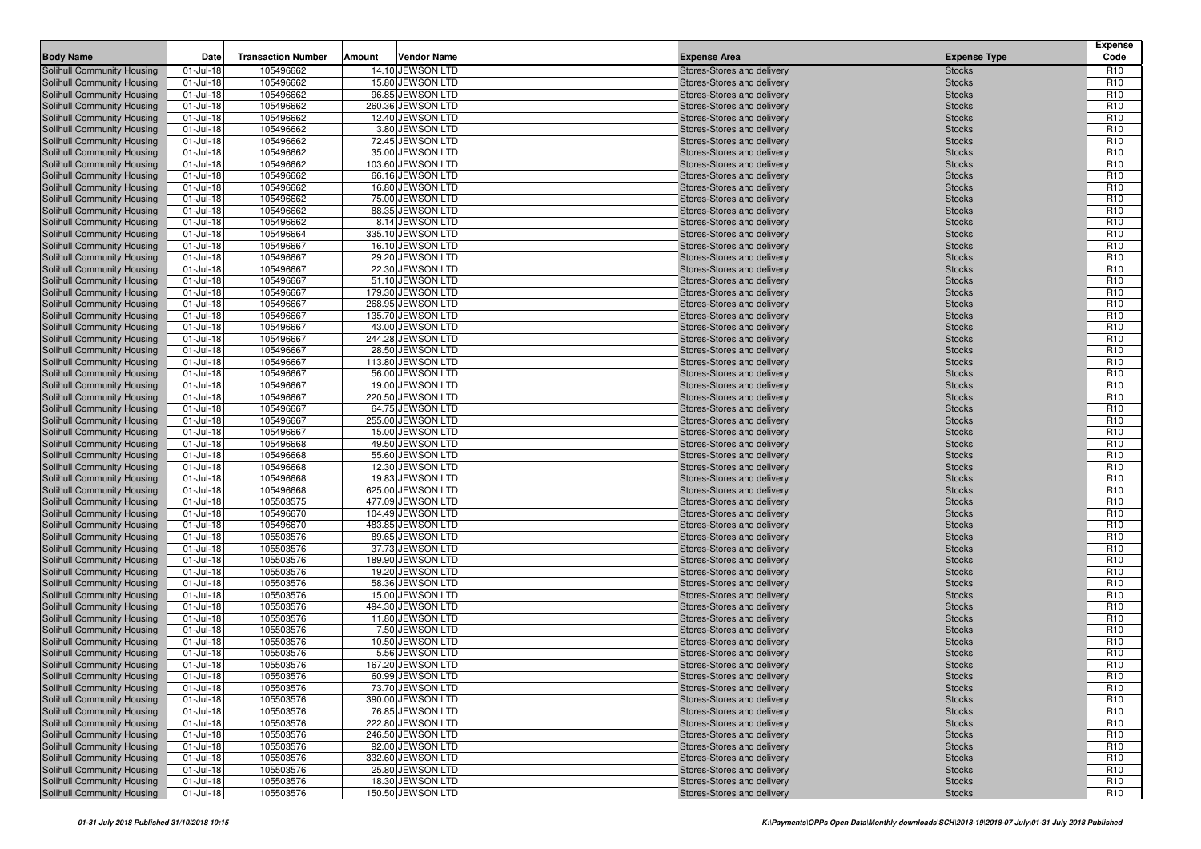| <b>Body Name</b>                                         | Date                       | <b>Transaction Number</b> | Amount | <b>Vendor Name</b>                   | <b>Expense Area</b>                                      | <b>Expense Type</b>            | <b>Expense</b><br>Code             |
|----------------------------------------------------------|----------------------------|---------------------------|--------|--------------------------------------|----------------------------------------------------------|--------------------------------|------------------------------------|
| Solihull Community Housing                               | 01-Jul-18                  | 105496662                 |        | 14.10 JEWSON LTD                     | Stores-Stores and delivery                               | <b>Stocks</b>                  | R <sub>10</sub>                    |
| Solihull Community Housing                               | $01 -$ Jul-18              | 105496662                 |        | 15.80 JEWSON LTD                     | Stores-Stores and delivery                               | <b>Stocks</b>                  | R <sub>10</sub>                    |
| Solihull Community Housing                               | 01-Jul-18                  | 105496662                 |        | 96.85 JEWSON LTD                     | Stores-Stores and delivery                               | <b>Stocks</b>                  | R <sub>10</sub>                    |
| Solihull Community Housing                               | 01-Jul-18                  | 105496662                 |        | 260.36 JEWSON LTD                    | Stores-Stores and delivery                               | <b>Stocks</b>                  | R <sub>10</sub>                    |
| Solihull Community Housing                               | 01-Jul-18                  | 105496662                 |        | 12.40 JEWSON LTD                     | Stores-Stores and delivery                               | <b>Stocks</b>                  | R <sub>10</sub>                    |
| Solihull Community Housing                               | $01 -$ Jul-18              | 105496662                 |        | 3.80 JEWSON LTD                      | Stores-Stores and delivery                               | <b>Stocks</b>                  | R <sub>10</sub>                    |
| Solihull Community Housing                               | 01-Jul-18                  | 105496662                 |        | 72.45 JEWSON LTD                     | Stores-Stores and delivery                               | <b>Stocks</b>                  | R <sub>10</sub>                    |
| Solihull Community Housing                               | 01-Jul-18                  | 105496662                 |        | 35.00 JEWSON LTD                     | Stores-Stores and delivery                               | <b>Stocks</b>                  | R <sub>10</sub>                    |
| Solihull Community Housing                               | 01-Jul-18                  | 105496662                 |        | 103.60 JEWSON LTD                    | Stores-Stores and delivery                               | <b>Stocks</b>                  | R <sub>10</sub>                    |
| Solihull Community Housing                               | $01 -$ Jul-18              | 105496662                 |        | 66.16 JEWSON LTD                     | Stores-Stores and delivery                               | <b>Stocks</b>                  | R <sub>10</sub>                    |
| Solihull Community Housing                               | 01-Jul-18                  | 105496662                 |        | 16.80 JEWSON LTD                     | Stores-Stores and delivery                               | <b>Stocks</b>                  | R <sub>10</sub>                    |
| Solihull Community Housing                               | 01-Jul-18                  | 105496662                 |        | 75.00 JEWSON LTD                     | Stores-Stores and delivery                               | <b>Stocks</b>                  | R <sub>10</sub>                    |
| Solihull Community Housing                               | $01 -$ Jul-18              | 105496662                 |        | 88.35 JEWSON LTD                     | Stores-Stores and delivery                               | <b>Stocks</b>                  | R <sub>10</sub>                    |
| Solihull Community Housing                               | 01-Jul-18                  | 105496662                 |        | 8.14 JEWSON LTD                      | Stores-Stores and delivery                               | <b>Stocks</b>                  | R <sub>10</sub>                    |
| Solihull Community Housing                               | 01-Jul-18                  | 105496664                 |        | 335.10 JEWSON LTD                    | Stores-Stores and delivery                               | <b>Stocks</b>                  | R <sub>10</sub>                    |
| Solihull Community Housing<br>Solihull Community Housing | 01-Jul-18<br>01-Jul-18     | 105496667<br>105496667    |        | 16.10 JEWSON LTD<br>29.20 JEWSON LTD | Stores-Stores and delivery<br>Stores-Stores and delivery | <b>Stocks</b><br><b>Stocks</b> | R <sub>10</sub><br>R <sub>10</sub> |
| Solihull Community Housing                               | 01-Jul-18                  | 105496667                 |        | 22.30 JEWSON LTD                     | Stores-Stores and delivery                               | <b>Stocks</b>                  | R <sub>10</sub>                    |
| Solihull Community Housing                               | 01-Jul-18                  | 105496667                 |        | 51.10 JEWSON LTD                     | Stores-Stores and delivery                               | <b>Stocks</b>                  | R <sub>10</sub>                    |
| Solihull Community Housing                               | $01 -$ Jul-18              | 105496667                 |        | 179.30 JEWSON LTD                    | Stores-Stores and delivery                               | <b>Stocks</b>                  | R <sub>10</sub>                    |
| Solihull Community Housing                               | $01 -$ Jul-18              | 105496667                 |        | 268.95 JEWSON LTD                    | Stores-Stores and delivery                               | <b>Stocks</b>                  | R <sub>10</sub>                    |
| Solihull Community Housing                               | 01-Jul-18                  | 105496667                 |        | 135.70 JEWSON LTD                    | Stores-Stores and delivery                               | <b>Stocks</b>                  | R <sub>10</sub>                    |
| Solihull Community Housing                               | 01-Jul-18                  | 105496667                 |        | 43.00 JEWSON LTD                     | Stores-Stores and delivery                               | <b>Stocks</b>                  | R <sub>10</sub>                    |
| Solihull Community Housing                               | $01 -$ Jul-18              | 105496667                 |        | 244.28 JEWSON LTD                    | Stores-Stores and delivery                               | <b>Stocks</b>                  | R <sub>10</sub>                    |
| Solihull Community Housing                               | 01-Jul-18                  | 105496667                 |        | 28.50 JEWSON LTD                     | Stores-Stores and delivery                               | <b>Stocks</b>                  | R <sub>10</sub>                    |
| Solihull Community Housing                               | 01-Jul-18                  | 105496667                 |        | 113.80 JEWSON LTD                    | Stores-Stores and delivery                               | <b>Stocks</b>                  | R <sub>10</sub>                    |
| Solihull Community Housing                               | 01-Jul-18                  | 105496667                 |        | 56.00 JEWSON LTD                     | Stores-Stores and delivery                               | <b>Stocks</b>                  | R <sub>10</sub>                    |
| Solihull Community Housing                               | 01-Jul-18                  | 105496667                 |        | 19.00 JEWSON LTD                     | Stores-Stores and delivery                               | <b>Stocks</b>                  | R <sub>10</sub>                    |
| Solihull Community Housing                               | 01-Jul-18                  | 105496667                 |        | 220.50 JEWSON LTD                    | Stores-Stores and delivery                               | <b>Stocks</b>                  | R <sub>10</sub>                    |
| Solihull Community Housing                               | 01-Jul-18                  | 105496667                 |        | 64.75 JEWSON LTD                     | Stores-Stores and delivery                               | <b>Stocks</b>                  | R <sub>10</sub>                    |
| Solihull Community Housing                               | $01 -$ Jul-18              | 105496667                 |        | 255.00 JEWSON LTD                    | Stores-Stores and delivery                               | <b>Stocks</b>                  | R <sub>10</sub>                    |
| Solihull Community Housing                               | 01-Jul-18                  | 105496667                 |        | 15.00 JEWSON LTD                     | Stores-Stores and delivery                               | <b>Stocks</b>                  | R <sub>10</sub>                    |
| Solihull Community Housing                               | 01-Jul-18                  | 105496668                 |        | 49.50 JEWSON LTD                     | Stores-Stores and delivery                               | <b>Stocks</b>                  | R <sub>10</sub>                    |
| Solihull Community Housing                               | 01-Jul-18                  | 105496668                 |        | 55.60 JEWSON LTD                     | Stores-Stores and delivery                               | <b>Stocks</b>                  | R <sub>10</sub>                    |
| Solihull Community Housing                               | $01 -$ Jul-18              | 105496668                 |        | 12.30 JEWSON LTD                     | Stores-Stores and delivery                               | <b>Stocks</b>                  | R <sub>10</sub>                    |
| Solihull Community Housing                               | 01-Jul-18                  | 105496668                 |        | 19.83 JEWSON LTD                     | Stores-Stores and delivery                               | <b>Stocks</b>                  | R <sub>10</sub>                    |
| Solihull Community Housing                               | $01 -$ Jul-18              | 105496668                 |        | 625.00 JEWSON LTD                    | Stores-Stores and delivery                               | <b>Stocks</b>                  | R <sub>10</sub>                    |
| Solihull Community Housing                               | $01$ -Jul-18               | 105503575                 |        | 477.09 JEWSON LTD                    | Stores-Stores and delivery                               | <b>Stocks</b>                  | R <sub>10</sub>                    |
| Solihull Community Housing                               | 01-Jul-18                  | 105496670                 |        | 104.49 JEWSON LTD                    | Stores-Stores and delivery                               | <b>Stocks</b>                  | R <sub>10</sub>                    |
| Solihull Community Housing                               | $01 -$ Jul-18              | 105496670                 |        | 483.85 JEWSON LTD                    | Stores-Stores and delivery                               | <b>Stocks</b>                  | R <sub>10</sub>                    |
| Solihull Community Housing                               | 01-Jul-18                  | 105503576                 |        | 89.65 JEWSON LTD                     | Stores-Stores and delivery                               | <b>Stocks</b>                  | R <sub>10</sub>                    |
| Solihull Community Housing                               | $01$ -Jul-18               | 105503576                 |        | 37.73 JEWSON LTD                     | Stores-Stores and delivery                               | <b>Stocks</b>                  | R <sub>10</sub>                    |
| Solihull Community Housing                               | 01-Jul-18                  | 105503576                 |        | 189.90 JEWSON LTD                    | Stores-Stores and delivery                               | <b>Stocks</b>                  | R <sub>10</sub>                    |
| Solihull Community Housing                               | 01-Jul-18<br>$01 -$ Jul-18 | 105503576<br>105503576    |        | 19.20 JEWSON LTD<br>58.36 JEWSON LTD | Stores-Stores and delivery                               | <b>Stocks</b>                  | R <sub>10</sub><br>R <sub>10</sub> |
| Solihull Community Housing<br>Solihull Community Housing | $01 -$ Jul-18              | 105503576                 |        | 15.00 JEWSON LTD                     | Stores-Stores and delivery<br>Stores-Stores and delivery | <b>Stocks</b><br><b>Stocks</b> | R <sub>10</sub>                    |
| Solihull Community Housing                               | 01-Jul-18                  | 105503576                 |        | 494.30 JEWSON LTD                    | Stores-Stores and delivery                               | <b>Stocks</b>                  | R <sub>10</sub>                    |
| Solihull Community Housing                               | $01 -$ Jul-18              | 105503576                 |        | 11.80 JEWSON LTD                     | Stores-Stores and delivery                               | <b>Stocks</b>                  | R <sub>10</sub>                    |
| Solihull Community Housing                               | $01 -$ Jul-18              | 105503576                 |        | 7.50 JEWSON LTD                      | Stores-Stores and delivery                               | <b>Stocks</b>                  | R <sub>10</sub>                    |
| Solihull Community Housing                               | 01-Jul-18                  | 105503576                 |        | 10.50 JEWSON LTD                     | Stores-Stores and delivery                               | <b>Stocks</b>                  | R <sub>10</sub>                    |
| Solihull Community Housing                               | 01-Jul-18                  | 105503576                 |        | 5.56 JEWSON LTD                      | Stores-Stores and delivery                               | <b>Stocks</b>                  | R <sub>10</sub>                    |
| Solihull Community Housing                               | $01$ -Jul-18               | 105503576                 |        | 167.20 JEWSON LTD                    | Stores-Stores and delivery                               | <b>Stocks</b>                  | R <sub>10</sub>                    |
| Solihull Community Housing                               | 01-Jul-18                  | 105503576                 |        | 60.99 JEWSON LTD                     | Stores-Stores and delivery                               | <b>Stocks</b>                  | R <sub>10</sub>                    |
| Solihull Community Housing                               | $01 -$ Jul-18              | 105503576                 |        | 73.70 JEWSON LTD                     | Stores-Stores and delivery                               | <b>Stocks</b>                  | R <sub>10</sub>                    |
| Solihull Community Housing                               | 01-Jul-18                  | 105503576                 |        | 390.00 JEWSON LTD                    | Stores-Stores and delivery                               | <b>Stocks</b>                  | R <sub>10</sub>                    |
| Solihull Community Housing                               | 01-Jul-18                  | 105503576                 |        | 76.85 JEWSON LTD                     | Stores-Stores and delivery                               | <b>Stocks</b>                  | R <sub>10</sub>                    |
| Solihull Community Housing                               | $01 -$ Jul-18              | 105503576                 |        | 222.80 JEWSON LTD                    | Stores-Stores and delivery                               | <b>Stocks</b>                  | R <sub>10</sub>                    |
| Solihull Community Housing                               | $01 -$ Jul-18              | 105503576                 |        | 246.50 JEWSON LTD                    | Stores-Stores and delivery                               | <b>Stocks</b>                  | R <sub>10</sub>                    |
| Solihull Community Housing                               | $01 -$ Jul-18              | 105503576                 |        | 92.00 JEWSON LTD                     | Stores-Stores and delivery                               | <b>Stocks</b>                  | R <sub>10</sub>                    |
| Solihull Community Housing                               | $01 -$ Jul-18              | 105503576                 |        | 332.60 JEWSON LTD                    | Stores-Stores and delivery                               | <b>Stocks</b>                  | R <sub>10</sub>                    |
| Solihull Community Housing                               | 01-Jul-18                  | 105503576                 |        | 25.80 JEWSON LTD                     | Stores-Stores and delivery                               | <b>Stocks</b>                  | R <sub>10</sub>                    |
| Solihull Community Housing                               | 01-Jul-18                  | 105503576                 |        | 18.30 JEWSON LTD                     | Stores-Stores and delivery                               | <b>Stocks</b>                  | R <sub>10</sub>                    |
| Solihull Community Housing                               | 01-Jul-18                  | 105503576                 |        | 150.50 JEWSON LTD                    | Stores-Stores and delivery                               | <b>Stocks</b>                  | R <sub>10</sub>                    |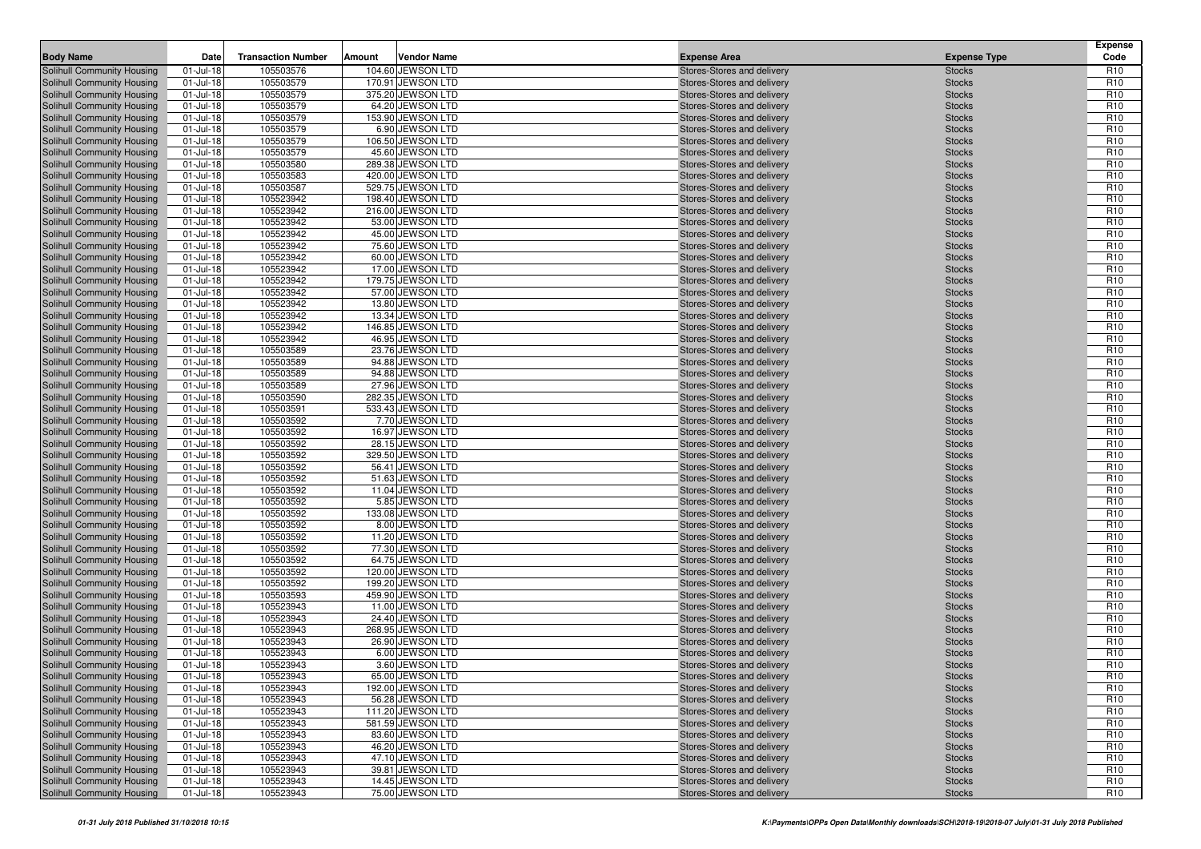| <b>Body Name</b>                                         | Date                          | <b>Transaction Number</b> | Amount | <b>Vendor Name</b>                     | <b>Expense Area</b>                                      | <b>Expense Type</b>            | Expense<br>Code                    |
|----------------------------------------------------------|-------------------------------|---------------------------|--------|----------------------------------------|----------------------------------------------------------|--------------------------------|------------------------------------|
| Solihull Community Housing                               | 01-Jul-18                     | 105503576                 |        | 104.60 JEWSON LTD                      | Stores-Stores and delivery                               | <b>Stocks</b>                  | R <sub>10</sub>                    |
| Solihull Community Housing                               | $01 -$ Jul-18                 | 105503579                 |        | 170.91 JEWSON LTD                      | Stores-Stores and delivery                               | <b>Stocks</b>                  | R <sub>10</sub>                    |
| Solihull Community Housing                               | 01-Jul-18                     | 105503579                 |        | 375.20 JEWSON LTD                      | Stores-Stores and delivery                               | <b>Stocks</b>                  | R <sub>10</sub>                    |
| Solihull Community Housing                               | $01 -$ Jul-18                 | 105503579                 |        | 64.20 JEWSON LTD                       | Stores-Stores and delivery                               | <b>Stocks</b>                  | R <sub>10</sub>                    |
| Solihull Community Housing                               | 01-Jul-18                     | 105503579                 |        | 153.90 JEWSON LTD                      | Stores-Stores and delivery                               | <b>Stocks</b>                  | R <sub>10</sub>                    |
| Solihull Community Housing                               | $01 -$ Jul-18                 | 105503579                 |        | 6.90 JEWSON LTD                        | Stores-Stores and delivery                               | <b>Stocks</b>                  | R <sub>10</sub>                    |
| Solihull Community Housing                               | 01-Jul-18                     | 105503579                 |        | 106.50 JEWSON LTD                      | Stores-Stores and delivery                               | <b>Stocks</b>                  | R <sub>10</sub>                    |
| Solihull Community Housing                               | 01-Jul-18                     | 105503579                 |        | 45.60 JEWSON LTD                       | Stores-Stores and delivery                               | <b>Stocks</b>                  | R <sub>10</sub>                    |
| Solihull Community Housing                               | 01-Jul-18                     | 105503580                 |        | 289.38 JEWSON LTD                      | Stores-Stores and delivery                               | <b>Stocks</b>                  | R <sub>10</sub>                    |
| Solihull Community Housing                               | $01 -$ Jul-18                 | 105503583                 |        | 420.00 JEWSON LTD                      | Stores-Stores and delivery                               | <b>Stocks</b>                  | R <sub>10</sub>                    |
| Solihull Community Housing                               | $01 -$ Jul-18                 | 105503587                 |        | 529.75 JEWSON LTD                      | Stores-Stores and delivery                               | <b>Stocks</b>                  | R <sub>10</sub>                    |
| Solihull Community Housing                               | 01-Jul-18                     | 105523942                 |        | 198.40 JEWSON LTD                      | Stores-Stores and delivery                               | <b>Stocks</b>                  | R <sub>10</sub>                    |
| Solihull Community Housing                               | $01 -$ Jul-18                 | 105523942                 |        | 216.00 JEWSON LTD                      | Stores-Stores and delivery                               | <b>Stocks</b>                  | R <sub>10</sub>                    |
| Solihull Community Housing                               | 01-Jul-18                     | 105523942                 |        | 53.00 JEWSON LTD                       | Stores-Stores and delivery                               | <b>Stocks</b>                  | R <sub>10</sub>                    |
| Solihull Community Housing                               | 01-Jul-18                     | 105523942                 |        | 45.00 JEWSON LTD                       | Stores-Stores and delivery                               | <b>Stocks</b>                  | R <sub>10</sub>                    |
| Solihull Community Housing                               | 01-Jul-18                     | 105523942                 |        | 75.60 JEWSON LTD                       | Stores-Stores and delivery                               | <b>Stocks</b>                  | R <sub>10</sub>                    |
| Solihull Community Housing                               | 01-Jul-18                     | 105523942                 |        | 60.00 JEWSON LTD                       | Stores-Stores and delivery                               | <b>Stocks</b>                  | R <sub>10</sub>                    |
| Solihull Community Housing                               | 01-Jul-18                     | 105523942                 |        | 17.00 JEWSON LTD                       | Stores-Stores and delivery                               | <b>Stocks</b>                  | R <sub>10</sub>                    |
| Solihull Community Housing                               | $01 -$ Jul-18                 | 105523942                 |        | 179.75 JEWSON LTD                      | Stores-Stores and delivery                               | <b>Stocks</b>                  | R <sub>10</sub>                    |
| Solihull Community Housing                               | $01 -$ Jul-18                 | 105523942                 |        | 57.00 JEWSON LTD                       | Stores-Stores and delivery                               | <b>Stocks</b>                  | R <sub>10</sub>                    |
| Solihull Community Housing                               | $01 -$ Jul-18                 | 105523942                 |        | 13.80 JEWSON LTD                       | Stores-Stores and delivery                               | <b>Stocks</b>                  | R <sub>10</sub>                    |
| Solihull Community Housing                               | 01-Jul-18                     | 105523942                 |        | 13.34 JEWSON LTD                       | Stores-Stores and delivery                               | <b>Stocks</b>                  | R <sub>10</sub>                    |
| Solihull Community Housing                               | $01 -$ Jul-18                 | 105523942                 |        | 146.85 JEWSON LTD                      | Stores-Stores and delivery                               | <b>Stocks</b>                  | R <sub>10</sub>                    |
| Solihull Community Housing                               | $01 -$ Jul-18                 | 105523942                 |        | 46.95 JEWSON LTD                       | Stores-Stores and delivery                               | <b>Stocks</b>                  | R <sub>10</sub>                    |
| Solihull Community Housing                               | 01-Jul-18<br>01-Jul-18        | 105503589<br>105503589    |        | 23.76 JEWSON LTD<br>94.88 JEWSON LTD   | Stores-Stores and delivery<br>Stores-Stores and delivery | <b>Stocks</b><br><b>Stocks</b> | R <sub>10</sub><br>R <sub>10</sub> |
| Solihull Community Housing<br>Solihull Community Housing | $01 -$ Jul-18                 | 105503589                 |        | 94.88 JEWSON LTD                       | Stores-Stores and delivery                               | <b>Stocks</b>                  | R <sub>10</sub>                    |
| Solihull Community Housing                               | 01-Jul-18                     | 105503589                 |        | 27.96 JEWSON LTD                       | Stores-Stores and delivery                               | <b>Stocks</b>                  | R <sub>10</sub>                    |
| Solihull Community Housing                               | $01 -$ Jul-18                 | 105503590                 |        | 282.35 JEWSON LTD                      | Stores-Stores and delivery                               | <b>Stocks</b>                  | R <sub>10</sub>                    |
| Solihull Community Housing                               | $01 -$ Jul-18                 | 105503591                 |        | 533.43 JEWSON LTD                      | Stores-Stores and delivery                               | <b>Stocks</b>                  | R <sub>10</sub>                    |
| Solihull Community Housing                               | $01 -$ Jul-18                 | 105503592                 |        | 7.70 JEWSON LTD                        | Stores-Stores and delivery                               | <b>Stocks</b>                  | R <sub>10</sub>                    |
| Solihull Community Housing                               | 01-Jul-18                     | 105503592                 |        | 16.97 JEWSON LTD                       | Stores-Stores and delivery                               | <b>Stocks</b>                  | R <sub>10</sub>                    |
| Solihull Community Housing                               | 01-Jul-18                     | 105503592                 |        | 28.15 JEWSON LTD                       | Stores-Stores and delivery                               | <b>Stocks</b>                  | R <sub>10</sub>                    |
| Solihull Community Housing                               | 01-Jul-18                     | 105503592                 |        | 329.50 JEWSON LTD                      | Stores-Stores and delivery                               | <b>Stocks</b>                  | R <sub>10</sub>                    |
| Solihull Community Housing                               | $01 -$ Jul-18                 | 105503592                 |        | 56.41 JEWSON LTD                       | Stores-Stores and delivery                               | <b>Stocks</b>                  | R <sub>10</sub>                    |
| Solihull Community Housing                               | $01 -$ Jul-18                 | 105503592                 |        | 51.63 JEWSON LTD                       | Stores-Stores and delivery                               | <b>Stocks</b>                  | R <sub>10</sub>                    |
| Solihull Community Housing                               | $01 -$ Jul-18                 | 105503592                 |        | 11.04 JEWSON LTD                       | Stores-Stores and delivery                               | <b>Stocks</b>                  | R <sub>10</sub>                    |
| Solihull Community Housing                               | $01 -$ Jul-18                 | 105503592                 |        | 5.85 JEWSON LTD                        | Stores-Stores and delivery                               | <b>Stocks</b>                  | R <sub>10</sub>                    |
| Solihull Community Housing                               | 01-Jul-18                     | 105503592                 |        | 133.08 JEWSON LTD                      | Stores-Stores and delivery                               | <b>Stocks</b>                  | R <sub>10</sub>                    |
| Solihull Community Housing                               | $01 -$ Jul-18                 | 105503592                 |        | 8.00 JEWSON LTD                        | Stores-Stores and delivery                               | <b>Stocks</b>                  | R <sub>10</sub>                    |
| Solihull Community Housing                               | 01-Jul-18                     | 105503592                 |        | 11.20 JEWSON LTD                       | Stores-Stores and delivery                               | <b>Stocks</b>                  | R <sub>10</sub>                    |
| Solihull Community Housing                               | $01 -$ Jul-18                 | 105503592                 |        | 77.30 JEWSON LTD                       | Stores-Stores and delivery                               | <b>Stocks</b>                  | R <sub>10</sub>                    |
| Solihull Community Housing                               | 01-Jul-18                     | 105503592                 |        | 64.75 JEWSON LTD                       | Stores-Stores and delivery                               | <b>Stocks</b>                  | R <sub>10</sub>                    |
| Solihull Community Housing                               | $01 -$ Jul-18                 | 105503592                 |        | 120.00 JEWSON LTD                      | Stores-Stores and delivery                               | <b>Stocks</b>                  | R <sub>10</sub>                    |
| Solihull Community Housing                               | $01 -$ Jul-18                 | 105503592                 |        | 199.20 JEWSON LTD                      | Stores-Stores and delivery                               | <b>Stocks</b>                  | R <sub>10</sub>                    |
| Solihull Community Housing                               | $01 -$ Jul-18                 | 105503593                 |        | 459.90 JEWSON LTD                      | Stores-Stores and delivery                               | <b>Stocks</b>                  | R <sub>10</sub>                    |
| Solihull Community Housing                               | 01-Jul-18                     | 105523943                 |        | 11.00 JEWSON LTD                       | Stores-Stores and delivery                               | <b>Stocks</b>                  | R <sub>10</sub>                    |
| Solihull Community Housing                               | $01 -$ Jul-18                 | 105523943                 |        | 24.40 JEWSON LTD                       | Stores-Stores and delivery                               | <b>Stocks</b>                  | R <sub>10</sub>                    |
| Solihull Community Housing                               | $01 -$ Jul-18                 | 105523943                 |        | 268.95 JEWSON LTD                      | Stores-Stores and delivery                               | <b>Stocks</b>                  | R <sub>10</sub>                    |
| Solihull Community Housing                               | 01-Jul-18                     | 105523943                 |        | 26.90 JEWSON LTD                       | Stores-Stores and delivery                               | <b>Stocks</b>                  | R <sub>10</sub>                    |
| Solihull Community Housing                               | 01-Jul-18                     | 105523943                 |        | 6.00 JEWSON LTD                        | Stores-Stores and delivery                               | <b>Stocks</b>                  | R <sub>10</sub>                    |
| Solihull Community Housing                               | $01$ -Jul-18                  | 105523943                 |        | 3.60 JEWSON LTD                        | Stores-Stores and delivery                               | <b>Stocks</b>                  | R <sub>10</sub>                    |
| Solihull Community Housing                               | 01-Jul-18                     | 105523943                 |        | 65.00 JEWSON LTD                       | Stores-Stores and delivery                               | <b>Stocks</b>                  | R <sub>10</sub>                    |
| Solihull Community Housing                               | 01-Jul-18                     | 105523943                 |        | 192.00 JEWSON LTD                      | Stores-Stores and delivery                               | <b>Stocks</b>                  | R <sub>10</sub>                    |
| Solihull Community Housing                               | 01-Jul-18                     | 105523943                 |        | 56.28 JEWSON LTD                       | Stores-Stores and delivery                               | <b>Stocks</b>                  | R <sub>10</sub>                    |
| Solihull Community Housing<br>Solihull Community Housing | $01$ -Jul-18                  | 105523943                 |        | 111.20 JEWSON LTD<br>581.59 JEWSON LTD | Stores-Stores and delivery                               | <b>Stocks</b>                  | R <sub>10</sub>                    |
| Solihull Community Housing                               | $01$ -Jul-18<br>$01 -$ Jul-18 | 105523943<br>105523943    |        | 83.60 JEWSON LTD                       | Stores-Stores and delivery<br>Stores-Stores and delivery | <b>Stocks</b>                  | R <sub>10</sub><br>R <sub>10</sub> |
| Solihull Community Housing                               | $01 -$ Jul-18                 | 105523943                 |        | 46.20 JEWSON LTD                       | Stores-Stores and delivery                               | <b>Stocks</b>                  | R <sub>10</sub>                    |
| Solihull Community Housing                               | 01-Jul-18                     | 105523943                 |        | 47.10 JEWSON LTD                       | Stores-Stores and delivery                               | <b>Stocks</b><br><b>Stocks</b> | R <sub>10</sub>                    |
| Solihull Community Housing                               | 01-Jul-18                     | 105523943                 |        | 39.81 JEWSON LTD                       | Stores-Stores and delivery                               | <b>Stocks</b>                  | R <sub>10</sub>                    |
| Solihull Community Housing                               | 01-Jul-18                     | 105523943                 |        | 14.45 JEWSON LTD                       | Stores-Stores and delivery                               | <b>Stocks</b>                  | R <sub>10</sub>                    |
| Solihull Community Housing                               | 01-Jul-18                     | 105523943                 |        | 75.00 JEWSON LTD                       | Stores-Stores and delivery                               | <b>Stocks</b>                  | R <sub>10</sub>                    |
|                                                          |                               |                           |        |                                        |                                                          |                                |                                    |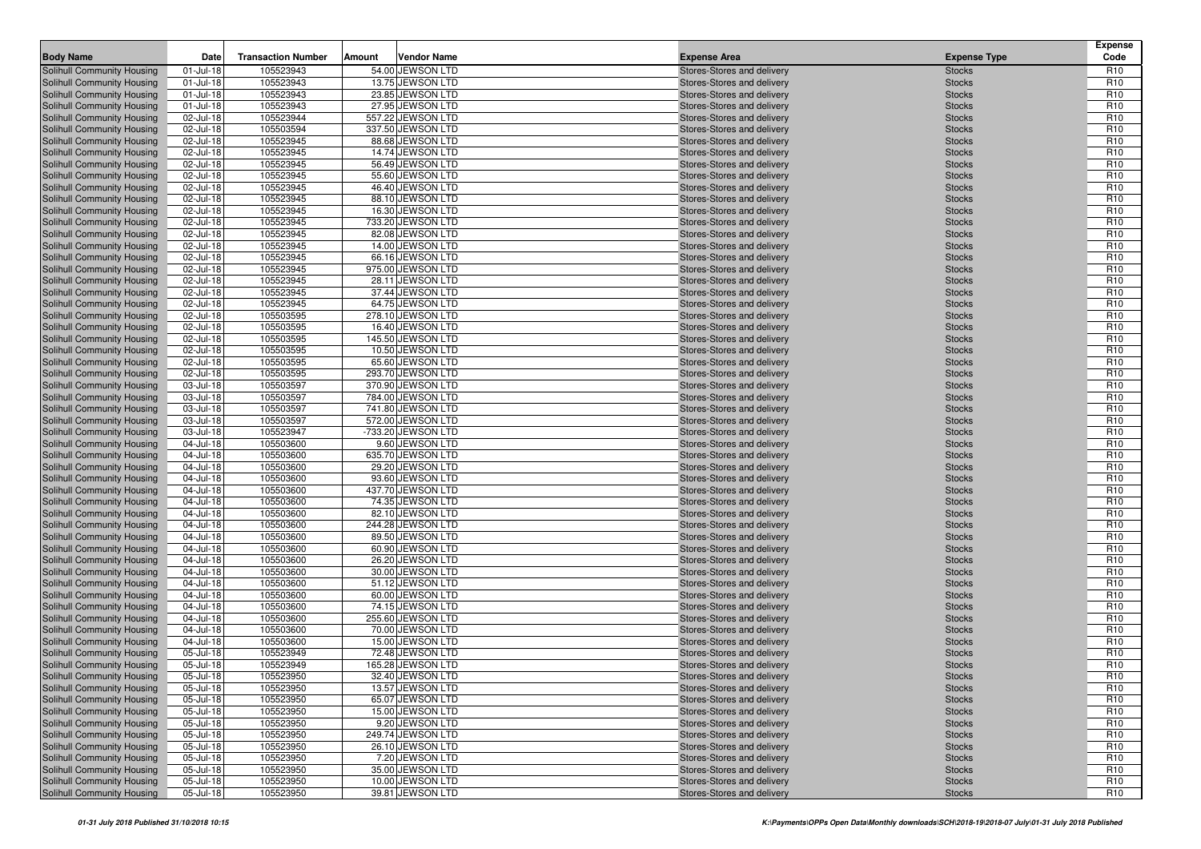| <b>Body Name</b>                                         | Date                   | <b>Transaction Number</b> | Amount | <b>Vendor Name</b>                   | <b>Expense Area</b>                                      | <b>Expense Type</b>            | <b>Expense</b><br>Code             |
|----------------------------------------------------------|------------------------|---------------------------|--------|--------------------------------------|----------------------------------------------------------|--------------------------------|------------------------------------|
| Solihull Community Housing                               | 01-Jul-18              | 105523943                 |        | 54.00 JEWSON LTD                     | Stores-Stores and delivery                               | <b>Stocks</b>                  | R <sub>10</sub>                    |
| Solihull Community Housing                               | $01 -$ Jul-18          | 105523943                 |        | 13.75 JEWSON LTD                     | Stores-Stores and delivery                               | <b>Stocks</b>                  | R <sub>10</sub>                    |
| Solihull Community Housing                               | 01-Jul-18              | 105523943                 |        | 23.85 JEWSON LTD                     | Stores-Stores and delivery                               | <b>Stocks</b>                  | R <sub>10</sub>                    |
| Solihull Community Housing                               | 01-Jul-18              | 105523943                 |        | 27.95 JEWSON LTD                     | Stores-Stores and delivery                               | <b>Stocks</b>                  | R <sub>10</sub>                    |
| Solihull Community Housing                               | 02-Jul-18              | 105523944                 |        | 557.22 JEWSON LTD                    | Stores-Stores and delivery                               | <b>Stocks</b>                  | R <sub>10</sub>                    |
| Solihull Community Housing                               | 02-Jul-18              | 105503594                 |        | 337.50 JEWSON LTD                    | Stores-Stores and delivery                               | <b>Stocks</b>                  | R <sub>10</sub>                    |
| Solihull Community Housing                               | 02-Jul-18              | 105523945                 |        | 88.68 JEWSON LTD                     | Stores-Stores and delivery                               | <b>Stocks</b>                  | R <sub>10</sub>                    |
| Solihull Community Housing                               | 02-Jul-18              | 105523945                 |        | 14.74 JEWSON LTD                     | Stores-Stores and delivery                               | <b>Stocks</b>                  | R <sub>10</sub>                    |
| Solihull Community Housing                               | 02-Jul-18              | 105523945                 |        | 56.49 JEWSON LTD                     | Stores-Stores and delivery                               | <b>Stocks</b>                  | R <sub>10</sub>                    |
| Solihull Community Housing                               | 02-Jul-18              | 105523945                 |        | 55.60 JEWSON LTD                     | Stores-Stores and delivery                               | <b>Stocks</b>                  | R <sub>10</sub>                    |
| Solihull Community Housing                               | 02-Jul-18              | 105523945                 |        | 46.40 JEWSON LTD                     | Stores-Stores and delivery                               | <b>Stocks</b>                  | R <sub>10</sub>                    |
| Solihull Community Housing                               | 02-Jul-18              | 105523945                 |        | 88.10 JEWSON LTD                     | Stores-Stores and delivery                               | <b>Stocks</b>                  | R <sub>10</sub>                    |
| Solihull Community Housing                               | 02-Jul-18              | 105523945                 |        | 16.30 JEWSON LTD                     | Stores-Stores and delivery                               | <b>Stocks</b>                  | R <sub>10</sub>                    |
| Solihull Community Housing                               | 02-Jul-18              | 105523945                 |        | 733.20 JEWSON LTD                    | Stores-Stores and delivery                               | <b>Stocks</b>                  | R <sub>10</sub>                    |
| Solihull Community Housing                               | 02-Jul-18              | 105523945                 |        | 82.08 JEWSON LTD                     | Stores-Stores and delivery                               | <b>Stocks</b>                  | R <sub>10</sub>                    |
| Solihull Community Housing                               | 02-Jul-18              | 105523945                 |        | 14.00 JEWSON LTD                     | Stores-Stores and delivery                               | <b>Stocks</b>                  | R <sub>10</sub>                    |
| Solihull Community Housing                               | 02-Jul-18              | 105523945                 |        | 66.16 JEWSON LTD                     | Stores-Stores and delivery                               | <b>Stocks</b>                  | R <sub>10</sub>                    |
| Solihull Community Housing                               | 02-Jul-18              | 105523945                 |        | 975.00 JEWSON LTD                    | Stores-Stores and delivery                               | <b>Stocks</b>                  | R <sub>10</sub>                    |
| Solihull Community Housing                               | 02-Jul-18              | 105523945                 |        | 28.11 JEWSON LTD                     | Stores-Stores and delivery                               | <b>Stocks</b>                  | R <sub>10</sub>                    |
| Solihull Community Housing                               | 02-Jul-18              | 105523945                 |        | 37.44 JEWSON LTD                     | Stores-Stores and delivery                               | <b>Stocks</b>                  | R <sub>10</sub>                    |
| Solihull Community Housing                               | 02-Jul-18              | 105523945                 |        | 64.75 JEWSON LTD                     | Stores-Stores and delivery                               | <b>Stocks</b>                  | R <sub>10</sub>                    |
| Solihull Community Housing                               | 02-Jul-18              | 105503595                 |        | 278.10 JEWSON LTD                    | Stores-Stores and delivery                               | <b>Stocks</b>                  | R <sub>10</sub>                    |
| Solihull Community Housing                               | 02-Jul-18              | 105503595                 |        | 16.40 JEWSON LTD                     | Stores-Stores and delivery                               | <b>Stocks</b>                  | R <sub>10</sub>                    |
| Solihull Community Housing                               | 02-Jul-18              | 105503595                 |        | 145.50 JEWSON LTD                    | Stores-Stores and delivery                               | <b>Stocks</b>                  | R <sub>10</sub>                    |
| Solihull Community Housing                               | 02-Jul-18              | 105503595                 |        | 10.50 JEWSON LTD                     | Stores-Stores and delivery                               | <b>Stocks</b>                  | R <sub>10</sub>                    |
| Solihull Community Housing                               | 02-Jul-18              | 105503595                 |        | 65.60 JEWSON LTD                     | Stores-Stores and delivery                               | <b>Stocks</b>                  | R <sub>10</sub>                    |
| Solihull Community Housing                               | 02-Jul-18              | 105503595                 |        | 293.70 JEWSON LTD                    | Stores-Stores and delivery                               | <b>Stocks</b>                  | R <sub>10</sub>                    |
| Solihull Community Housing                               | 03-Jul-18              | 105503597                 |        | 370.90 JEWSON LTD                    | Stores-Stores and delivery                               | <b>Stocks</b>                  | R <sub>10</sub>                    |
| Solihull Community Housing                               | 03-Jul-18              | 105503597                 |        | 784.00 JEWSON LTD                    | Stores-Stores and delivery                               | <b>Stocks</b>                  | R <sub>10</sub>                    |
| Solihull Community Housing                               | 03-Jul-18              | 105503597                 |        | 741.80 JEWSON LTD                    | Stores-Stores and delivery                               | <b>Stocks</b>                  | R <sub>10</sub>                    |
| Solihull Community Housing                               | 03-Jul-18              | 105503597                 |        | 572.00 JEWSON LTD                    | Stores-Stores and delivery                               | <b>Stocks</b>                  | R <sub>10</sub>                    |
| Solihull Community Housing                               | 03-Jul-18              | 105523947                 |        | -733.20 JEWSON LTD                   | Stores-Stores and delivery                               | <b>Stocks</b>                  | R <sub>10</sub>                    |
| Solihull Community Housing                               | 04-Jul-18              | 105503600<br>105503600    |        | 9.60 JEWSON LTD<br>635.70 JEWSON LTD | Stores-Stores and delivery                               | <b>Stocks</b>                  | R <sub>10</sub><br>R <sub>10</sub> |
| Solihull Community Housing<br>Solihull Community Housing | 04-Jul-18<br>04-Jul-18 | 105503600                 |        | 29.20 JEWSON LTD                     | Stores-Stores and delivery<br>Stores-Stores and delivery | <b>Stocks</b><br><b>Stocks</b> | R <sub>10</sub>                    |
| Solihull Community Housing                               | 04-Jul-18              | 105503600                 |        | 93.60 JEWSON LTD                     | Stores-Stores and delivery                               | <b>Stocks</b>                  | R <sub>10</sub>                    |
| Solihull Community Housing                               | 04-Jul-18              | 105503600                 |        | 437.70 JEWSON LTD                    | Stores-Stores and delivery                               | <b>Stocks</b>                  | R <sub>10</sub>                    |
| Solihull Community Housing                               | 04-Jul-18              | 105503600                 |        | 74.35 JEWSON LTD                     | Stores-Stores and delivery                               | <b>Stocks</b>                  | R <sub>10</sub>                    |
| Solihull Community Housing                               | 04-Jul-18              | 105503600                 |        | 82.10 JEWSON LTD                     | Stores-Stores and delivery                               | <b>Stocks</b>                  | R <sub>10</sub>                    |
| Solihull Community Housing                               | 04-Jul-18              | 105503600                 |        | 244.28 JEWSON LTD                    | Stores-Stores and delivery                               | <b>Stocks</b>                  | R <sub>10</sub>                    |
| Solihull Community Housing                               | 04-Jul-18              | 105503600                 |        | 89.50 JEWSON LTD                     | Stores-Stores and delivery                               | <b>Stocks</b>                  | R <sub>10</sub>                    |
| Solihull Community Housing                               | 04-Jul-18              | 105503600                 |        | 60.90 JEWSON LTD                     | Stores-Stores and delivery                               | <b>Stocks</b>                  | R <sub>10</sub>                    |
| Solihull Community Housing                               | 04-Jul-18              | 105503600                 |        | 26.20 JEWSON LTD                     | Stores-Stores and delivery                               | <b>Stocks</b>                  | R <sub>10</sub>                    |
| Solihull Community Housing                               | 04-Jul-18              | 105503600                 |        | 30.00 JEWSON LTD                     | Stores-Stores and delivery                               | <b>Stocks</b>                  | R <sub>10</sub>                    |
| Solihull Community Housing                               | 04-Jul-18              | 105503600                 |        | 51.12 JEWSON LTD                     | Stores-Stores and delivery                               | <b>Stocks</b>                  | R <sub>10</sub>                    |
| Solihull Community Housing                               | 04-Jul-18              | 105503600                 |        | 60.00 JEWSON LTD                     | Stores-Stores and delivery                               | <b>Stocks</b>                  | R <sub>10</sub>                    |
| Solihull Community Housing                               | 04-Jul-18              | 105503600                 |        | 74.15 JEWSON LTD                     | Stores-Stores and delivery                               | <b>Stocks</b>                  | R <sub>10</sub>                    |
| Solihull Community Housing                               | 04-Jul-18              | 105503600                 |        | 255.60 JEWSON LTD                    | Stores-Stores and delivery                               | <b>Stocks</b>                  | R <sub>10</sub>                    |
| Solihull Community Housing                               | 04-Jul-18              | 105503600                 |        | 70.00 JEWSON LTD                     | Stores-Stores and delivery                               | <b>Stocks</b>                  | R <sub>10</sub>                    |
| Solihull Community Housing                               | 04-Jul-18              | 105503600                 |        | 15.00 JEWSON LTD                     | Stores-Stores and delivery                               | <b>Stocks</b>                  | R <sub>10</sub>                    |
| Solihull Community Housing                               | 05-Jul-18              | 105523949                 |        | 72.48 JEWSON LTD                     | Stores-Stores and delivery                               | <b>Stocks</b>                  | R <sub>10</sub>                    |
| <b>Solihull Community Housing</b>                        | 05-Jul-18              | 105523949                 |        | 165.28 JEWSON LTD                    | Stores-Stores and delivery                               | <b>Stocks</b>                  | R <sub>10</sub>                    |
| Solihull Community Housing                               | 05-Jul-18              | 105523950                 |        | 32.40 JEWSON LTD                     | Stores-Stores and delivery                               | <b>Stocks</b>                  | R <sub>10</sub>                    |
| Solihull Community Housing                               | 05-Jul-18              | 105523950                 |        | 13.57 JEWSON LTD                     | Stores-Stores and delivery                               | <b>Stocks</b>                  | R <sub>10</sub>                    |
| Solihull Community Housing                               | 05-Jul-18              | 105523950                 |        | 65.07 JEWSON LTD                     | Stores-Stores and delivery                               | <b>Stocks</b>                  | R <sub>10</sub>                    |
| Solihull Community Housing                               | 05-Jul-18              | 105523950                 |        | 15.00 JEWSON LTD                     | Stores-Stores and delivery                               | <b>Stocks</b>                  | R <sub>10</sub>                    |
| Solihull Community Housing                               | 05-Jul-18              | 105523950                 |        | 9.20 JEWSON LTD                      | Stores-Stores and delivery                               | <b>Stocks</b>                  | R <sub>10</sub>                    |
| Solihull Community Housing                               | 05-Jul-18              | 105523950                 |        | 249.74 JEWSON LTD                    | Stores-Stores and delivery                               | <b>Stocks</b>                  | R <sub>10</sub>                    |
| Solihull Community Housing                               | 05-Jul-18              | 105523950                 |        | 26.10 JEWSON LTD                     | Stores-Stores and delivery                               | <b>Stocks</b>                  | R <sub>10</sub>                    |
| Solihull Community Housing                               | 05-Jul-18              | 105523950                 |        | 7.20 JEWSON LTD                      | Stores-Stores and delivery                               | <b>Stocks</b>                  | R <sub>10</sub>                    |
| Solihull Community Housing                               | 05-Jul-18              | 105523950                 |        | 35.00 JEWSON LTD                     | Stores-Stores and delivery                               | <b>Stocks</b>                  | R <sub>10</sub>                    |
| Solihull Community Housing                               | 05-Jul-18              | 105523950                 |        | 10.00 JEWSON LTD                     | Stores-Stores and delivery                               | <b>Stocks</b>                  | R <sub>10</sub>                    |
| Solihull Community Housing                               | 05-Jul-18              | 105523950                 |        | 39.81 JEWSON LTD                     | Stores-Stores and delivery                               | <b>Stocks</b>                  | R <sub>10</sub>                    |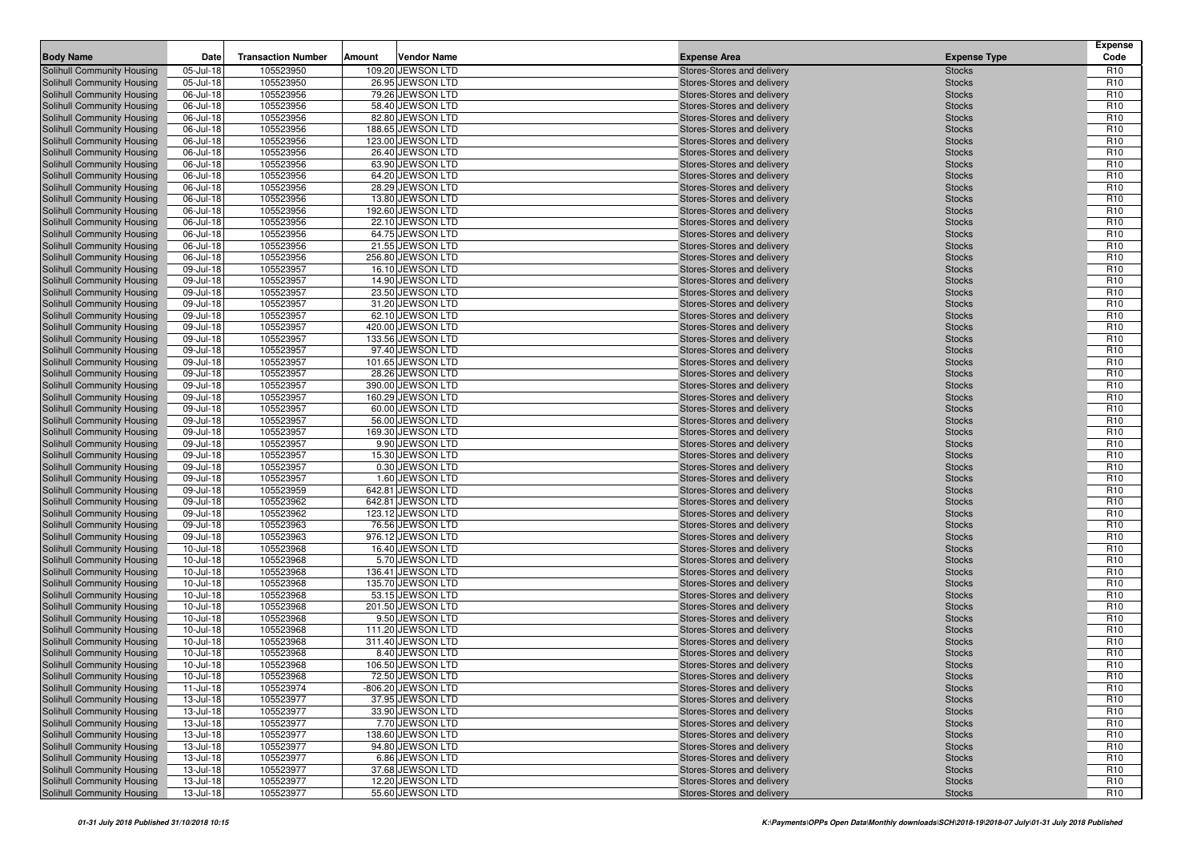| <b>Body Name</b>                                         | Date                   | <b>Transaction Number</b> | Amount | <b>Vendor Name</b>                   | <b>Expense Area</b>                                      | <b>Expense Type</b>            | <b>Expense</b><br>Code             |
|----------------------------------------------------------|------------------------|---------------------------|--------|--------------------------------------|----------------------------------------------------------|--------------------------------|------------------------------------|
| Solihull Community Housing                               | 05-Jul-18              | 105523950                 |        | 109.20 JEWSON LTD                    | Stores-Stores and delivery                               | <b>Stocks</b>                  | R <sub>10</sub>                    |
| Solihull Community Housing                               | 05-Jul-18              | 105523950                 |        | 26.95 JEWSON LTD                     | Stores-Stores and delivery                               | <b>Stocks</b>                  | R <sub>10</sub>                    |
| Solihull Community Housing                               | 06-Jul-18              | 105523956                 |        | 79.26 JEWSON LTD                     | Stores-Stores and delivery                               | <b>Stocks</b>                  | R <sub>10</sub>                    |
| Solihull Community Housing                               | 06-Jul-18              | 105523956                 |        | 58.40 JEWSON LTD                     | Stores-Stores and delivery                               | <b>Stocks</b>                  | R <sub>10</sub>                    |
| Solihull Community Housing                               | 06-Jul-18              | 105523956                 |        | 82.80 JEWSON LTD                     | Stores-Stores and delivery                               | <b>Stocks</b>                  | R <sub>10</sub>                    |
| Solihull Community Housing                               | 06-Jul-18              | 105523956                 |        | 188.65 JEWSON LTD                    | Stores-Stores and delivery                               | <b>Stocks</b>                  | R <sub>10</sub>                    |
| Solihull Community Housing                               | 06-Jul-18              | 105523956                 |        | 123.00 JEWSON LTD                    | Stores-Stores and delivery                               | <b>Stocks</b>                  | R <sub>10</sub>                    |
| Solihull Community Housing                               | 06-Jul-18              | 105523956                 |        | 26.40 JEWSON LTD                     | Stores-Stores and delivery                               | <b>Stocks</b>                  | R <sub>10</sub>                    |
| Solihull Community Housing                               | 06-Jul-18              | 105523956                 |        | 63.90 JEWSON LTD                     | Stores-Stores and delivery                               | <b>Stocks</b>                  | R <sub>10</sub>                    |
| Solihull Community Housing                               | 06-Jul-18              | 105523956                 |        | 64.20 JEWSON LTD                     | Stores-Stores and delivery                               | <b>Stocks</b>                  | R <sub>10</sub>                    |
| Solihull Community Housing                               | 06-Jul-18              | 105523956                 |        | 28.29 JEWSON LTD                     | Stores-Stores and delivery                               | <b>Stocks</b>                  | R <sub>10</sub>                    |
| Solihull Community Housing                               | 06-Jul-18              | 105523956                 |        | 13.80 JEWSON LTD                     | Stores-Stores and delivery                               | <b>Stocks</b>                  | R <sub>10</sub>                    |
| Solihull Community Housing                               | 06-Jul-18              | 105523956                 |        | 192.60 JEWSON LTD                    | Stores-Stores and delivery                               | <b>Stocks</b>                  | R <sub>10</sub>                    |
| Solihull Community Housing                               | 06-Jul-18              | 105523956                 |        | 22.10 JEWSON LTD                     | Stores-Stores and delivery                               | <b>Stocks</b>                  | R <sub>10</sub>                    |
| Solihull Community Housing                               | 06-Jul-18              | 105523956                 |        | 64.75 JEWSON LTD                     | Stores-Stores and delivery                               | <b>Stocks</b>                  | R <sub>10</sub>                    |
| Solihull Community Housing                               | 06-Jul-18              | 105523956                 |        | 21.55 JEWSON LTD                     | Stores-Stores and delivery                               | <b>Stocks</b>                  | R <sub>10</sub>                    |
| Solihull Community Housing                               | 06-Jul-18              | 105523956                 |        | 256.80 JEWSON LTD                    | Stores-Stores and delivery                               | <b>Stocks</b>                  | R <sub>10</sub><br>R <sub>10</sub> |
| Solihull Community Housing<br>Solihull Community Housing | 09-Jul-18<br>09-Jul-18 | 105523957<br>105523957    |        | 16.10 JEWSON LTD<br>14.90 JEWSON LTD | Stores-Stores and delivery<br>Stores-Stores and delivery | <b>Stocks</b><br><b>Stocks</b> | R <sub>10</sub>                    |
| Solihull Community Housing                               | 09-Jul-18              | 105523957                 |        | 23.50 JEWSON LTD                     | Stores-Stores and delivery                               | <b>Stocks</b>                  | R <sub>10</sub>                    |
| Solihull Community Housing                               | 09-Jul-18              | 105523957                 |        | 31.20 JEWSON LTD                     | Stores-Stores and delivery                               | <b>Stocks</b>                  | R <sub>10</sub>                    |
| Solihull Community Housing                               | 09-Jul-18              | 105523957                 |        | 62.10 JEWSON LTD                     | Stores-Stores and delivery                               | <b>Stocks</b>                  | R <sub>10</sub>                    |
| Solihull Community Housing                               | 09-Jul-18              | 105523957                 |        | 420.00 JEWSON LTD                    | Stores-Stores and delivery                               | <b>Stocks</b>                  | R <sub>10</sub>                    |
| Solihull Community Housing                               | 09-Jul-18              | 105523957                 |        | 133.56 JEWSON LTD                    | Stores-Stores and delivery                               | <b>Stocks</b>                  | R <sub>10</sub>                    |
| Solihull Community Housing                               | 09-Jul-18              | 105523957                 |        | 97.40 JEWSON LTD                     | Stores-Stores and delivery                               | <b>Stocks</b>                  | R <sub>10</sub>                    |
| Solihull Community Housing                               | 09-Jul-18              | 105523957                 |        | 101.65 JEWSON LTD                    | Stores-Stores and delivery                               | <b>Stocks</b>                  | R <sub>10</sub>                    |
| Solihull Community Housing                               | 09-Jul-18              | 105523957                 |        | 28.26 JEWSON LTD                     | Stores-Stores and delivery                               | <b>Stocks</b>                  | R <sub>10</sub>                    |
| Solihull Community Housing                               | 09-Jul-18              | 105523957                 |        | 390.00 JEWSON LTD                    | Stores-Stores and delivery                               | <b>Stocks</b>                  | R <sub>10</sub>                    |
| Solihull Community Housing                               | 09-Jul-18              | 105523957                 |        | 160.29 JEWSON LTD                    | Stores-Stores and delivery                               | <b>Stocks</b>                  | R <sub>10</sub>                    |
| Solihull Community Housing                               | 09-Jul-18              | 105523957                 |        | 60.00 JEWSON LTD                     | Stores-Stores and delivery                               | <b>Stocks</b>                  | R <sub>10</sub>                    |
| Solihull Community Housing                               | 09-Jul-18              | 105523957                 |        | 56.00 JEWSON LTD                     | Stores-Stores and delivery                               | <b>Stocks</b>                  | R <sub>10</sub>                    |
| Solihull Community Housing                               | 09-Jul-18              | 105523957                 |        | 169.30 JEWSON LTD                    | Stores-Stores and delivery                               | <b>Stocks</b>                  | R <sub>10</sub>                    |
| Solihull Community Housing                               | 09-Jul-18              | 105523957                 |        | 9.90 JEWSON LTD                      | Stores-Stores and delivery                               | <b>Stocks</b>                  | R <sub>10</sub>                    |
| Solihull Community Housing                               | 09-Jul-18              | 105523957                 |        | 15.30 JEWSON LTD                     | Stores-Stores and delivery                               | <b>Stocks</b>                  | R <sub>10</sub>                    |
| Solihull Community Housing                               | 09-Jul-18              | 105523957                 |        | 0.30 JEWSON LTD                      | Stores-Stores and delivery                               | <b>Stocks</b>                  | R <sub>10</sub>                    |
| Solihull Community Housing                               | 09-Jul-18              | 105523957                 |        | 1.60 JEWSON LTD                      | Stores-Stores and delivery                               | <b>Stocks</b>                  | R <sub>10</sub>                    |
| Solihull Community Housing                               | 09-Jul-18              | 105523959                 |        | 642.81 JEWSON LTD                    | Stores-Stores and delivery                               | <b>Stocks</b>                  | R <sub>10</sub>                    |
| Solihull Community Housing                               | 09-Jul-18              | 105523962                 |        | 642.81 JEWSON LTD                    | Stores-Stores and delivery                               | <b>Stocks</b>                  | R <sub>10</sub>                    |
| Solihull Community Housing                               | 09-Jul-18              | 105523962                 |        | 123.12 JEWSON LTD                    | Stores-Stores and delivery                               | <b>Stocks</b>                  | R <sub>10</sub>                    |
| Solihull Community Housing                               | 09-Jul-18              | 105523963                 |        | 76.56 JEWSON LTD                     | Stores-Stores and delivery                               | <b>Stocks</b>                  | R <sub>10</sub>                    |
| Solihull Community Housing                               | 09-Jul-18              | 105523963                 |        | 976.12 JEWSON LTD                    | Stores-Stores and delivery                               | <b>Stocks</b>                  | R <sub>10</sub>                    |
| Solihull Community Housing                               | 10-Jul-18              | 105523968                 |        | 16.40 JEWSON LTD                     | Stores-Stores and delivery                               | <b>Stocks</b>                  | R <sub>10</sub><br>R <sub>10</sub> |
| Solihull Community Housing                               | 10-Jul-18<br>10-Jul-18 | 105523968<br>105523968    |        | 5.70 JEWSON LTD<br>136.41 JEWSON LTD | Stores-Stores and delivery                               | <b>Stocks</b>                  | R <sub>10</sub>                    |
| Solihull Community Housing<br>Solihull Community Housing | 10-Jul-18              | 105523968                 |        | 135.70 JEWSON LTD                    | Stores-Stores and delivery<br>Stores-Stores and delivery | <b>Stocks</b><br><b>Stocks</b> | R <sub>10</sub>                    |
| Solihull Community Housing                               | 10-Jul-18              | 105523968                 |        | 53.15 JEWSON LTD                     | Stores-Stores and delivery                               | <b>Stocks</b>                  | R <sub>10</sub>                    |
| Solihull Community Housing                               | 10-Jul-18              | 105523968                 |        | 201.50 JEWSON LTD                    | Stores-Stores and delivery                               | <b>Stocks</b>                  | R <sub>10</sub>                    |
| Solihull Community Housing                               | 10-Jul-18              | 105523968                 |        | 9.50 JEWSON LTD                      | Stores-Stores and delivery                               | <b>Stocks</b>                  | R <sub>10</sub>                    |
| Solihull Community Housing                               | 10-Jul-18              | 105523968                 |        | 111.20 JEWSON LTD                    | Stores-Stores and delivery                               | <b>Stocks</b>                  | R <sub>10</sub>                    |
| Solihull Community Housing                               | 10-Jul-18              | 105523968                 |        | 311.40 JEWSON LTD                    | Stores-Stores and delivery                               | <b>Stocks</b>                  | R <sub>10</sub>                    |
| Solihull Community Housing                               | 10-Jul-18              | 105523968                 |        | 8.40 JEWSON LTD                      | Stores-Stores and delivery                               | <b>Stocks</b>                  | R <sub>10</sub>                    |
| Solihull Community Housing                               | $10$ -Jul-18           | 105523968                 |        | 106.50 JEWSON LTD                    | Stores-Stores and delivery                               | <b>Stocks</b>                  | R <sub>10</sub>                    |
| Solihull Community Housing                               | 10-Jul-18              | 105523968                 |        | 72.50 JEWSON LTD                     | Stores-Stores and delivery                               | <b>Stocks</b>                  | R <sub>10</sub>                    |
| Solihull Community Housing                               | 11-Jul-18              | 105523974                 |        | -806.20 JEWSON LTD                   | Stores-Stores and delivery                               | <b>Stocks</b>                  | R <sub>10</sub>                    |
| Solihull Community Housing                               | 13-Jul-18              | 105523977                 |        | 37.95 JEWSON LTD                     | Stores-Stores and delivery                               | <b>Stocks</b>                  | R <sub>10</sub>                    |
| Solihull Community Housing                               | 13-Jul-18              | 105523977                 |        | 33.90 JEWSON LTD                     | Stores-Stores and delivery                               | <b>Stocks</b>                  | R <sub>10</sub>                    |
| Solihull Community Housing                               | 13-Jul-18              | 105523977                 |        | 7.70 JEWSON LTD                      | Stores-Stores and delivery                               | <b>Stocks</b>                  | R <sub>10</sub>                    |
| Solihull Community Housing                               | 13-Jul-18              | 105523977                 |        | 138.60 JEWSON LTD                    | Stores-Stores and delivery                               | <b>Stocks</b>                  | R <sub>10</sub>                    |
| Solihull Community Housing                               | 13-Jul-18              | 105523977                 |        | 94.80 JEWSON LTD                     | Stores-Stores and delivery                               | <b>Stocks</b>                  | R <sub>10</sub>                    |
| Solihull Community Housing                               | 13-Jul-18              | 105523977                 |        | 6.86 JEWSON LTD                      | Stores-Stores and delivery                               | <b>Stocks</b>                  | R <sub>10</sub>                    |
| Solihull Community Housing                               | 13-Jul-18              | 105523977                 |        | 37.68 JEWSON LTD                     | Stores-Stores and delivery                               | <b>Stocks</b>                  | R <sub>10</sub>                    |
| Solihull Community Housing                               | 13-Jul-18              | 105523977                 |        | 12.20 JEWSON LTD                     | Stores-Stores and delivery                               | <b>Stocks</b>                  | R <sub>10</sub>                    |
| Solihull Community Housing                               | $13 -$ Jul-18          | 105523977                 |        | 55.60 JEWSON LTD                     | Stores-Stores and delivery                               | <b>Stocks</b>                  | R <sub>10</sub>                    |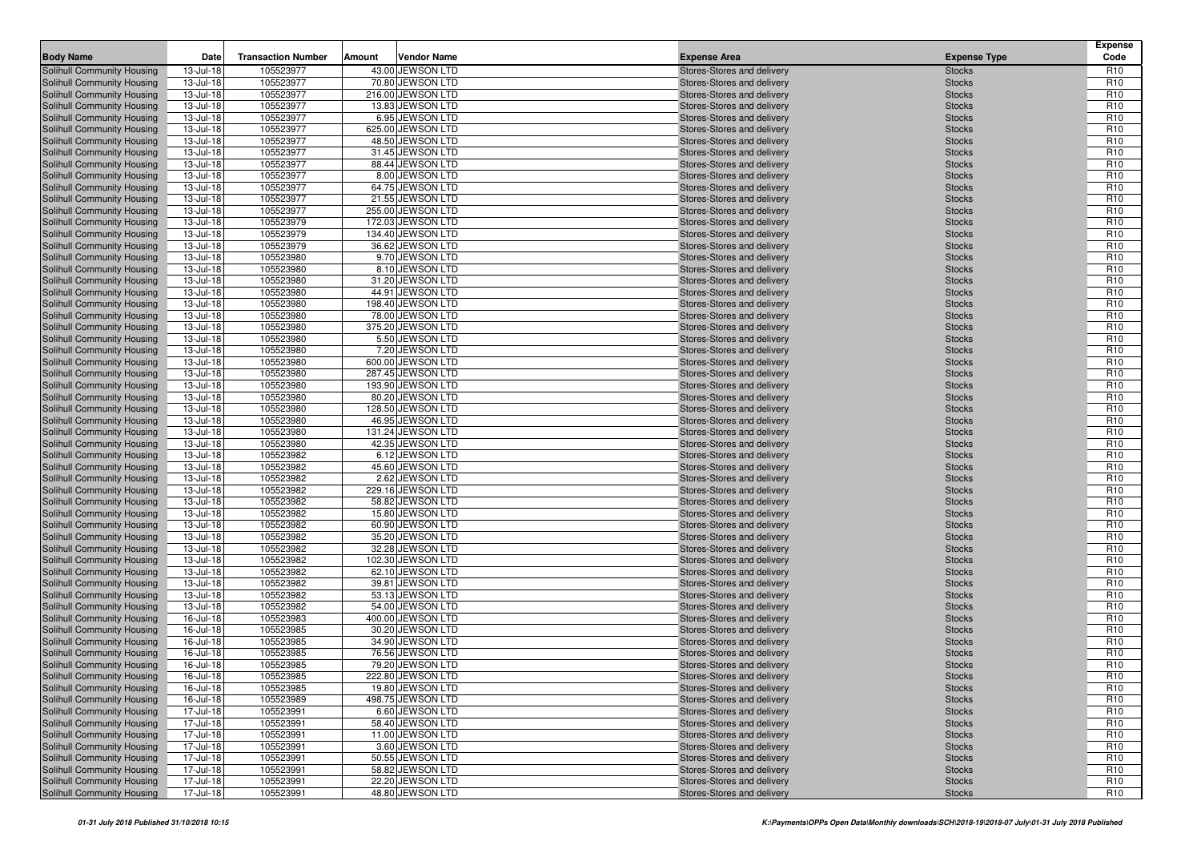| <b>Body Name</b>                                         | Date                   | <b>Transaction Number</b> | Amount | <b>Vendor Name</b>                   | <b>Expense Area</b>                                      | <b>Expense Type</b>            | <b>Expense</b><br>Code             |
|----------------------------------------------------------|------------------------|---------------------------|--------|--------------------------------------|----------------------------------------------------------|--------------------------------|------------------------------------|
| Solihull Community Housing                               | 13-Jul-18              | 105523977                 |        | 43.00 JEWSON LTD                     | Stores-Stores and delivery                               | <b>Stocks</b>                  | R <sub>10</sub>                    |
| Solihull Community Housing                               | 13-Jul-18              | 105523977                 |        | 70.80 JEWSON LTD                     | Stores-Stores and delivery                               | <b>Stocks</b>                  | R <sub>10</sub>                    |
| Solihull Community Housing                               | 13-Jul-18              | 105523977                 |        | 216.00 JEWSON LTD                    | Stores-Stores and delivery                               | <b>Stocks</b>                  | R <sub>10</sub>                    |
| Solihull Community Housing                               | 13-Jul-18              | 105523977                 |        | 13.83 JEWSON LTD                     | Stores-Stores and delivery                               | <b>Stocks</b>                  | R <sub>10</sub>                    |
| Solihull Community Housing                               | 13-Jul-18              | 105523977                 |        | 6.95 JEWSON LTD                      | Stores-Stores and delivery                               | <b>Stocks</b>                  | R <sub>10</sub>                    |
| Solihull Community Housing                               | 13-Jul-18              | 105523977                 |        | 625.00 JEWSON LTD                    | Stores-Stores and delivery                               | <b>Stocks</b>                  | R <sub>10</sub>                    |
| Solihull Community Housing                               | 13-Jul-18              | 105523977                 |        | 48.50 JEWSON LTD                     | Stores-Stores and delivery                               | <b>Stocks</b>                  | R <sub>10</sub>                    |
| Solihull Community Housing                               | 13-Jul-18              | 105523977                 |        | 31.45 JEWSON LTD                     | Stores-Stores and delivery                               | <b>Stocks</b>                  | R <sub>10</sub>                    |
| Solihull Community Housing                               | 13-Jul-18              | 105523977                 |        | 88.44 JEWSON LTD                     | Stores-Stores and delivery                               | <b>Stocks</b>                  | R <sub>10</sub>                    |
| Solihull Community Housing                               | 13-Jul-18              | 105523977                 |        | 8.00 JEWSON LTD                      | Stores-Stores and delivery                               | <b>Stocks</b>                  | R <sub>10</sub>                    |
| Solihull Community Housing                               | 13-Jul-18              | 105523977                 |        | 64.75 JEWSON LTD                     | Stores-Stores and delivery                               | <b>Stocks</b>                  | R <sub>10</sub>                    |
| Solihull Community Housing                               | 13-Jul-18              | 105523977                 |        | 21.55 JEWSON LTD                     | Stores-Stores and delivery                               | <b>Stocks</b>                  | R <sub>10</sub>                    |
| Solihull Community Housing                               | 13-Jul-18              | 105523977                 |        | 255.00 JEWSON LTD                    | Stores-Stores and delivery                               | <b>Stocks</b>                  | R <sub>10</sub>                    |
| Solihull Community Housing                               | 13-Jul-18              | 105523979                 |        | 172.03 JEWSON LTD                    | Stores-Stores and delivery                               | <b>Stocks</b>                  | R <sub>10</sub>                    |
| Solihull Community Housing                               | 13-Jul-18              | 105523979                 |        | 134.40 JEWSON LTD                    | Stores-Stores and delivery                               | <b>Stocks</b>                  | R <sub>10</sub>                    |
| Solihull Community Housing                               | 13-Jul-18              | 105523979                 |        | 36.62 JEWSON LTD                     | Stores-Stores and delivery                               | <b>Stocks</b>                  | R <sub>10</sub>                    |
| Solihull Community Housing                               | 13-Jul-18              | 105523980                 |        | 9.70 JEWSON LTD                      | Stores-Stores and delivery                               | <b>Stocks</b>                  | R <sub>10</sub><br>R <sub>10</sub> |
| Solihull Community Housing<br>Solihull Community Housing | 13-Jul-18<br>13-Jul-18 | 105523980<br>105523980    |        | 8.10 JEWSON LTD<br>31.20 JEWSON LTD  | Stores-Stores and delivery<br>Stores-Stores and delivery | <b>Stocks</b><br><b>Stocks</b> | R <sub>10</sub>                    |
| Solihull Community Housing                               | 13-Jul-18              | 105523980                 |        | 44.91 JEWSON LTD                     | Stores-Stores and delivery                               | <b>Stocks</b>                  | R <sub>10</sub>                    |
| Solihull Community Housing                               | 13-Jul-18              | 105523980                 |        | 198.40 JEWSON LTD                    | Stores-Stores and delivery                               | <b>Stocks</b>                  | R <sub>10</sub>                    |
| Solihull Community Housing                               | 13-Jul-18              | 105523980                 |        | 78.00 JEWSON LTD                     | Stores-Stores and delivery                               | <b>Stocks</b>                  | R <sub>10</sub>                    |
| Solihull Community Housing                               | 13-Jul-18              | 105523980                 |        | 375.20 JEWSON LTD                    | Stores-Stores and delivery                               | <b>Stocks</b>                  | R <sub>10</sub>                    |
| Solihull Community Housing                               | 13-Jul-18              | 105523980                 |        | 5.50 JEWSON LTD                      | Stores-Stores and delivery                               | <b>Stocks</b>                  | R <sub>10</sub>                    |
| Solihull Community Housing                               | 13-Jul-18              | 105523980                 |        | 7.20 JEWSON LTD                      | Stores-Stores and delivery                               | <b>Stocks</b>                  | R <sub>10</sub>                    |
| Solihull Community Housing                               | 13-Jul-18              | 105523980                 |        | 600.00 JEWSON LTD                    | Stores-Stores and delivery                               | <b>Stocks</b>                  | R <sub>10</sub>                    |
| Solihull Community Housing                               | 13-Jul-18              | 105523980                 |        | 287.45 JEWSON LTD                    | Stores-Stores and delivery                               | <b>Stocks</b>                  | R <sub>10</sub>                    |
| Solihull Community Housing                               | 13-Jul-18              | 105523980                 |        | 193.90 JEWSON LTD                    | Stores-Stores and delivery                               | <b>Stocks</b>                  | R <sub>10</sub>                    |
| Solihull Community Housing                               | 13-Jul-18              | 105523980                 |        | 80.20 JEWSON LTD                     | Stores-Stores and delivery                               | <b>Stocks</b>                  | R <sub>10</sub>                    |
| Solihull Community Housing                               | 13-Jul-18              | 105523980                 |        | 128.50 JEWSON LTD                    | Stores-Stores and delivery                               | <b>Stocks</b>                  | R <sub>10</sub>                    |
| Solihull Community Housing                               | 13-Jul-18              | 105523980                 |        | 46.95 JEWSON LTD                     | Stores-Stores and delivery                               | <b>Stocks</b>                  | R <sub>10</sub>                    |
| Solihull Community Housing                               | 13-Jul-18              | 105523980                 |        | 131.24 JEWSON LTD                    | Stores-Stores and delivery                               | <b>Stocks</b>                  | R <sub>10</sub>                    |
| Solihull Community Housing                               | 13-Jul-18              | 105523980                 |        | 42.35 JEWSON LTD                     | Stores-Stores and delivery                               | <b>Stocks</b>                  | R <sub>10</sub>                    |
| Solihull Community Housing                               | 13-Jul-18              | 105523982                 |        | 6.12 JEWSON LTD                      | Stores-Stores and delivery                               | <b>Stocks</b>                  | R <sub>10</sub>                    |
| Solihull Community Housing                               | 13-Jul-18              | 105523982                 |        | 45.60 JEWSON LTD                     | Stores-Stores and delivery                               | <b>Stocks</b>                  | R <sub>10</sub>                    |
| Solihull Community Housing                               | 13-Jul-18              | 105523982                 |        | 2.62 JEWSON LTD                      | Stores-Stores and delivery                               | <b>Stocks</b>                  | R <sub>10</sub>                    |
| Solihull Community Housing                               | 13-Jul-18              | 105523982                 |        | 229.16 JEWSON LTD                    | Stores-Stores and delivery                               | <b>Stocks</b>                  | R <sub>10</sub>                    |
| Solihull Community Housing                               | 13-Jul-18              | 105523982                 |        | 58.82 JEWSON LTD                     | Stores-Stores and delivery                               | <b>Stocks</b>                  | R <sub>10</sub>                    |
| Solihull Community Housing                               | 13-Jul-18              | 105523982                 |        | 15.80 JEWSON LTD                     | Stores-Stores and delivery                               | <b>Stocks</b>                  | R <sub>10</sub>                    |
| Solihull Community Housing                               | 13-Jul-18              | 105523982                 |        | 60.90 JEWSON LTD                     | Stores-Stores and delivery                               | <b>Stocks</b>                  | R <sub>10</sub>                    |
| Solihull Community Housing                               | 13-Jul-18              | 105523982                 |        | 35.20 JEWSON LTD                     | Stores-Stores and delivery                               | <b>Stocks</b>                  | R <sub>10</sub>                    |
| Solihull Community Housing                               | 13-Jul-18              | 105523982                 |        | 32.28 JEWSON LTD                     | Stores-Stores and delivery                               | <b>Stocks</b>                  | R <sub>10</sub>                    |
| Solihull Community Housing                               | 13-Jul-18              | 105523982                 |        | 102.30 JEWSON LTD                    | Stores-Stores and delivery                               | <b>Stocks</b>                  | R <sub>10</sub>                    |
| Solihull Community Housing<br>Solihull Community Housing | 13-Jul-18<br>13-Jul-18 | 105523982<br>105523982    |        | 62.10 JEWSON LTD<br>39.81 JEWSON LTD | Stores-Stores and delivery<br>Stores-Stores and delivery | <b>Stocks</b><br><b>Stocks</b> | R <sub>10</sub><br>R <sub>10</sub> |
| Solihull Community Housing                               | 13-Jul-18              | 105523982                 |        | 53.13 JEWSON LTD                     | Stores-Stores and delivery                               | <b>Stocks</b>                  | R <sub>10</sub>                    |
| Solihull Community Housing                               | 13-Jul-18              | 105523982                 |        | 54.00 JEWSON LTD                     | Stores-Stores and delivery                               | <b>Stocks</b>                  | R <sub>10</sub>                    |
| Solihull Community Housing                               | 16-Jul-18              | 105523983                 |        | 400.00 JEWSON LTD                    | Stores-Stores and delivery                               | <b>Stocks</b>                  | R <sub>10</sub>                    |
| Solihull Community Housing                               | 16-Jul-18              | 105523985                 |        | 30.20 JEWSON LTD                     | Stores-Stores and delivery                               | <b>Stocks</b>                  | R <sub>10</sub>                    |
| Solihull Community Housing                               | 16-Jul-18              | 105523985                 |        | 34.90 JEWSON LTD                     | Stores-Stores and delivery                               | <b>Stocks</b>                  | R <sub>10</sub>                    |
| Solihull Community Housing                               | 16-Jul-18              | 105523985                 |        | 76.56 JEWSON LTD                     | Stores-Stores and delivery                               | <b>Stocks</b>                  | R <sub>10</sub>                    |
| Solihull Community Housing                               | 16-Jul-18              | 105523985                 |        | 79.20 JEWSON LTD                     | Stores-Stores and delivery                               | <b>Stocks</b>                  | R <sub>10</sub>                    |
| Solihull Community Housing                               | 16-Jul-18              | 105523985                 |        | 222.80 JEWSON LTD                    | Stores-Stores and delivery                               | <b>Stocks</b>                  | R <sub>10</sub>                    |
| Solihull Community Housing                               | 16-Jul-18              | 105523985                 |        | 19.80 JEWSON LTD                     | Stores-Stores and delivery                               | <b>Stocks</b>                  | R <sub>10</sub>                    |
| Solihull Community Housing                               | 16-Jul-18              | 105523989                 |        | 498.75 JEWSON LTD                    | Stores-Stores and delivery                               | <b>Stocks</b>                  | R <sub>10</sub>                    |
| Solihull Community Housing                               | 17-Jul-18              | 105523991                 |        | 6.60 JEWSON LTD                      | Stores-Stores and delivery                               | <b>Stocks</b>                  | R <sub>10</sub>                    |
| Solihull Community Housing                               | 17-Jul-18              | 105523991                 |        | 58.40 JEWSON LTD                     | Stores-Stores and delivery                               | <b>Stocks</b>                  | R <sub>10</sub>                    |
| Solihull Community Housing                               | 17-Jul-18              | 105523991                 |        | 11.00 JEWSON LTD                     | Stores-Stores and delivery                               | <b>Stocks</b>                  | R <sub>10</sub>                    |
| Solihull Community Housing                               | 17-Jul-18              | 105523991                 |        | 3.60 JEWSON LTD                      | Stores-Stores and delivery                               | <b>Stocks</b>                  | R <sub>10</sub>                    |
| Solihull Community Housing                               | 17-Jul-18              | 105523991                 |        | 50.55 JEWSON LTD                     | Stores-Stores and delivery                               | <b>Stocks</b>                  | R <sub>10</sub>                    |
| Solihull Community Housing                               | 17-Jul-18              | 105523991                 |        | 58.82 JEWSON LTD                     | Stores-Stores and delivery                               | <b>Stocks</b>                  | R <sub>10</sub>                    |
| Solihull Community Housing                               | 17-Jul-18              | 105523991                 |        | 22.20 JEWSON LTD                     | Stores-Stores and delivery                               | <b>Stocks</b>                  | R <sub>10</sub>                    |
| Solihull Community Housing                               | 17-Jul-18              | 105523991                 |        | 48.80 JEWSON LTD                     | Stores-Stores and delivery                               | <b>Stocks</b>                  | R <sub>10</sub>                    |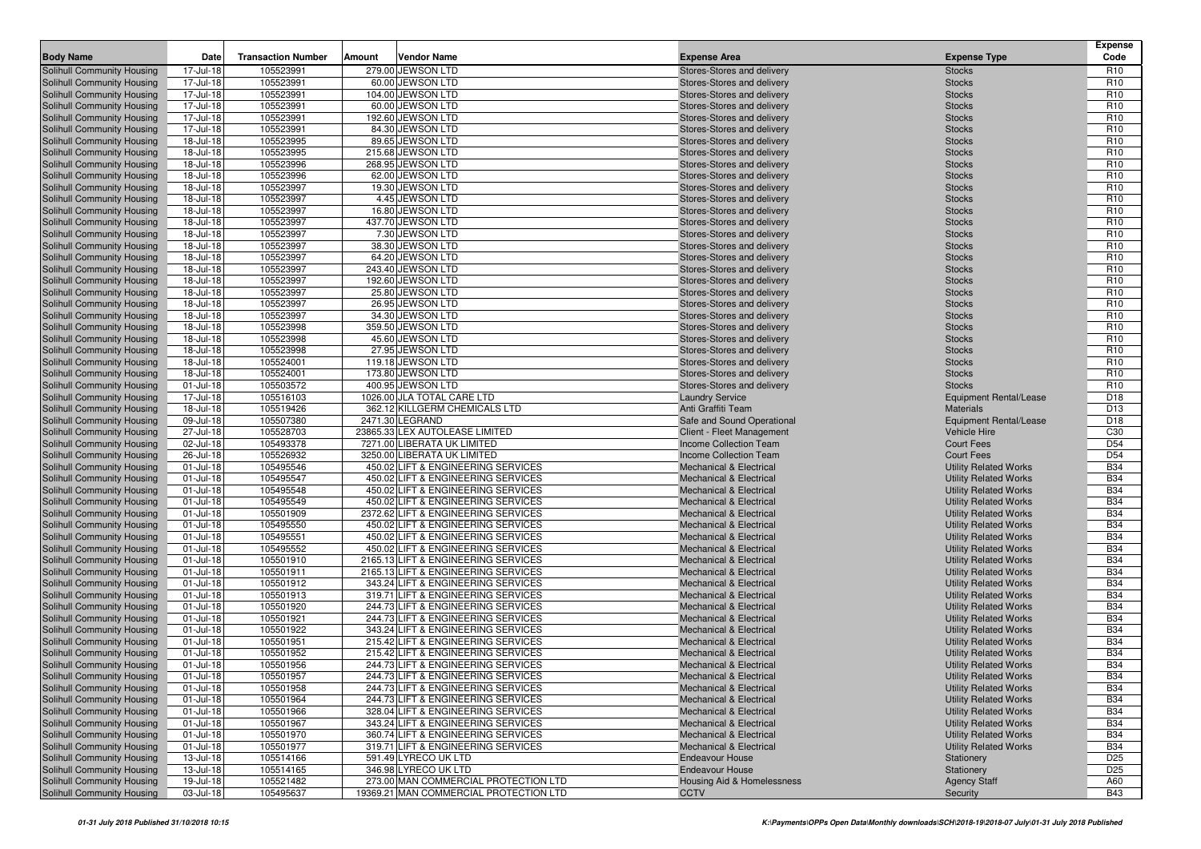| <b>Body Name</b>                                         | Date                   | <b>Transaction Number</b> | Amount | <b>Vendor Name</b>                                                        | <b>Expense Area</b>                                                      | <b>Expense Type</b>                                          | <b>Expense</b><br>Code             |
|----------------------------------------------------------|------------------------|---------------------------|--------|---------------------------------------------------------------------------|--------------------------------------------------------------------------|--------------------------------------------------------------|------------------------------------|
|                                                          |                        |                           |        |                                                                           |                                                                          |                                                              |                                    |
| Solihull Community Housing                               | 17-Jul-18              | 105523991                 |        | 279.00 JEWSON LTD                                                         | Stores-Stores and delivery                                               | <b>Stocks</b>                                                | R <sub>10</sub>                    |
| Solihull Community Housing<br>Solihull Community Housing | 17-Jul-18<br>17-Jul-18 | 105523991<br>105523991    |        | 60.00 JEWSON LTD<br>104.00 JEWSON LTD                                     | Stores-Stores and delivery<br>Stores-Stores and delivery                 | <b>Stocks</b><br><b>Stocks</b>                               | R <sub>10</sub><br>R <sub>10</sub> |
| Solihull Community Housing                               | 17-Jul-18              | 105523991                 |        | 60.00 JEWSON LTD                                                          | Stores-Stores and delivery                                               | <b>Stocks</b>                                                | R <sub>10</sub>                    |
| Solihull Community Housing                               | 17-Jul-18              | 105523991                 |        | 192.60 JEWSON LTD                                                         | Stores-Stores and delivery                                               | <b>Stocks</b>                                                | R <sub>10</sub>                    |
| Solihull Community Housing                               | 17-Jul-18              | 105523991                 |        | 84.30 JEWSON LTD                                                          | Stores-Stores and delivery                                               | <b>Stocks</b>                                                | R <sub>10</sub>                    |
| Solihull Community Housing                               | 18-Jul-18              | 105523995                 |        | 89.65 JEWSON LTD                                                          | Stores-Stores and delivery                                               | <b>Stocks</b>                                                | R <sub>10</sub>                    |
| Solihull Community Housing                               | 18-Jul-18              | 105523995                 |        | 215.68 JEWSON LTD                                                         | Stores-Stores and delivery                                               | <b>Stocks</b>                                                | R <sub>10</sub>                    |
| Solihull Community Housing                               | 18-Jul-18              | 105523996                 |        | 268.95 JEWSON LTD                                                         | Stores-Stores and delivery                                               | <b>Stocks</b>                                                | R <sub>10</sub>                    |
| Solihull Community Housing                               | 18-Jul-18              | 105523996                 |        | 62.00 JEWSON LTD                                                          | Stores-Stores and delivery                                               | <b>Stocks</b>                                                | R <sub>10</sub>                    |
| Solihull Community Housing                               | 18-Jul-18              | 105523997                 |        | 19.30 JEWSON LTD                                                          | Stores-Stores and delivery                                               | <b>Stocks</b>                                                | R <sub>10</sub>                    |
| Solihull Community Housing                               | 18-Jul-18              | 105523997                 |        | 4.45 JEWSON LTD                                                           | Stores-Stores and delivery                                               | <b>Stocks</b>                                                | R <sub>10</sub>                    |
| Solihull Community Housing                               | 18-Jul-18              | 105523997                 |        | 16.80 JEWSON LTD                                                          | Stores-Stores and delivery                                               | <b>Stocks</b>                                                | R <sub>10</sub>                    |
| Solihull Community Housing                               | 18-Jul-18              | 105523997                 |        | 437.70 JEWSON LTD                                                         | Stores-Stores and delivery                                               | <b>Stocks</b>                                                | R <sub>10</sub>                    |
| Solihull Community Housing                               | 18-Jul-18              | 105523997                 |        | 7.30 JEWSON LTD                                                           | Stores-Stores and delivery                                               | <b>Stocks</b>                                                | R <sub>10</sub>                    |
| Solihull Community Housing                               | 18-Jul-18              | 105523997                 |        | 38.30 JEWSON LTD                                                          | Stores-Stores and delivery                                               | <b>Stocks</b>                                                | R <sub>10</sub>                    |
| Solihull Community Housing                               | 18-Jul-18              | 105523997                 |        | 64.20 JEWSON LTD                                                          | Stores-Stores and delivery                                               | <b>Stocks</b>                                                | R <sub>10</sub>                    |
| Solihull Community Housing                               | 18-Jul-18              | 105523997                 |        | 243.40 JEWSON LTD                                                         | Stores-Stores and delivery                                               | <b>Stocks</b>                                                | R <sub>10</sub>                    |
| Solihull Community Housing                               | 18-Jul-18              | 105523997                 |        | 192.60 JEWSON LTD                                                         | Stores-Stores and delivery                                               | <b>Stocks</b>                                                | R <sub>10</sub>                    |
| Solihull Community Housing                               | 18-Jul-18              | 105523997                 |        | 25.80 JEWSON LTD                                                          | Stores-Stores and delivery                                               | <b>Stocks</b>                                                | R <sub>10</sub>                    |
| Solihull Community Housing                               | 18-Jul-18<br>18-Jul-18 | 105523997<br>105523997    |        | 26.95 JEWSON LTD<br>34.30 JEWSON LTD                                      | Stores-Stores and delivery<br>Stores-Stores and delivery                 | <b>Stocks</b><br><b>Stocks</b>                               | R <sub>10</sub><br>R <sub>10</sub> |
| Solihull Community Housing<br>Solihull Community Housing | 18-Jul-18              | 105523998                 |        | 359.50 JEWSON LTD                                                         | Stores-Stores and delivery                                               | <b>Stocks</b>                                                | R <sub>10</sub>                    |
| Solihull Community Housing                               | 18-Jul-18              | 105523998                 |        | 45.60 JEWSON LTD                                                          | Stores-Stores and delivery                                               | <b>Stocks</b>                                                | R <sub>10</sub>                    |
| Solihull Community Housing                               | 18-Jul-18              | 105523998                 |        | 27.95 JEWSON LTD                                                          | Stores-Stores and delivery                                               | <b>Stocks</b>                                                | R <sub>10</sub>                    |
| Solihull Community Housing                               | 18-Jul-18              | 105524001                 |        | 119.18 JEWSON LTD                                                         | Stores-Stores and delivery                                               | <b>Stocks</b>                                                | R <sub>10</sub>                    |
| Solihull Community Housing                               | 18-Jul-18              | 105524001                 |        | 173.80 JEWSON LTD                                                         | Stores-Stores and delivery                                               | <b>Stocks</b>                                                | R <sub>10</sub>                    |
| Solihull Community Housing                               | 01-Jul-18              | 105503572                 |        | 400.95 JEWSON LTD                                                         | Stores-Stores and delivery                                               | <b>Stocks</b>                                                | R <sub>10</sub>                    |
| Solihull Community Housing                               | 17-Jul-18              | 105516103                 |        | 1026.00 JLA TOTAL CARE LTD                                                | <b>Laundry Service</b>                                                   | <b>Equipment Rental/Lease</b>                                | D <sub>18</sub>                    |
| Solihull Community Housing                               | 18-Jul-18              | 105519426                 |        | 362.12 KILLGERM CHEMICALS LTD                                             | Anti Graffiti Team                                                       | <b>Materials</b>                                             | D <sub>13</sub>                    |
| Solihull Community Housing                               | 09-Jul-18              | 105507380                 |        | 2471.30 LEGRAND                                                           | Safe and Sound Operational                                               | <b>Equipment Rental/Lease</b>                                | D <sub>18</sub>                    |
| Solihull Community Housing                               | 27-Jul-18              | 105528703                 |        | 23865.33 LEX AUTOLEASE LIMITED                                            | Client - Fleet Management                                                | Vehicle Hire                                                 | C <sub>30</sub>                    |
| Solihull Community Housing                               | 02-Jul-18              | 105493378                 |        | 7271.00 LIBERATA UK LIMITED                                               | Income Collection Team                                                   | <b>Court Fees</b>                                            | D <sub>54</sub>                    |
| Solihull Community Housing                               | 26-Jul-18              | 105526932                 |        | 3250.00 LIBERATA UK LIMITED                                               | Income Collection Team                                                   | <b>Court Fees</b>                                            | D <sub>54</sub>                    |
| Solihull Community Housing                               | 01-Jul-18              | 105495546                 |        | 450.02 LIFT & ENGINEERING SERVICES                                        | <b>Mechanical &amp; Electrical</b>                                       | <b>Utility Related Works</b>                                 | <b>B34</b>                         |
| Solihull Community Housing                               | 01-Jul-18              | 105495547                 |        | 450.02 LIFT & ENGINEERING SERVICES                                        | <b>Mechanical &amp; Electrical</b>                                       | <b>Utility Related Works</b>                                 | <b>B34</b>                         |
| Solihull Community Housing                               | 01-Jul-18              | 105495548                 |        | 450.02 LIFT & ENGINEERING SERVICES                                        | <b>Mechanical &amp; Electrical</b>                                       | <b>Utility Related Works</b>                                 | <b>B34</b>                         |
| Solihull Community Housing                               | $01 -$ Jul-18          | 105495549                 |        | 450.02 LIFT & ENGINEERING SERVICES                                        | <b>Mechanical &amp; Electrical</b>                                       | <b>Utility Related Works</b>                                 | <b>B34</b>                         |
| Solihull Community Housing                               | 01-Jul-18              | 105501909                 |        | 2372.62 LIFT & ENGINEERING SERVICES                                       | <b>Mechanical &amp; Electrical</b>                                       | <b>Utility Related Works</b>                                 | <b>B34</b>                         |
| Solihull Community Housing                               | 01-Jul-18              | 105495550                 |        | 450.02 LIFT & ENGINEERING SERVICES                                        | <b>Mechanical &amp; Electrical</b>                                       | <b>Utility Related Works</b>                                 | <b>B34</b><br><b>B34</b>           |
| Solihull Community Housing                               | $01 -$ Jul-18          | 105495551<br>105495552    |        | 450.02 LIFT & ENGINEERING SERVICES                                        | <b>Mechanical &amp; Electrical</b><br><b>Mechanical &amp; Electrical</b> | <b>Utility Related Works</b>                                 | <b>B34</b>                         |
| Solihull Community Housing<br>Solihull Community Housing | 01-Jul-18<br>01-Jul-18 | 105501910                 |        | 450.02 LIFT & ENGINEERING SERVICES<br>2165.13 LIFT & ENGINEERING SERVICES | <b>Mechanical &amp; Electrical</b>                                       | <b>Utility Related Works</b><br><b>Utility Related Works</b> | <b>B34</b>                         |
| Solihull Community Housing                               | 01-Jul-18              | 105501911                 |        | 2165.13 LIFT & ENGINEERING SERVICES                                       | <b>Mechanical &amp; Electrical</b>                                       | <b>Utility Related Works</b>                                 | <b>B34</b>                         |
| Solihull Community Housing                               | $01 -$ Jul-18          | 105501912                 |        | 343.24 LIFT & ENGINEERING SERVICES                                        | <b>Mechanical &amp; Electrical</b>                                       | <b>Utility Related Works</b>                                 | <b>B34</b>                         |
| Solihull Community Housing                               | 01-Jul-18              | 105501913                 |        | 319.71 LIFT & ENGINEERING SERVICES                                        | <b>Mechanical &amp; Electrical</b>                                       | <b>Utility Related Works</b>                                 | <b>B34</b>                         |
| Solihull Community Housing                               | 01-Jul-18              | 105501920                 |        | 244.73 LIFT & ENGINEERING SERVICES                                        | <b>Mechanical &amp; Electrical</b>                                       | <b>Utility Related Works</b>                                 | <b>B34</b>                         |
| Solihull Community Housing                               | 01-Jul-18              | 105501921                 |        | 244.73 LIFT & ENGINEERING SERVICES                                        | <b>Mechanical &amp; Electrical</b>                                       | <b>Utility Related Works</b>                                 | <b>B34</b>                         |
| Solihull Community Housing                               | $01 -$ Jul-18          | 105501922                 |        | 343.24 LIFT & ENGINEERING SERVICES                                        | <b>Mechanical &amp; Electrical</b>                                       | <b>Utility Related Works</b>                                 | <b>B34</b>                         |
| Solihull Community Housing                               | 01-Jul-18              | 105501951                 |        | 215.42 LIFT & ENGINEERING SERVICES                                        | <b>Mechanical &amp; Electrical</b>                                       | <b>Utility Related Works</b>                                 | <b>B34</b>                         |
| Solihull Community Housing                               | $01 -$ Jul-18          | 105501952                 |        | 215.42 LIFT & ENGINEERING SERVICES                                        | <b>Mechanical &amp; Electrical</b>                                       | <b>Utility Related Works</b>                                 | <b>B34</b>                         |
| Solihull Community Housing                               | $01 -$ Jul-18          | 105501956                 |        | 244.73 LIFT & ENGINEERING SERVICES                                        | <b>Mechanical &amp; Electrical</b>                                       | <b>Utility Related Works</b>                                 | <b>B34</b>                         |
| Solihull Community Housing                               | 01-Jul-18              | 105501957                 |        | 244.73 LIFT & ENGINEERING SERVICES                                        | <b>Mechanical &amp; Electrical</b>                                       | <b>Utility Related Works</b>                                 | <b>B34</b>                         |
| Solihull Community Housing                               | 01-Jul-18              | 105501958                 |        | 244.73 LIFT & ENGINEERING SERVICES                                        | <b>Mechanical &amp; Electrical</b>                                       | <b>Utility Related Works</b>                                 | <b>B34</b>                         |
| Solihull Community Housing                               | 01-Jul-18              | 105501964                 |        | 244.73 LIFT & ENGINEERING SERVICES                                        | <b>Mechanical &amp; Electrical</b>                                       | <b>Utility Related Works</b>                                 | <b>B34</b>                         |
| Solihull Community Housing                               | $01 -$ Jul-18          | 105501966                 |        | 328.04 LIFT & ENGINEERING SERVICES                                        | <b>Mechanical &amp; Electrical</b>                                       | <b>Utility Related Works</b>                                 | <b>B34</b>                         |
| Solihull Community Housing                               | $01 -$ Jul-18          | 105501967                 |        | 343.24 LIFT & ENGINEERING SERVICES                                        | <b>Mechanical &amp; Electrical</b>                                       | <b>Utility Related Works</b>                                 | <b>B34</b>                         |
| Solihull Community Housing                               | $01 -$ Jul-18          | 105501970                 |        | 360.74 LIFT & ENGINEERING SERVICES                                        | <b>Mechanical &amp; Electrical</b>                                       | <b>Utility Related Works</b>                                 | <b>B34</b>                         |
| Solihull Community Housing                               | 01-Jul-18              | 105501977                 |        | 319.71 LIFT & ENGINEERING SERVICES                                        | <b>Mechanical &amp; Electrical</b>                                       | <b>Utility Related Works</b>                                 | <b>B34</b>                         |
| Solihull Community Housing                               | 13-Jul-18              | 105514166                 |        | 591.49 LYRECO UK LTD<br>346.98 LYRECO UK LTD                              | <b>Endeavour House</b>                                                   | Stationery                                                   | D <sub>25</sub>                    |
| Solihull Community Housing<br>Solihull Community Housing | 13-Jul-18<br>19-Jul-18 | 105514165<br>105521482    |        | 273.00 MAN COMMERCIAL PROTECTION LTD                                      | <b>Endeavour House</b><br>Housing Aid & Homelessness                     | Stationery<br><b>Agency Staff</b>                            | D <sub>25</sub><br>A60             |
| Solihull Community Housing                               | 03-Jul-18              | 105495637                 |        | 19369.21 MAN COMMERCIAL PROTECTION LTD                                    | <b>CCTV</b>                                                              | Security                                                     | <b>B43</b>                         |
|                                                          |                        |                           |        |                                                                           |                                                                          |                                                              |                                    |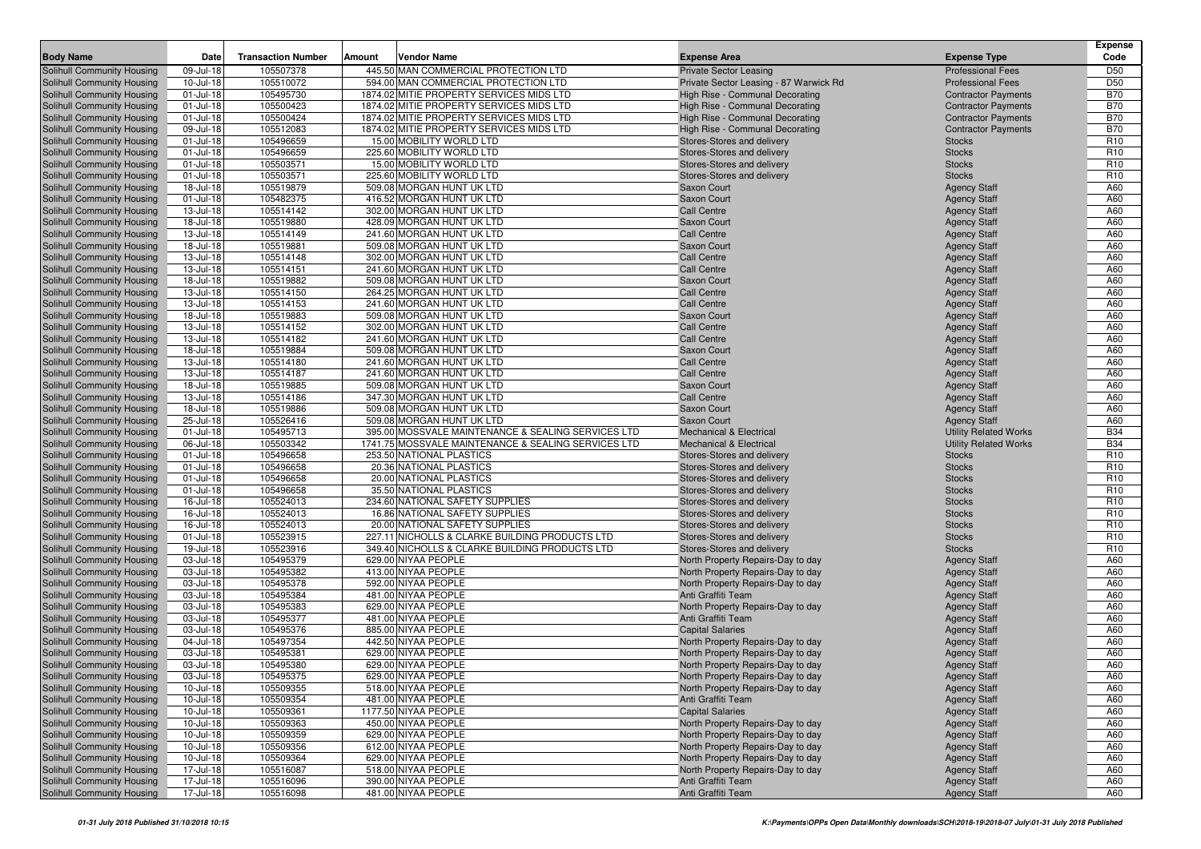|                                                          |                           |                           |        |                                                        |                                                                        |                                            | <b>Expense</b>                     |
|----------------------------------------------------------|---------------------------|---------------------------|--------|--------------------------------------------------------|------------------------------------------------------------------------|--------------------------------------------|------------------------------------|
| <b>Body Name</b>                                         | Date                      | <b>Transaction Number</b> | Amount | Vendor Name                                            | <b>Expense Area</b>                                                    | <b>Expense Type</b>                        | Code                               |
| Solihull Community Housing                               | 09-Jul-18                 | 105507378                 |        | 445.50 MAN COMMERCIAL PROTECTION LTD                   | <b>Private Sector Leasing</b>                                          | <b>Professional Fees</b>                   | D <sub>50</sub>                    |
| Solihull Community Housing                               | 10-Jul-18                 | 105510072                 |        | 594.00 MAN COMMERCIAL PROTECTION LTD                   | Private Sector Leasing - 87 Warwick Rd                                 | <b>Professional Fees</b>                   | D <sub>50</sub>                    |
| Solihull Community Housing                               | 01-Jul-18                 | 105495730                 |        | 1874.02 MITIE PROPERTY SERVICES MIDS LTD               | High Rise - Communal Decorating                                        | <b>Contractor Payments</b>                 | <b>B70</b>                         |
| Solihull Community Housing                               | 01-Jul-18                 | 105500423                 |        | 1874.02 MITIE PROPERTY SERVICES MIDS LTD               | High Rise - Communal Decorating                                        | <b>Contractor Payments</b>                 | <b>B70</b>                         |
| Solihull Community Housing                               | 01-Jul-18                 | 105500424                 |        | 1874.02 MITIE PROPERTY SERVICES MIDS LTD               | High Rise - Communal Decorating                                        | <b>Contractor Payments</b>                 | <b>B70</b>                         |
| Solihull Community Housing                               | 09-Jul-18                 | 105512083                 |        | 1874.02 MITIE PROPERTY SERVICES MIDS LTD               | High Rise - Communal Decorating                                        | <b>Contractor Payments</b>                 | <b>B70</b>                         |
| Solihull Community Housing                               | 01-Jul-18                 | 105496659                 |        | 15.00 MOBILITY WORLD LTD                               | Stores-Stores and delivery                                             | <b>Stocks</b>                              | R <sub>10</sub>                    |
| Solihull Community Housing                               | 01-Jul-18                 | 105496659                 |        | 225.60 MOBILITY WORLD LTD                              | Stores-Stores and delivery                                             | <b>Stocks</b>                              | R <sub>10</sub>                    |
| Solihull Community Housing                               | 01-Jul-18                 | 105503571<br>105503571    |        | 15.00 MOBILITY WORLD LTD                               | Stores-Stores and delivery                                             | <b>Stocks</b>                              | R <sub>10</sub>                    |
| Solihull Community Housing                               | 01-Jul-18                 |                           |        | 225.60 MOBILITY WORLD LTD                              | Stores-Stores and delivery                                             | <b>Stocks</b>                              | R <sub>10</sub>                    |
| Solihull Community Housing<br>Solihull Community Housing | 18-Jul-18<br>01-Jul-18    | 105519879<br>105482375    |        | 509.08 MORGAN HUNT UK LTD<br>416.52 MORGAN HUNT UK LTD | Saxon Court                                                            | <b>Agency Staff</b>                        | A60<br>A60                         |
| Solihull Community Housing                               | 13-Jul-18                 | 105514142                 |        | 302.00 MORGAN HUNT UK LTD                              | Saxon Court<br>Call Centre                                             | <b>Agency Staff</b><br><b>Agency Staff</b> | A60                                |
| Solihull Community Housing                               | 18-Jul-18                 | 105519880                 |        | 428.09 MORGAN HUNT UK LTD                              | Saxon Court                                                            | <b>Agency Staff</b>                        | A60                                |
| Solihull Community Housing                               | 13-Jul-18                 | 105514149                 |        | 241.60 MORGAN HUNT UK LTD                              | Call Centre                                                            | <b>Agency Staff</b>                        | A60                                |
| Solihull Community Housing                               | 18-Jul-18                 | 105519881                 |        | 509.08 MORGAN HUNT UK LTD                              | <b>Saxon Court</b>                                                     | <b>Agency Staff</b>                        | A60                                |
| Solihull Community Housing                               | 13-Jul-18                 | 105514148                 |        | 302.00 MORGAN HUNT UK LTD                              | <b>Call Centre</b>                                                     | <b>Agency Staff</b>                        | A60                                |
| Solihull Community Housing                               | 13-Jul-18                 | 105514151                 |        | 241.60 MORGAN HUNT UK LTD                              | Call Centre                                                            | <b>Agency Staff</b>                        | A60                                |
| Solihull Community Housing                               | 18-Jul-18                 | 105519882                 |        | 509.08 MORGAN HUNT UK LTD                              | Saxon Court                                                            | <b>Agency Staff</b>                        | A60                                |
| Solihull Community Housing                               | 13-Jul-18                 | 105514150                 |        | 264.25 MORGAN HUNT UK LTD                              | Call Centre                                                            | <b>Agency Staff</b>                        | A60                                |
| Solihull Community Housing                               | 13-Jul-18                 | 105514153                 |        | 241.60 MORGAN HUNT UK LTD                              | <b>Call Centre</b>                                                     | <b>Agency Staff</b>                        | A60                                |
| Solihull Community Housing                               | 18-Jul-18                 | 105519883                 |        | 509.08 MORGAN HUNT UK LTD                              | Saxon Court                                                            | <b>Agency Staff</b>                        | A60                                |
| Solihull Community Housing                               | 13-Jul-18                 | 105514152                 |        | 302.00 MORGAN HUNT UK LTD                              | <b>Call Centre</b>                                                     | <b>Agency Staff</b>                        | A60                                |
| Solihull Community Housing                               | 13-Jul-18                 | 105514182                 |        | 241.60 MORGAN HUNT UK LTD                              | Call Centre                                                            | <b>Agency Staff</b>                        | A60                                |
| Solihull Community Housing                               | 18-Jul-18                 | 105519884                 |        | 509.08 MORGAN HUNT UK LTD                              | Saxon Court                                                            | <b>Agency Staff</b>                        | A60                                |
| Solihull Community Housing                               | 13-Jul-18                 | 105514180                 |        | 241.60 MORGAN HUNT UK LTD                              | <b>Call Centre</b>                                                     | <b>Agency Staff</b>                        | A60                                |
| Solihull Community Housing                               | 13-Jul-18                 | 105514187                 |        | 241.60 MORGAN HUNT UK LTD                              | Call Centre                                                            | <b>Agency Staff</b>                        | A60                                |
| Solihull Community Housing                               | 18-Jul-18                 | 105519885                 |        | 509.08 MORGAN HUNT UK LTD                              | Saxon Court                                                            | <b>Agency Staff</b>                        | A60                                |
| Solihull Community Housing                               | 13-Jul-18                 | 105514186                 |        | 347.30 MORGAN HUNT UK LTD                              | Call Centre                                                            | <b>Agency Staff</b>                        | A60                                |
| Solihull Community Housing                               | 18-Jul-18                 | 105519886                 |        | 509.08 MORGAN HUNT UK LTD                              | <b>Saxon Court</b>                                                     | <b>Agency Staff</b>                        | A60                                |
| Solihull Community Housing                               | 25-Jul-18                 | 105526416                 |        | 509.08 MORGAN HUNT UK LTD                              | Saxon Court                                                            | <b>Agency Staff</b>                        | A60                                |
| Solihull Community Housing                               | 01-Jul-18                 | 105495713                 |        | 395.00 MOSSVALE MAINTENANCE & SEALING SERVICES LTD     | <b>Mechanical &amp; Electrical</b>                                     | <b>Utility Related Works</b>               | <b>B34</b>                         |
| Solihull Community Housing                               | 06-Jul-18                 | 105503342                 |        | 1741.75 MOSSVALE MAINTENANCE & SEALING SERVICES LTD    | <b>Mechanical &amp; Electrical</b>                                     | <b>Utility Related Works</b>               | <b>B34</b>                         |
| Solihull Community Housing<br>Solihull Community Housing | 01-Jul-18<br>01-Jul-18    | 105496658<br>105496658    |        | 253.50 NATIONAL PLASTICS<br>20.36 NATIONAL PLASTICS    | Stores-Stores and delivery<br>Stores-Stores and delivery               | <b>Stocks</b><br><b>Stocks</b>             | R <sub>10</sub><br>R <sub>10</sub> |
| Solihull Community Housing                               | 01-Jul-18                 | 105496658                 |        | 20.00 NATIONAL PLASTICS                                | Stores-Stores and delivery                                             | <b>Stocks</b>                              | R <sub>10</sub>                    |
| Solihull Community Housing                               | 01-Jul-18                 | 105496658                 |        | 35.50 NATIONAL PLASTICS                                | Stores-Stores and delivery                                             | <b>Stocks</b>                              | R <sub>10</sub>                    |
| Solihull Community Housing                               | 16-Jul-18                 | 105524013                 |        | 234.60 NATIONAL SAFETY SUPPLIES                        | Stores-Stores and delivery                                             | <b>Stocks</b>                              | R <sub>10</sub>                    |
| Solihull Community Housing                               | 16-Jul-18                 | 105524013                 |        | 16.86 NATIONAL SAFETY SUPPLIES                         | Stores-Stores and delivery                                             | <b>Stocks</b>                              | R <sub>10</sub>                    |
| Solihull Community Housing                               | 16-Jul-18                 | 105524013                 |        | 20.00 NATIONAL SAFETY SUPPLIES                         | Stores-Stores and delivery                                             | <b>Stocks</b>                              | R <sub>10</sub>                    |
| Solihull Community Housing                               | 01-Jul-18                 | 105523915                 |        | 227.11 NICHOLLS & CLARKE BUILDING PRODUCTS LTD         | Stores-Stores and delivery                                             | <b>Stocks</b>                              | R <sub>10</sub>                    |
| Solihull Community Housing                               | 19-Jul-18                 | 105523916                 |        | 349.40 NICHOLLS & CLARKE BUILDING PRODUCTS LTD         | Stores-Stores and delivery                                             | <b>Stocks</b>                              | R <sub>10</sub>                    |
| Solihull Community Housing                               | 03-Jul-18                 | 105495379                 |        | 629.00 NIYAA PEOPLE                                    | North Property Repairs-Day to day                                      | <b>Agency Staff</b>                        | A60                                |
| Solihull Community Housing                               | 03-Jul-18                 | 105495382                 |        | 413.00 NIYAA PEOPLE                                    | North Property Repairs-Day to day                                      | <b>Agency Staff</b>                        | A60                                |
| Solihull Community Housing                               | 03-Jul-18                 | 105495378                 |        | 592.00 NIYAA PEOPLE                                    | North Property Repairs-Day to day                                      | <b>Agency Staff</b>                        | A60                                |
| Solihull Community Housing                               | 03-Jul-18                 | 105495384                 |        | 481.00 NIYAA PEOPLE                                    | Anti Graffiti Team                                                     | <b>Agency Staff</b>                        | A60                                |
| Solihull Community Housing                               | 03-Jul-18                 | 105495383                 |        | 629.00 NIYAA PEOPLE                                    | North Property Repairs-Day to day                                      | <b>Agency Staff</b>                        | A60                                |
| Solihull Community Housing                               | 03-Jul-18                 | 105495377                 |        | 481.00 NIYAA PEOPLE                                    | Anti Graffiti Team                                                     | <b>Agency Staff</b>                        | A60                                |
| Solihull Community Housing                               | 03-Jul-18                 | 105495376                 |        | 885.00 NIYAA PEOPLE                                    | <b>Capital Salaries</b>                                                | <b>Agency Staff</b>                        | A60                                |
| Solihull Community Housing                               | 04-Jul-18                 | 105497354                 |        | 442.50 NIYAA PEOPLE                                    | North Property Repairs-Day to day                                      | <b>Agency Staff</b>                        | A60                                |
| Solihull Community Housing                               | 03-Jul-18                 | 105495381                 |        | 629.00 NIYAA PEOPLE                                    | North Property Repairs-Day to day                                      | <b>Agency Staff</b>                        | A60                                |
| Solihull Community Housing                               | 03-Jul-18                 | 105495380                 |        | 629.00 NIYAA PEOPLE                                    | North Property Repairs-Day to day                                      | <b>Agency Staff</b>                        | A60                                |
| Solihull Community Housing                               | 03-Jul-18                 | 105495375                 |        | 629.00 NIYAA PEOPLE                                    | North Property Repairs-Day to day                                      | <b>Agency Staff</b>                        | A60                                |
| Solihull Community Housing                               | 10-Jul-18                 | 105509355                 |        | 518.00 NIYAA PEOPLE                                    | North Property Repairs-Day to day                                      | <b>Agency Staff</b>                        | A60                                |
| Solihull Community Housing                               | $10$ -Jul-18              | 105509354                 |        | 481.00 NIYAA PEOPLE                                    | Anti Graffiti Team                                                     | <b>Agency Staff</b>                        | A60                                |
| Solihull Community Housing                               | $10$ -Jul-18              | 105509361                 |        | 1177.50 NIYAA PEOPLE                                   | <b>Capital Salaries</b>                                                | <b>Agency Staff</b>                        | A60                                |
| Solihull Community Housing                               | $10$ -Jul-18              | 105509363                 |        | 450.00 NIYAA PEOPLE                                    | North Property Repairs-Day to day                                      | <b>Agency Staff</b>                        | A60                                |
| Solihull Community Housing                               | $10$ -Jul-18              | 105509359                 |        | 629.00 NIYAA PEOPLE                                    | North Property Repairs-Day to day                                      | <b>Agency Staff</b>                        | A60                                |
| Solihull Community Housing<br>Solihull Community Housing | $10$ -Jul-18<br>10-Jul-18 | 105509356<br>105509364    |        | 612.00 NIYAA PEOPLE<br>629.00 NIYAA PEOPLE             | North Property Repairs-Day to day<br>North Property Repairs-Day to day | <b>Agency Staff</b><br><b>Agency Staff</b> | A60<br>A60                         |
| Solihull Community Housing                               | 17-Jul-18                 | 105516087                 |        | 518.00 NIYAA PEOPLE                                    | North Property Repairs-Day to day                                      | <b>Agency Staff</b>                        | A60                                |
| Solihull Community Housing                               | 17-Jul-18                 | 105516096                 |        | 390.00 NIYAA PEOPLE                                    | Anti Graffiti Team                                                     | <b>Agency Staff</b>                        | A60                                |
| Solihull Community Housing                               | 17-Jul-18                 | 105516098                 |        | 481.00 NIYAA PEOPLE                                    | Anti Graffiti Team                                                     | <b>Agency Staff</b>                        | A60                                |
|                                                          |                           |                           |        |                                                        |                                                                        |                                            |                                    |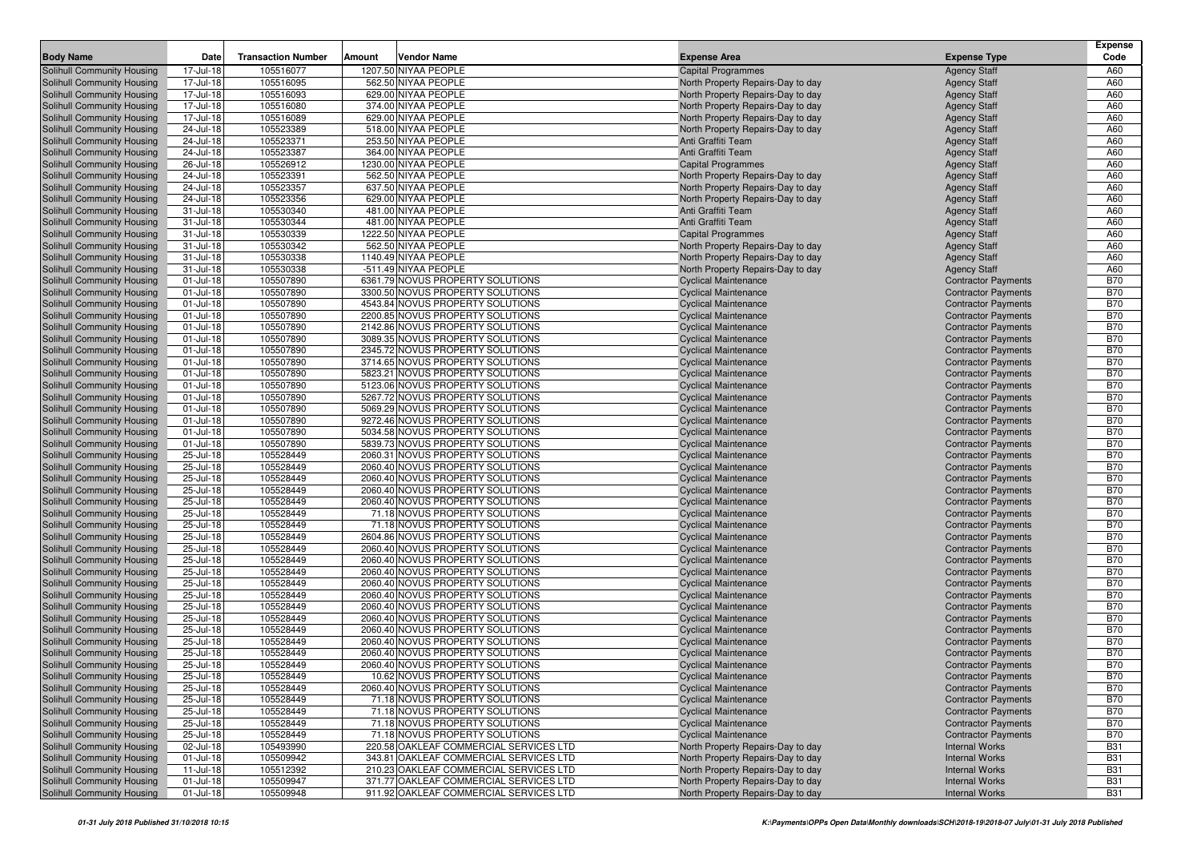|                                                          |                        |                           |                                                                      |                                                                        |                                                          | <b>Expense</b>           |
|----------------------------------------------------------|------------------------|---------------------------|----------------------------------------------------------------------|------------------------------------------------------------------------|----------------------------------------------------------|--------------------------|
| <b>Body Name</b>                                         | Date                   | <b>Transaction Number</b> | Vendor Name<br>Amount                                                | <b>Expense Area</b>                                                    | <b>Expense Type</b>                                      | Code                     |
| Solihull Community Housing                               | 17-Jul-18              | 105516077                 | 1207.50 NIYAA PEOPLE                                                 | <b>Capital Programmes</b>                                              | <b>Agency Staff</b>                                      | A60                      |
| Solihull Community Housing                               | 17-Jul-18              | 105516095                 | 562.50 NIYAA PEOPLE                                                  | North Property Repairs-Day to day                                      | <b>Agency Staff</b>                                      | A60                      |
| Solihull Community Housing                               | 17-Jul-18              | 105516093                 | 629.00 NIYAA PEOPLE                                                  | North Property Repairs-Day to day                                      | <b>Agency Staff</b>                                      | A60                      |
| Solihull Community Housing                               | 17-Jul-18              | 105516080                 | 374.00 NIYAA PEOPLE                                                  | North Property Repairs-Day to day                                      | <b>Agency Staff</b>                                      | A60                      |
| Solihull Community Housing                               | 17-Jul-18              | 105516089                 | 629.00 NIYAA PEOPLE                                                  | North Property Repairs-Day to day                                      | <b>Agency Staff</b>                                      | A60                      |
| Solihull Community Housing                               | 24-Jul-18              | 105523389                 | 518.00 NIYAA PEOPLE                                                  | North Property Repairs-Day to day                                      | <b>Agency Staff</b>                                      | A60                      |
| Solihull Community Housing                               | 24-Jul-18              | 105523371                 | 253.50 NIYAA PEOPLE                                                  | Anti Graffiti Team                                                     | <b>Agency Staff</b>                                      | A60                      |
| Solihull Community Housing                               | 24-Jul-18              | 105523387                 | 364.00 NIYAA PEOPLE                                                  | Anti Graffiti Team                                                     | <b>Agency Staff</b>                                      | A60                      |
| Solihull Community Housing                               | 26-Jul-18              | 105526912                 | 1230.00 NIYAA PEOPLE                                                 | <b>Capital Programmes</b>                                              | <b>Agency Staff</b>                                      | A60                      |
| Solihull Community Housing                               | 24-Jul-18              | 105523391                 | 562.50 NIYAA PEOPLE                                                  | North Property Repairs-Day to day                                      | <b>Agency Staff</b>                                      | A60                      |
| Solihull Community Housing                               | 24-Jul-18              | 105523357                 | 637.50 NIYAA PEOPLE                                                  | North Property Repairs-Day to day                                      | <b>Agency Staff</b>                                      | A60                      |
| Solihull Community Housing                               | 24-Jul-18              | 105523356                 | 629.00 NIYAA PEOPLE                                                  | North Property Repairs-Day to day                                      | <b>Agency Staff</b>                                      | A60                      |
| Solihull Community Housing                               | 31-Jul-18              | 105530340                 | 481.00 NIYAA PEOPLE                                                  | Anti Graffiti Team                                                     | <b>Agency Staff</b>                                      | A60                      |
| Solihull Community Housing                               | 31-Jul-18              | 105530344                 | 481.00 NIYAA PEOPLE                                                  | Anti Graffiti Team                                                     | <b>Agency Staff</b>                                      | A60                      |
| Solihull Community Housing<br>Solihull Community Housing | 31-Jul-18<br>31-Jul-18 | 105530339                 | 1222.50 NIYAA PEOPLE<br>562.50 NIYAA PEOPLE                          | <b>Capital Programmes</b>                                              | <b>Agency Staff</b>                                      | A60<br>A60               |
| Solihull Community Housing                               | 31-Jul-18              | 105530342<br>105530338    | 1140.49 NIYAA PEOPLE                                                 | North Property Repairs-Day to day                                      | <b>Agency Staff</b><br><b>Agency Staff</b>               | A60                      |
| Solihull Community Housing                               | 31-Jul-18              | 105530338                 | -511.49 NIYAA PEOPLE                                                 | North Property Repairs-Day to day<br>North Property Repairs-Day to day | <b>Agency Staff</b>                                      | A60                      |
| Solihull Community Housing                               | 01-Jul-18              | 105507890                 | 6361.79 NOVUS PROPERTY SOLUTIONS                                     | <b>Cyclical Maintenance</b>                                            | <b>Contractor Payments</b>                               | <b>B70</b>               |
| Solihull Community Housing                               | $01 -$ Jul-18          | 105507890                 | 3300.50 NOVUS PROPERTY SOLUTIONS                                     | <b>Cyclical Maintenance</b>                                            | <b>Contractor Payments</b>                               | <b>B70</b>               |
| Solihull Community Housing                               | 01-Jul-18              | 105507890                 | 4543.84 NOVUS PROPERTY SOLUTIONS                                     | <b>Cyclical Maintenance</b>                                            | <b>Contractor Payments</b>                               | <b>B70</b>               |
| Solihull Community Housing                               | 01-Jul-18              | 105507890                 | 2200.85 NOVUS PROPERTY SOLUTIONS                                     | <b>Cyclical Maintenance</b>                                            | <b>Contractor Payments</b>                               | <b>B70</b>               |
| Solihull Community Housing                               | 01-Jul-18              | 105507890                 | 2142.86 NOVUS PROPERTY SOLUTIONS                                     | <b>Cyclical Maintenance</b>                                            | <b>Contractor Payments</b>                               | <b>B70</b>               |
| Solihull Community Housing                               | 01-Jul-18              | 105507890                 | 3089.35 NOVUS PROPERTY SOLUTIONS                                     | <b>Cyclical Maintenance</b>                                            | <b>Contractor Payments</b>                               | <b>B70</b>               |
| Solihull Community Housing                               | 01-Jul-18              | 105507890                 | 2345.72 NOVUS PROPERTY SOLUTIONS                                     | <b>Cyclical Maintenance</b>                                            | <b>Contractor Payments</b>                               | <b>B70</b>               |
| Solihull Community Housing                               | 01-Jul-18              | 105507890                 | 3714.65 NOVUS PROPERTY SOLUTIONS                                     | <b>Cyclical Maintenance</b>                                            | <b>Contractor Payments</b>                               | <b>B70</b>               |
| Solihull Community Housing                               | $01 -$ Jul-18          | 105507890                 | 5823.21 NOVUS PROPERTY SOLUTIONS                                     | <b>Cyclical Maintenance</b>                                            | <b>Contractor Payments</b>                               | <b>B70</b>               |
| Solihull Community Housing                               | 01-Jul-18              | 105507890                 | 5123.06 NOVUS PROPERTY SOLUTIONS                                     | <b>Cyclical Maintenance</b>                                            | <b>Contractor Payments</b>                               | <b>B70</b>               |
| Solihull Community Housing                               | 01-Jul-18              | 105507890                 | 5267.72 NOVUS PROPERTY SOLUTIONS                                     | <b>Cyclical Maintenance</b>                                            | <b>Contractor Payments</b>                               | <b>B70</b>               |
| Solihull Community Housing                               | 01-Jul-18              | 105507890                 | 5069.29 NOVUS PROPERTY SOLUTIONS                                     | <b>Cyclical Maintenance</b>                                            | <b>Contractor Payments</b>                               | <b>B70</b>               |
| Solihull Community Housing                               | 01-Jul-18              | 105507890                 | 9272.46 NOVUS PROPERTY SOLUTIONS                                     | <b>Cyclical Maintenance</b>                                            | <b>Contractor Payments</b>                               | <b>B70</b>               |
| Solihull Community Housing                               | 01-Jul-18              | 105507890                 | 5034.58 NOVUS PROPERTY SOLUTIONS                                     | <b>Cyclical Maintenance</b>                                            | <b>Contractor Payments</b>                               | <b>B70</b>               |
| Solihull Community Housing                               | 01-Jul-18              | 105507890                 | 5839.73 NOVUS PROPERTY SOLUTIONS                                     | <b>Cyclical Maintenance</b>                                            | <b>Contractor Payments</b>                               | <b>B70</b>               |
| Solihull Community Housing                               | 25-Jul-18              | 105528449                 | 2060.31 NOVUS PROPERTY SOLUTIONS                                     | <b>Cyclical Maintenance</b>                                            | <b>Contractor Payments</b>                               | <b>B70</b>               |
| Solihull Community Housing                               | 25-Jul-18              | 105528449                 | 2060.40 NOVUS PROPERTY SOLUTIONS                                     | <b>Cyclical Maintenance</b>                                            | <b>Contractor Payments</b>                               | <b>B70</b>               |
| Solihull Community Housing                               | 25-Jul-18              | 105528449                 | 2060.40 NOVUS PROPERTY SOLUTIONS                                     | <b>Cyclical Maintenance</b>                                            | <b>Contractor Payments</b>                               | <b>B70</b>               |
| Solihull Community Housing                               | 25-Jul-18              | 105528449                 | 2060.40 NOVUS PROPERTY SOLUTIONS                                     | <b>Cyclical Maintenance</b>                                            | <b>Contractor Payments</b>                               | <b>B70</b>               |
| Solihull Community Housing                               | 25-Jul-18              | 105528449                 | 2060.40 NOVUS PROPERTY SOLUTIONS                                     | <b>Cyclical Maintenance</b>                                            | <b>Contractor Payments</b>                               | <b>B70</b>               |
| Solihull Community Housing                               | 25-Jul-18              | 105528449                 | 71.18 NOVUS PROPERTY SOLUTIONS                                       | <b>Cyclical Maintenance</b>                                            | <b>Contractor Payments</b>                               | <b>B70</b>               |
| Solihull Community Housing                               | 25-Jul-18              | 105528449                 | 71.18 NOVUS PROPERTY SOLUTIONS                                       | <b>Cyclical Maintenance</b>                                            | <b>Contractor Payments</b>                               | <b>B70</b>               |
| Solihull Community Housing                               | 25-Jul-18              | 105528449<br>105528449    | 2604.86 NOVUS PROPERTY SOLUTIONS                                     | <b>Cyclical Maintenance</b>                                            | <b>Contractor Payments</b>                               | <b>B70</b><br><b>B70</b> |
| Solihull Community Housing<br>Solihull Community Housing | 25-Jul-18<br>25-Jul-18 | 105528449                 | 2060.40 NOVUS PROPERTY SOLUTIONS<br>2060.40 NOVUS PROPERTY SOLUTIONS | <b>Cyclical Maintenance</b><br><b>Cyclical Maintenance</b>             | <b>Contractor Payments</b><br><b>Contractor Payments</b> | <b>B70</b>               |
| Solihull Community Housing                               | 25-Jul-18              | 105528449                 | 2060.40 NOVUS PROPERTY SOLUTIONS                                     | <b>Cyclical Maintenance</b>                                            | <b>Contractor Payments</b>                               | <b>B70</b>               |
| Solihull Community Housing                               | 25-Jul-18              | 105528449                 | 2060.40 NOVUS PROPERTY SOLUTIONS                                     | <b>Cyclical Maintenance</b>                                            | <b>Contractor Payments</b>                               | <b>B70</b>               |
| Solihull Community Housing                               | 25-Jul-18              | 105528449                 | 2060.40 NOVUS PROPERTY SOLUTIONS                                     | <b>Cyclical Maintenance</b>                                            | <b>Contractor Payments</b>                               | <b>B70</b>               |
| Solihull Community Housing                               | 25-Jul-18              | 105528449                 | 2060.40 NOVUS PROPERTY SOLUTIONS                                     | <b>Cyclical Maintenance</b>                                            | <b>Contractor Payments</b>                               | <b>B70</b>               |
| Solihull Community Housing                               | 25-Jul-18              | 105528449                 | 2060.40 NOVUS PROPERTY SOLUTIONS                                     | <b>Cyclical Maintenance</b>                                            | <b>Contractor Payments</b>                               | <b>B70</b>               |
| Solihull Community Housing                               | 25-Jul-18              | 105528449                 | 2060.40 NOVUS PROPERTY SOLUTIONS                                     | <b>Cyclical Maintenance</b>                                            | <b>Contractor Payments</b>                               | <b>B70</b>               |
| Solihull Community Housing                               | 25-Jul-18              | 105528449                 | 2060.40 NOVUS PROPERTY SOLUTIONS                                     | <b>Cyclical Maintenance</b>                                            | <b>Contractor Payments</b>                               | <b>B70</b>               |
| Solihull Community Housing                               | 25-Jul-18              | 105528449                 | 2060.40 NOVUS PROPERTY SOLUTIONS                                     | <b>Cyclical Maintenance</b>                                            | <b>Contractor Payments</b>                               | <b>B70</b>               |
| Solihull Community Housing                               | 25-Jul-18              | 105528449                 | 2060.40 NOVUS PROPERTY SOLUTIONS                                     | <b>Cyclical Maintenance</b>                                            | <b>Contractor Payments</b>                               | <b>B70</b>               |
| Solihull Community Housing                               | 25-Jul-18              | 105528449                 | 10.62 NOVUS PROPERTY SOLUTIONS                                       | <b>Cyclical Maintenance</b>                                            | <b>Contractor Payments</b>                               | <b>B70</b>               |
| Solihull Community Housing                               | 25-Jul-18              | 105528449                 | 2060.40 NOVUS PROPERTY SOLUTIONS                                     | <b>Cyclical Maintenance</b>                                            | <b>Contractor Payments</b>                               | <b>B70</b>               |
| Solihull Community Housing                               | 25-Jul-18              | 105528449                 | 71.18 NOVUS PROPERTY SOLUTIONS                                       | <b>Cyclical Maintenance</b>                                            | <b>Contractor Payments</b>                               | <b>B70</b>               |
| Solihull Community Housing                               | 25-Jul-18              | 105528449                 | 71.18 NOVUS PROPERTY SOLUTIONS                                       | <b>Cyclical Maintenance</b>                                            | <b>Contractor Payments</b>                               | <b>B70</b>               |
| Solihull Community Housing                               | 25-Jul-18              | 105528449                 | 71.18 NOVUS PROPERTY SOLUTIONS                                       | <b>Cyclical Maintenance</b>                                            | <b>Contractor Payments</b>                               | <b>B70</b>               |
| Solihull Community Housing                               | 25-Jul-18              | 105528449                 | 71.18 NOVUS PROPERTY SOLUTIONS                                       | <b>Cyclical Maintenance</b>                                            | <b>Contractor Payments</b>                               | <b>B70</b>               |
| Solihull Community Housing                               | 02-Jul-18              | 105493990                 | 220.58 OAKLEAF COMMERCIAL SERVICES LTD                               | North Property Repairs-Day to day                                      | <b>Internal Works</b>                                    | <b>B31</b>               |
| Solihull Community Housing                               | $01 -$ Jul-18          | 105509942                 | 343.81 OAKLEAF COMMERCIAL SERVICES LTD                               | North Property Repairs-Day to day                                      | <b>Internal Works</b>                                    | <b>B31</b>               |
| Solihull Community Housing                               | $11 -$ Jul-18          | 105512392                 | 210.23 OAKLEAF COMMERCIAL SERVICES LTD                               | North Property Repairs-Day to day                                      | <b>Internal Works</b>                                    | <b>B31</b>               |
| Solihull Community Housing                               | 01-Jul-18              | 105509947                 | 371.77 OAKLEAF COMMERCIAL SERVICES LTD                               | North Property Repairs-Day to day                                      | <b>Internal Works</b>                                    | <b>B31</b>               |
| Solihull Community Housing                               | $01$ -Jul-18           | 105509948                 | 911.92 OAKLEAF COMMERCIAL SERVICES LTD                               | North Property Repairs-Day to day                                      | <b>Internal Works</b>                                    | <b>B31</b>               |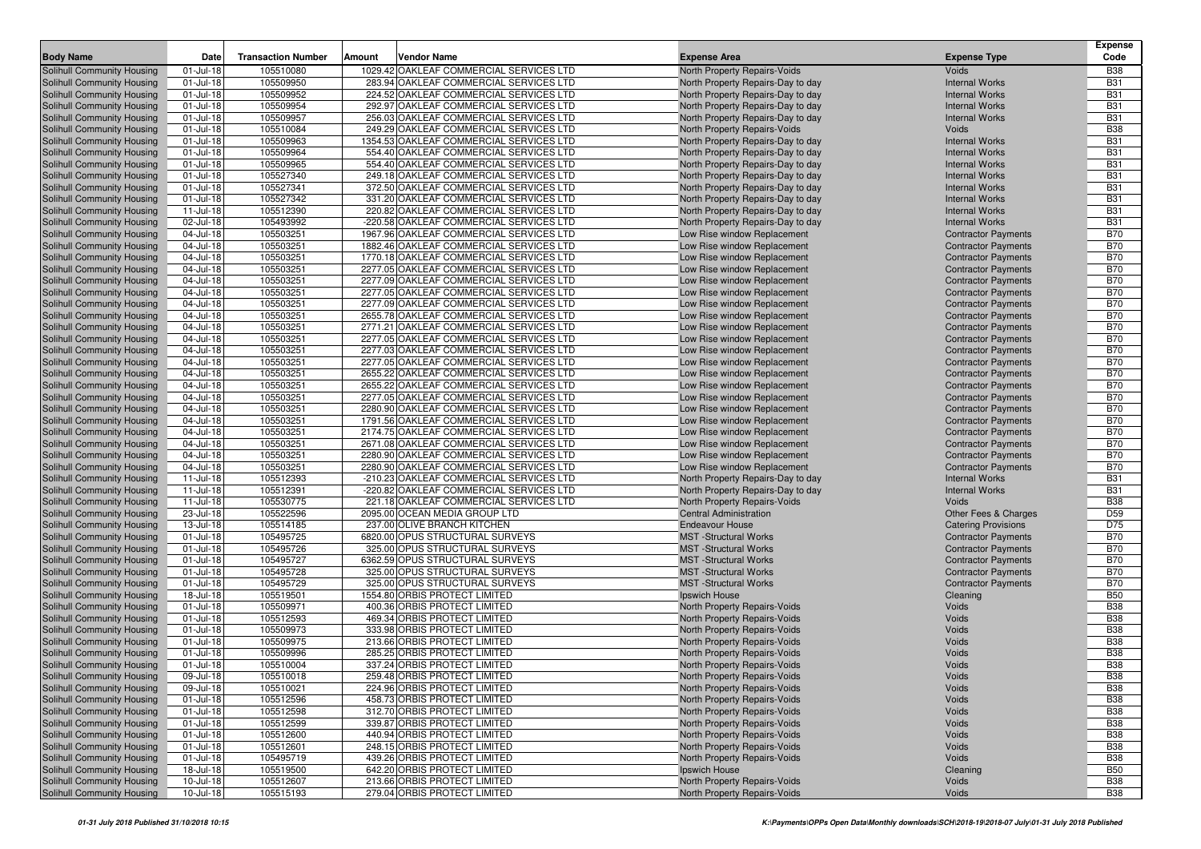| <b>Body Name</b>                                         | Date                   | <b>Transaction Number</b> | Amount<br>Vendor Name                                                              |                                                                        | <b>Expense Type</b>                                      | <b>Expense</b><br>Code   |
|----------------------------------------------------------|------------------------|---------------------------|------------------------------------------------------------------------------------|------------------------------------------------------------------------|----------------------------------------------------------|--------------------------|
|                                                          |                        |                           | 1029.42 OAKLEAF COMMERCIAL SERVICES LTD                                            | <b>Expense Area</b>                                                    |                                                          |                          |
| Solihull Community Housing                               | 01-Jul-18<br>01-Jul-18 | 105510080<br>105509950    | 283.94 OAKLEAF COMMERCIAL SERVICES LTD                                             | North Property Repairs-Voids                                           | Voids<br><b>Internal Works</b>                           | <b>B38</b><br><b>B31</b> |
| Solihull Community Housing<br>Solihull Community Housing | 01-Jul-18              | 105509952                 | 224.52 OAKLEAF COMMERCIAL SERVICES LTD                                             | North Property Repairs-Day to day<br>North Property Repairs-Day to day | <b>Internal Works</b>                                    | <b>B31</b>               |
| Solihull Community Housing                               | 01-Jul-18              | 105509954                 | 292.97 OAKLEAF COMMERCIAL SERVICES LTD                                             | North Property Repairs-Day to day                                      | <b>Internal Works</b>                                    | <b>B31</b>               |
| Solihull Community Housing                               | 01-Jul-18              | 105509957                 | 256.03 OAKLEAF COMMERCIAL SERVICES LTD                                             | North Property Repairs-Day to day                                      | <b>Internal Works</b>                                    | <b>B31</b>               |
| Solihull Community Housing                               | 01-Jul-18              | 105510084                 | 249.29 OAKLEAF COMMERCIAL SERVICES LTD                                             | <b>North Property Repairs-Voids</b>                                    | Voids                                                    | <b>B38</b>               |
| Solihull Community Housing                               | 01-Jul-18              | 105509963                 | 1354.53 OAKLEAF COMMERCIAL SERVICES LTD                                            | North Property Repairs-Day to day                                      | <b>Internal Works</b>                                    | <b>B31</b>               |
| Solihull Community Housing                               | 01-Jul-18              | 105509964                 | 554.40 OAKLEAF COMMERCIAL SERVICES LTD                                             | North Property Repairs-Day to day                                      | <b>Internal Works</b>                                    | <b>B31</b>               |
| Solihull Community Housing                               | 01-Jul-18              | 105509965                 | 554.40 OAKLEAF COMMERCIAL SERVICES LTD                                             | North Property Repairs-Day to day                                      | <b>Internal Works</b>                                    | <b>B31</b>               |
| Solihull Community Housing                               | 01-Jul-18              | 105527340                 | 249.18 OAKLEAF COMMERCIAL SERVICES LTD                                             | North Property Repairs-Day to day                                      | <b>Internal Works</b>                                    | <b>B31</b>               |
| Solihull Community Housing                               | 01-Jul-18              | 105527341                 | 372.50 OAKLEAF COMMERCIAL SERVICES LTD                                             | North Property Repairs-Day to day                                      | <b>Internal Works</b>                                    | <b>B31</b>               |
| Solihull Community Housing                               | 01-Jul-18              | 105527342                 | 331.20 OAKLEAF COMMERCIAL SERVICES LTD                                             | North Property Repairs-Day to day                                      | <b>Internal Works</b>                                    | <b>B31</b>               |
| Solihull Community Housing                               | $11 -$ Jul-18          | 105512390                 | 220.82 OAKLEAF COMMERCIAL SERVICES LTD                                             | North Property Repairs-Day to day                                      | <b>Internal Works</b>                                    | <b>B31</b>               |
| Solihull Community Housing                               | 02-Jul-18              | 105493992                 | -220.58 OAKLEAF COMMERCIAL SERVICES LTD                                            | North Property Repairs-Day to day                                      | <b>Internal Works</b>                                    | <b>B31</b>               |
| Solihull Community Housing                               | 04-Jul-18              | 105503251                 | 1967.96 OAKLEAF COMMERCIAL SERVICES LTD                                            | Low Rise window Replacement                                            | <b>Contractor Payments</b>                               | <b>B70</b>               |
| Solihull Community Housing                               | 04-Jul-18              | 105503251                 | 1882.46 OAKLEAF COMMERCIAL SERVICES LTD                                            | Low Rise window Replacement                                            | <b>Contractor Payments</b>                               | <b>B70</b>               |
| Solihull Community Housing                               | 04-Jul-18              | 105503251                 | 1770.18 OAKLEAF COMMERCIAL SERVICES LTD                                            | Low Rise window Replacement                                            | <b>Contractor Payments</b>                               | <b>B70</b>               |
| Solihull Community Housing                               | 04-Jul-18              | 105503251                 | 2277.05 OAKLEAF COMMERCIAL SERVICES LTD                                            | Low Rise window Replacement                                            | <b>Contractor Payments</b>                               | <b>B70</b>               |
| Solihull Community Housing                               | 04-Jul-18              | 105503251                 | 2277.09 OAKLEAF COMMERCIAL SERVICES LTD                                            | Low Rise window Replacement                                            | <b>Contractor Payments</b>                               | <b>B70</b>               |
| Solihull Community Housing                               | 04-Jul-18              | 105503251                 | 2277.05 OAKLEAF COMMERCIAL SERVICES LTD                                            | Low Rise window Replacement                                            | <b>Contractor Payments</b>                               | <b>B70</b>               |
| Solihull Community Housing                               | 04-Jul-18              | 105503251                 | 2277.09 OAKLEAF COMMERCIAL SERVICES LTD                                            | Low Rise window Replacement                                            | <b>Contractor Payments</b>                               | <b>B70</b>               |
| Solihull Community Housing                               | 04-Jul-18              | 105503251                 | 2655.78 OAKLEAF COMMERCIAL SERVICES LTD                                            | Low Rise window Replacement                                            | <b>Contractor Payments</b>                               | <b>B70</b>               |
| Solihull Community Housing                               | 04-Jul-18              | 105503251                 | 2771.21 OAKLEAF COMMERCIAL SERVICES LTD                                            | Low Rise window Replacement                                            | <b>Contractor Payments</b>                               | <b>B70</b>               |
| Solihull Community Housing                               | 04-Jul-18<br>04-Jul-18 | 105503251<br>105503251    | 2277.05 OAKLEAF COMMERCIAL SERVICES LTD<br>2277.03 OAKLEAF COMMERCIAL SERVICES LTD | Low Rise window Replacement                                            | <b>Contractor Payments</b>                               | <b>B70</b><br><b>B70</b> |
| Solihull Community Housing<br>Solihull Community Housing | 04-Jul-18              | 105503251                 | 2277.05 OAKLEAF COMMERCIAL SERVICES LTD                                            | Low Rise window Replacement<br>Low Rise window Replacement             | <b>Contractor Payments</b><br><b>Contractor Payments</b> | <b>B70</b>               |
| Solihull Community Housing                               | 04-Jul-18              | 105503251                 | 2655.22 OAKLEAF COMMERCIAL SERVICES LTD                                            | Low Rise window Replacement                                            | <b>Contractor Payments</b>                               | <b>B70</b>               |
| Solihull Community Housing                               | 04-Jul-18              | 105503251                 | 2655.22 OAKLEAF COMMERCIAL SERVICES LTD                                            | Low Rise window Replacement                                            | <b>Contractor Payments</b>                               | <b>B70</b>               |
| Solihull Community Housing                               | 04-Jul-18              | 105503251                 | 2277.05 OAKLEAF COMMERCIAL SERVICES LTD                                            | Low Rise window Replacement                                            | <b>Contractor Payments</b>                               | <b>B70</b>               |
| Solihull Community Housing                               | 04-Jul-18              | 105503251                 | 2280.90 OAKLEAF COMMERCIAL SERVICES LTD                                            | Low Rise window Replacement                                            | <b>Contractor Payments</b>                               | <b>B70</b>               |
| Solihull Community Housing                               | 04-Jul-18              | 105503251                 | 1791.56 OAKLEAF COMMERCIAL SERVICES LTD                                            | Low Rise window Replacement                                            | <b>Contractor Payments</b>                               | <b>B70</b>               |
| Solihull Community Housing                               | 04-Jul-18              | 105503251                 | 2174.75 OAKLEAF COMMERCIAL SERVICES LTD                                            | Low Rise window Replacement                                            | <b>Contractor Payments</b>                               | <b>B70</b>               |
| Solihull Community Housing                               | 04-Jul-18              | 105503251                 | 2671.08 OAKLEAF COMMERCIAL SERVICES LTD                                            | Low Rise window Replacement                                            | <b>Contractor Payments</b>                               | <b>B70</b>               |
| Solihull Community Housing                               | 04-Jul-18              | 105503251                 | 2280.90 OAKLEAF COMMERCIAL SERVICES LTD                                            | Low Rise window Replacement                                            | <b>Contractor Payments</b>                               | <b>B70</b>               |
| Solihull Community Housing                               | 04-Jul-18              | 105503251                 | 2280.90 OAKLEAF COMMERCIAL SERVICES LTD                                            | Low Rise window Replacement                                            | <b>Contractor Payments</b>                               | <b>B70</b>               |
| Solihull Community Housing                               | $11 -$ Jul-18          | 105512393                 | -210.23 OAKLEAF COMMERCIAL SERVICES LTD                                            | North Property Repairs-Day to day                                      | <b>Internal Works</b>                                    | <b>B31</b>               |
| Solihull Community Housing                               | $11 -$ Jul-18          | 105512391                 | -220.82 OAKLEAF COMMERCIAL SERVICES LTD                                            | North Property Repairs-Day to day                                      | <b>Internal Works</b>                                    | <b>B31</b>               |
| Solihull Community Housing                               | $11 -$ Jul-18          | 105530775                 | 221.18 OAKLEAF COMMERCIAL SERVICES LTD                                             | North Property Repairs-Voids                                           | Voids                                                    | <b>B38</b>               |
| Solihull Community Housing                               | 23-Jul-18              | 105522596                 | 2095.00 OCEAN MEDIA GROUP LTD                                                      | <b>Central Administration</b>                                          | Other Fees & Charges                                     | D <sub>59</sub>          |
| Solihull Community Housing                               | 13-Jul-18              | 105514185                 | 237.00 OLIVE BRANCH KITCHEN                                                        | <b>Endeavour House</b>                                                 | <b>Catering Provisions</b>                               | D75                      |
| Solihull Community Housing                               | 01-Jul-18              | 105495725                 | 6820.00 OPUS STRUCTURAL SURVEYS                                                    | <b>MST</b> -Structural Works                                           | <b>Contractor Payments</b>                               | <b>B70</b>               |
| Solihull Community Housing                               | 01-Jul-18              | 105495726                 | 325.00 OPUS STRUCTURAL SURVEYS                                                     | <b>MST</b> -Structural Works                                           | <b>Contractor Payments</b>                               | <b>B70</b>               |
| Solihull Community Housing<br>Solihull Community Housing | 01-Jul-18<br>01-Jul-18 | 105495727<br>105495728    | 6362.59 OPUS STRUCTURAL SURVEYS<br>325.00 OPUS STRUCTURAL SURVEYS                  | <b>MST</b> -Structural Works<br><b>MST</b> -Structural Works           | <b>Contractor Payments</b><br><b>Contractor Payments</b> | <b>B70</b><br><b>B70</b> |
| Solihull Community Housing                               | 01-Jul-18              | 105495729                 | 325.00 OPUS STRUCTURAL SURVEYS                                                     | <b>MST</b> -Structural Works                                           | <b>Contractor Payments</b>                               | <b>B70</b>               |
| Solihull Community Housing                               | 18-Jul-18              | 105519501                 | 1554.80 ORBIS PROTECT LIMITED                                                      | Ipswich House                                                          | Cleaning                                                 | <b>B50</b>               |
| Solihull Community Housing                               | 01-Jul-18              | 105509971                 | 400.36 ORBIS PROTECT LIMITED                                                       | North Property Repairs-Voids                                           | Voids                                                    | <b>B38</b>               |
| Solihull Community Housing                               | 01-Jul-18              | 105512593                 | 469.34 ORBIS PROTECT LIMITED                                                       | <b>North Property Repairs-Voids</b>                                    | Voids                                                    | <b>B38</b>               |
| Solihull Community Housing                               | 01-Jul-18              | 105509973                 | 333.98 ORBIS PROTECT LIMITED                                                       | <b>North Property Repairs-Voids</b>                                    | Voids                                                    | <b>B38</b>               |
| Solihull Community Housing                               | 01-Jul-18              | 105509975                 | 213.66 ORBIS PROTECT LIMITED                                                       | <b>North Property Repairs-Voids</b>                                    | Voids                                                    | <b>B38</b>               |
| Solihull Community Housing                               | 01-Jul-18              | 105509996                 | 285.25 ORBIS PROTECT LIMITED                                                       | North Property Repairs-Voids                                           | Voids                                                    | <b>B38</b>               |
| Solihull Community Housing                               | 01-Jul-18              | 105510004                 | 337.24 ORBIS PROTECT LIMITED                                                       | <b>North Property Repairs-Voids</b>                                    | Voids                                                    | <b>B38</b>               |
| Solihull Community Housing                               | 09-Jul-18              | 105510018                 | 259.48 ORBIS PROTECT LIMITED                                                       | North Property Repairs-Voids                                           | Voids                                                    | <b>B38</b>               |
| Solihull Community Housing                               | 09-Jul-18              | 105510021                 | 224.96 ORBIS PROTECT LIMITED                                                       | North Property Repairs-Voids                                           | Voids                                                    | <b>B38</b>               |
| Solihull Community Housing                               | 01-Jul-18              | 105512596                 | 458.73 ORBIS PROTECT LIMITED                                                       | North Property Repairs-Voids                                           | Voids                                                    | <b>B38</b>               |
| Solihull Community Housing                               | 01-Jul-18              | 105512598                 | 312.70 ORBIS PROTECT LIMITED                                                       | North Property Repairs-Voids                                           | Voids                                                    | <b>B38</b>               |
| Solihull Community Housing                               | 01-Jul-18              | 105512599                 | 339.87 ORBIS PROTECT LIMITED                                                       | North Property Repairs-Voids                                           | Voids                                                    | <b>B38</b>               |
| Solihull Community Housing                               | 01-Jul-18              | 105512600                 | 440.94 ORBIS PROTECT LIMITED                                                       | North Property Repairs-Voids                                           | Voids                                                    | <b>B38</b>               |
| Solihull Community Housing                               | 01-Jul-18              | 105512601                 | 248.15 ORBIS PROTECT LIMITED                                                       | North Property Repairs-Voids                                           | Voids                                                    | <b>B38</b>               |
| Solihull Community Housing                               | 01-Jul-18              | 105495719                 | 439.26 ORBIS PROTECT LIMITED                                                       | North Property Repairs-Voids                                           | Voids                                                    | <b>B38</b>               |
| Solihull Community Housing                               | 18-Jul-18              | 105519500                 | 642.20 ORBIS PROTECT LIMITED                                                       | Ipswich House                                                          | Cleaning                                                 | <b>B50</b>               |
| Solihull Community Housing                               | 10-Jul-18              | 105512607                 | 213.66 ORBIS PROTECT LIMITED                                                       | North Property Repairs-Voids                                           | Voids                                                    | <b>B38</b>               |
| Solihull Community Housing                               | $10$ -Jul-18           | 105515193                 | 279.04 ORBIS PROTECT LIMITED                                                       | North Property Repairs-Voids                                           | Voids                                                    | <b>B38</b>               |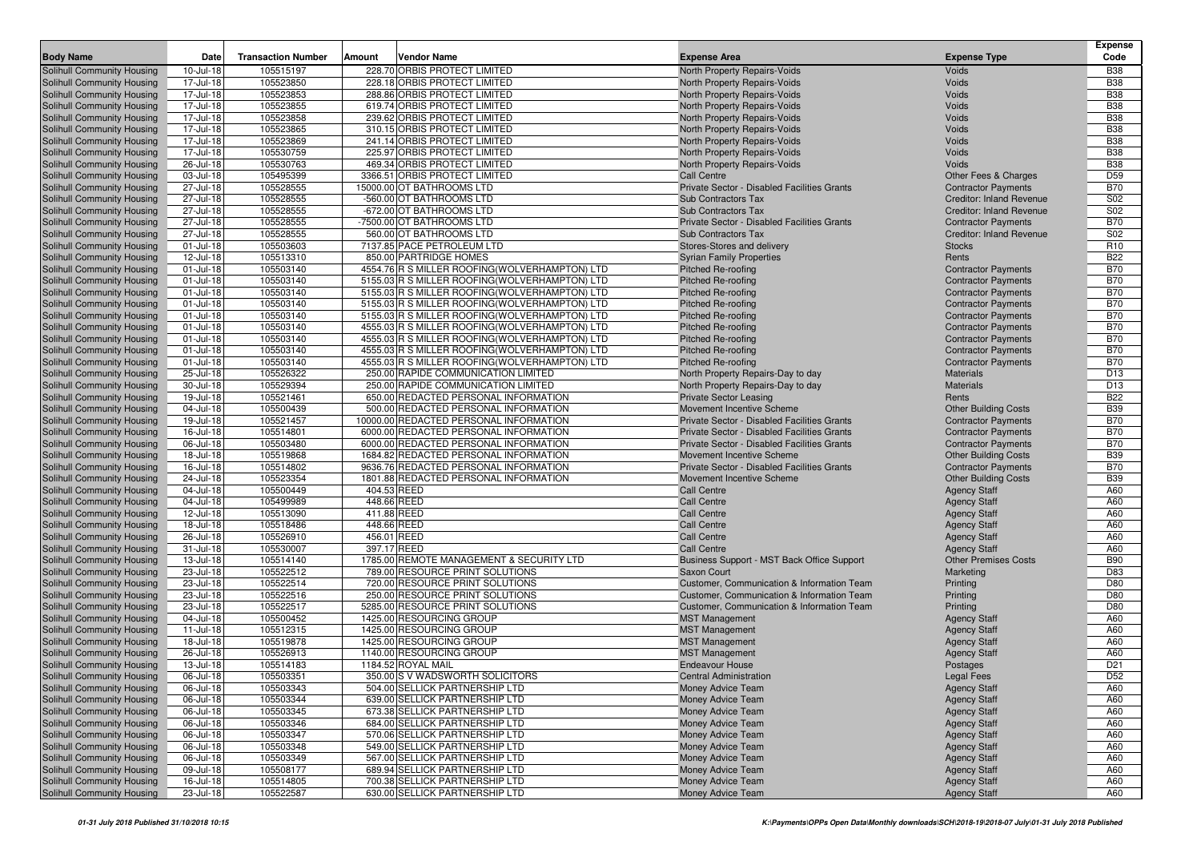| <b>Body Name</b>           | Date         | <b>Transaction Number</b> | Amount      | Vendor Name                                    | <b>Expense Area</b>                         | <b>Expense Type</b>             | <b>Expense</b><br>Code |
|----------------------------|--------------|---------------------------|-------------|------------------------------------------------|---------------------------------------------|---------------------------------|------------------------|
| Solihull Community Housing | 10-Jul-18    | 105515197                 |             | 228.70 ORBIS PROTECT LIMITED                   | North Property Repairs-Voids                | Voids                           | <b>B38</b>             |
| Solihull Community Housing | 17-Jul-18    | 105523850                 |             | 228.18 ORBIS PROTECT LIMITED                   | North Property Repairs-Voids                | Voids                           | <b>B38</b>             |
| Solihull Community Housing | 17-Jul-18    | 105523853                 |             | 288.86 ORBIS PROTECT LIMITED                   | North Property Repairs-Voids                | Voids                           | <b>B38</b>             |
| Solihull Community Housing | 17-Jul-18    | 105523855                 |             | 619.74 ORBIS PROTECT LIMITED                   | North Property Repairs-Voids                | Voids                           | <b>B38</b>             |
| Solihull Community Housing | 17-Jul-18    | 105523858                 |             | 239.62 ORBIS PROTECT LIMITED                   | North Property Repairs-Voids                | Voids                           | <b>B38</b>             |
| Solihull Community Housing | 17-Jul-18    | 105523865                 |             | 310.15 ORBIS PROTECT LIMITED                   | North Property Repairs-Voids                | Voids                           | <b>B38</b>             |
| Solihull Community Housing | 17-Jul-18    | 105523869                 |             | 241.14 ORBIS PROTECT LIMITED                   | North Property Repairs-Voids                | Voids                           | <b>B38</b>             |
| Solihull Community Housing | 17-Jul-18    | 105530759                 |             | 225.97 ORBIS PROTECT LIMITED                   | North Property Repairs-Voids                | Voids                           | <b>B38</b>             |
| Solihull Community Housing | 26-Jul-18    | 105530763                 |             | 469.34 ORBIS PROTECT LIMITED                   | North Property Repairs-Voids                | Voids                           | <b>B38</b>             |
| Solihull Community Housing | 03-Jul-18    | 105495399                 |             | 3366.51 ORBIS PROTECT LIMITED                  | <b>Call Centre</b>                          | Other Fees & Charges            | D <sub>59</sub>        |
| Solihull Community Housing | 27-Jul-18    | 105528555                 |             | 15000.00 OT BATHROOMS LTD                      | Private Sector - Disabled Facilities Grants | <b>Contractor Payments</b>      | <b>B70</b>             |
| Solihull Community Housing | 27-Jul-18    | 105528555                 |             | -560.00 OT BATHROOMS LTD                       | Sub Contractors Tax                         | <b>Creditor: Inland Revenue</b> | S02                    |
| Solihull Community Housing | 27-Jul-18    | 105528555                 |             | -672.00 OT BATHROOMS LTD                       | <b>Sub Contractors Tax</b>                  | <b>Creditor: Inland Revenue</b> | S <sub>02</sub>        |
| Solihull Community Housing | 27-Jul-18    | 105528555                 |             | -7500.00 OT BATHROOMS LTD                      | Private Sector - Disabled Facilities Grants | <b>Contractor Payments</b>      | <b>B70</b>             |
| Solihull Community Housing | 27-Jul-18    | 105528555                 |             | 560.00 OT BATHROOMS LTD                        | <b>Sub Contractors Tax</b>                  | <b>Creditor: Inland Revenue</b> | S02                    |
| Solihull Community Housing | $01$ -Jul-18 | 105503603                 |             | 7137.85 PACE PETROLEUM LTD                     | Stores-Stores and delivery                  | <b>Stocks</b>                   | R <sub>10</sub>        |
| Solihull Community Housing | 12-Jul-18    | 105513310                 |             | 850.00 PARTRIDGE HOMES                         | <b>Syrian Family Properties</b>             | Rents                           | <b>B22</b>             |
| Solihull Community Housing | 01-Jul-18    | 105503140                 |             | 4554.76 R S MILLER ROOFING(WOLVERHAMPTON) LTD  | <b>Pitched Re-roofing</b>                   | <b>Contractor Payments</b>      | <b>B70</b>             |
| Solihull Community Housing | 01-Jul-18    | 105503140                 |             | 5155.03 R S MILLER ROOFING(WOLVERHAMPTON) LTD  | <b>Pitched Re-roofing</b>                   | <b>Contractor Payments</b>      | <b>B70</b>             |
| Solihull Community Housing | 01-Jul-18    | 105503140                 |             | 5155.03 R S MILLER ROOFING(WOLVERHAMPTON) LTD  | <b>Pitched Re-roofing</b>                   | <b>Contractor Payments</b>      | <b>B70</b>             |
| Solihull Community Housing | 01-Jul-18    | 105503140                 |             | 5155.03 R S MILLER ROOFING(WOLVERHAMPTON) LTD  | <b>Pitched Re-roofing</b>                   | <b>Contractor Payments</b>      | <b>B70</b>             |
| Solihull Community Housing | 01-Jul-18    | 105503140                 |             | 5155.03 R S MILLER ROOFING (WOLVERHAMPTON) LTD | <b>Pitched Re-roofing</b>                   | <b>Contractor Payments</b>      | <b>B70</b>             |
| Solihull Community Housing | $01$ -Jul-18 | 105503140                 |             | 4555.03 R S MILLER ROOFING(WOLVERHAMPTON) LTD  | <b>Pitched Re-roofing</b>                   | <b>Contractor Payments</b>      | <b>B70</b>             |
| Solihull Community Housing | 01-Jul-18    | 105503140                 |             | 4555.03 R S MILLER ROOFING(WOLVERHAMPTON) LTD  | <b>Pitched Re-roofing</b>                   | <b>Contractor Payments</b>      | <b>B70</b>             |
| Solihull Community Housing | $01$ -Jul-18 | 105503140                 |             | 4555.03 R S MILLER ROOFING (WOLVERHAMPTON) LTD | <b>Pitched Re-roofing</b>                   | <b>Contractor Payments</b>      | <b>B70</b>             |
| Solihull Community Housing | 01-Jul-18    | 105503140                 |             | 4555.03 R S MILLER ROOFING (WOLVERHAMPTON) LTD | <b>Pitched Re-roofing</b>                   | <b>Contractor Payments</b>      | <b>B70</b>             |
| Solihull Community Housing | 25-Jul-18    | 105526322                 |             | 250.00 RAPIDE COMMUNICATION LIMITED            | North Property Repairs-Day to day           | <b>Materials</b>                | D <sub>13</sub>        |
| Solihull Community Housing | 30-Jul-18    | 105529394                 |             | 250.00 RAPIDE COMMUNICATION LIMITED            | North Property Repairs-Day to day           | <b>Materials</b>                | D13                    |
| Solihull Community Housing | 19-Jul-18    | 105521461                 |             | 650.00 REDACTED PERSONAL INFORMATION           | Private Sector Leasing                      | Rents                           | <b>B22</b>             |
| Solihull Community Housing | 04-Jul-18    | 105500439                 |             | 500.00 REDACTED PERSONAL INFORMATION           | Movement Incentive Scheme                   | <b>Other Building Costs</b>     | <b>B39</b>             |
| Solihull Community Housing | 19-Jul-18    | 105521457                 |             | 10000.00 REDACTED PERSONAL INFORMATION         | Private Sector - Disabled Facilities Grants | <b>Contractor Payments</b>      | <b>B70</b>             |
| Solihull Community Housing | 16-Jul-18    | 105514801                 |             | 6000.00 REDACTED PERSONAL INFORMATION          | Private Sector - Disabled Facilities Grants | <b>Contractor Payments</b>      | <b>B70</b>             |
| Solihull Community Housing | 06-Jul-18    | 105503480                 |             | 6000.00 REDACTED PERSONAL INFORMATION          | Private Sector - Disabled Facilities Grants | <b>Contractor Payments</b>      | <b>B70</b>             |
| Solihull Community Housing | 18-Jul-18    | 105519868                 |             | 1684.82 REDACTED PERSONAL INFORMATION          | Movement Incentive Scheme                   | <b>Other Building Costs</b>     | <b>B39</b>             |
| Solihull Community Housing | 16-Jul-18    | 105514802                 |             | 9636.76 REDACTED PERSONAL INFORMATION          | Private Sector - Disabled Facilities Grants | <b>Contractor Payments</b>      | <b>B70</b>             |
| Solihull Community Housing | 24-Jul-18    | 105523354                 |             | 1801.88 REDACTED PERSONAL INFORMATION          | Movement Incentive Scheme                   | <b>Other Building Costs</b>     | <b>B39</b>             |
| Solihull Community Housing | 04-Jul-18    | 105500449                 | 404.53 REED |                                                | <b>Call Centre</b>                          | <b>Agency Staff</b>             | A60                    |
| Solihull Community Housing | 04-Jul-18    | 105499989                 | 448.66 REED |                                                | <b>Call Centre</b>                          | <b>Agency Staff</b>             | A60                    |
| Solihull Community Housing | 12-Jul-18    | 105513090                 | 411.88 REED |                                                | <b>Call Centre</b>                          | <b>Agency Staff</b>             | A60                    |
| Solihull Community Housing | 18-Jul-18    | 105518486                 | 448.66 REED |                                                | <b>Call Centre</b>                          | <b>Agency Staff</b>             | A60                    |
| Solihull Community Housing | 26-Jul-18    | 105526910                 | 456.01 REED |                                                | <b>Call Centre</b>                          | <b>Agency Staff</b>             | A60                    |
| Solihull Community Housing | 31-Jul-18    | 105530007                 | 397.17 REED |                                                | <b>Call Centre</b>                          | <b>Agency Staff</b>             | A60                    |
| Solihull Community Housing | 13-Jul-18    | 105514140                 |             | 1785.00 REMOTE MANAGEMENT & SECURITY LTD       | Business Support - MST Back Office Support  | <b>Other Premises Costs</b>     | <b>B90</b>             |
| Solihull Community Housing | 23-Jul-18    | 105522512                 |             | 789.00 RESOURCE PRINT SOLUTIONS                | <b>Saxon Court</b>                          | Marketing                       | D83                    |
| Solihull Community Housing | 23-Jul-18    | 105522514                 |             | 720.00 RESOURCE PRINT SOLUTIONS                | Customer, Communication & Information Team  | Printing                        | D80                    |
| Solihull Community Housing | 23-Jul-18    | 105522516                 |             | 250.00 RESOURCE PRINT SOLUTIONS                | Customer, Communication & Information Team  | Printing                        | D80                    |
| Solihull Community Housing | 23-Jul-18    | 105522517                 |             | 5285.00 RESOURCE PRINT SOLUTIONS               | Customer, Communication & Information Team  | Printing                        | D80                    |
| Solihull Community Housing | 04-Jul-18    | 105500452                 |             | 1425.00 RESOURCING GROUP                       | <b>MST Management</b>                       | <b>Agency Staff</b>             | A60                    |
| Solihull Community Housing | 11-Jul-18    | 105512315                 |             | 1425.00 RESOURCING GROUP                       | <b>MST Management</b>                       | <b>Agency Staff</b>             | A60                    |
| Solihull Community Housing | 18-Jul-18    | 105519878                 |             | 1425.00 RESOURCING GROUP                       | <b>MST Management</b>                       | <b>Agency Staff</b>             | A60                    |
| Solihull Community Housing | 26-Jul-18    | 105526913                 |             | 1140.00 RESOURCING GROUP                       | <b>MST Management</b>                       | <b>Agency Staff</b>             | A60                    |
| Solihull Community Housing | 13-Jul-18    | 105514183                 |             | 1184.52 ROYAL MAIL                             | <b>Endeavour House</b>                      | Postages                        | D <sub>21</sub>        |
| Solihull Community Housing | 06-Jul-18    | 105503351                 |             | 350.00 S V WADSWORTH SOLICITORS                | <b>Central Administration</b>               | <b>Legal Fees</b>               | D <sub>52</sub>        |
| Solihull Community Housing | 06-Jul-18    | 105503343                 |             | 504.00 SELLICK PARTNERSHIP LTD                 | Money Advice Team                           | <b>Agency Staff</b>             | A60                    |
| Solihull Community Housing | 06-Jul-18    | 105503344                 |             | 639.00 SELLICK PARTNERSHIP LTD                 | Money Advice Team                           | <b>Agency Staff</b>             | A60                    |
| Solihull Community Housing | 06-Jul-18    | 105503345                 |             | 673.38 SELLICK PARTNERSHIP LTD                 | Money Advice Team                           | <b>Agency Staff</b>             | A60                    |
| Solihull Community Housing | 06-Jul-18    | 105503346                 |             | 684.00 SELLICK PARTNERSHIP LTD                 | Money Advice Team                           | <b>Agency Staff</b>             | A60                    |
| Solihull Community Housing | 06-Jul-18    | 105503347                 |             | 570.06 SELLICK PARTNERSHIP LTD                 | Money Advice Team                           | <b>Agency Staff</b>             | A60                    |
| Solihull Community Housing | 06-Jul-18    | 105503348                 |             | 549.00 SELLICK PARTNERSHIP LTD                 | Money Advice Team                           | <b>Agency Staff</b>             | A60                    |
| Solihull Community Housing | 06-Jul-18    | 105503349                 |             | 567.00 SELLICK PARTNERSHIP LTD                 | Money Advice Team                           | <b>Agency Staff</b>             | A60                    |
| Solihull Community Housing | 09-Jul-18    | 105508177                 |             | 689.94 SELLICK PARTNERSHIP LTD                 | Money Advice Team                           | <b>Agency Staff</b>             | A60                    |
| Solihull Community Housing | 16-Jul-18    | 105514805                 |             | 700.38 SELLICK PARTNERSHIP LTD                 | Money Advice Team                           | <b>Agency Staff</b>             | A60                    |
| Solihull Community Housing | 23-Jul-18    | 105522587                 |             | 630.00 SELLICK PARTNERSHIP LTD                 | Money Advice Team                           | <b>Agency Staff</b>             | A60                    |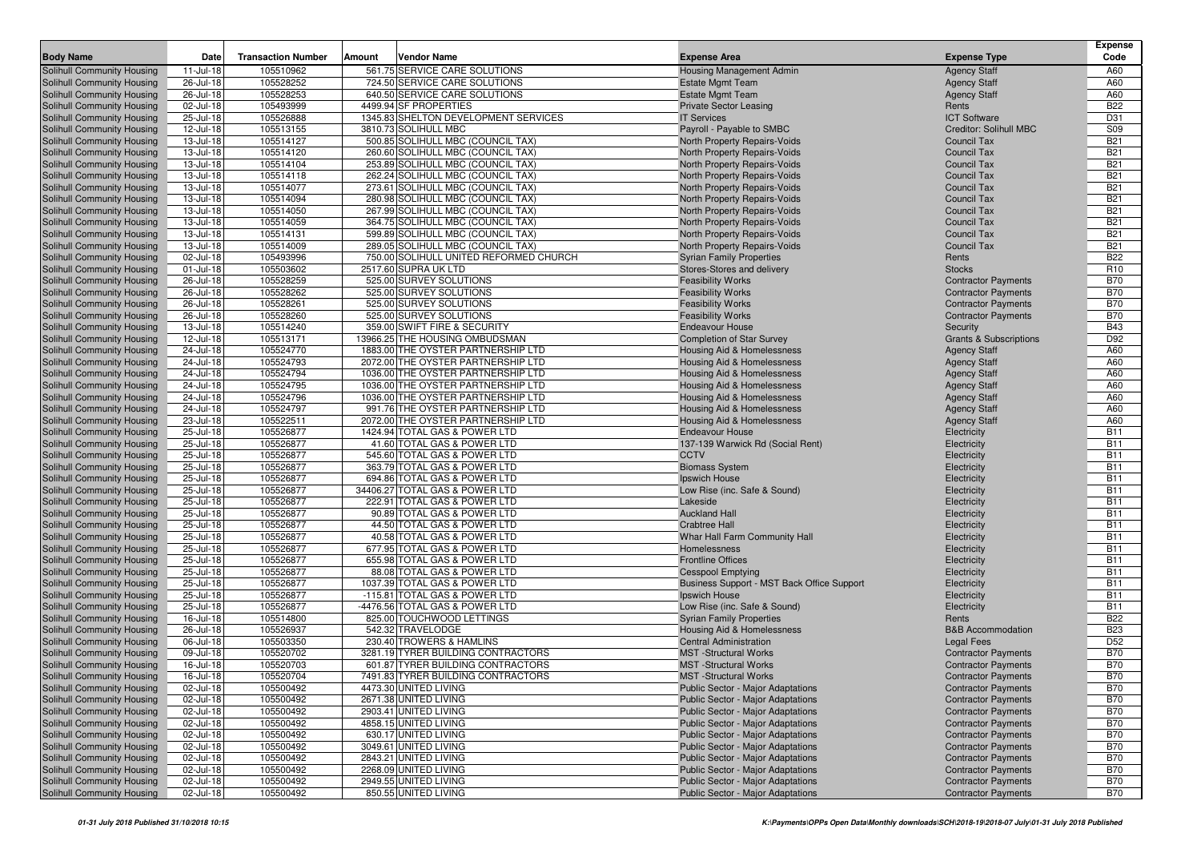|                                                          | Date                   |                           |                                                                 |                                                                 |                                                          | <b>Expense</b>                |
|----------------------------------------------------------|------------------------|---------------------------|-----------------------------------------------------------------|-----------------------------------------------------------------|----------------------------------------------------------|-------------------------------|
| <b>Body Name</b>                                         |                        | <b>Transaction Number</b> | Vendor Name<br>Amount                                           | <b>Expense Area</b>                                             | <b>Expense Type</b>                                      | Code                          |
| Solihull Community Housing                               | 11-Jul-18              | 105510962<br>105528252    | 561.75 SERVICE CARE SOLUTIONS                                   | Housing Management Admin                                        | <b>Agency Staff</b>                                      | A60                           |
| Solihull Community Housing<br>Solihull Community Housing | 26-Jul-18<br>26-Jul-18 | 105528253                 | 724.50 SERVICE CARE SOLUTIONS<br>640.50 SERVICE CARE SOLUTIONS  | <b>Estate Mgmt Team</b><br><b>Estate Mgmt Team</b>              | <b>Agency Staff</b><br><b>Agency Staff</b>               | A60<br>A60                    |
| Solihull Community Housing                               | 02-Jul-18              | 105493999                 | 4499.94 SF PROPERTIES                                           | <b>Private Sector Leasing</b>                                   | Rents                                                    | <b>B22</b>                    |
| Solihull Community Housing                               | 25-Jul-18              | 105526888                 | 1345.83 SHELTON DEVELOPMENT SERVICES                            | <b>IT Services</b>                                              | <b>ICT Software</b>                                      | D31                           |
| Solihull Community Housing                               | 12-Jul-18              | 105513155                 | 3810.73 SOLIHULL MBC                                            | Payroll - Payable to SMBC                                       | <b>Creditor: Solihull MBC</b>                            | <b>S09</b>                    |
| Solihull Community Housing                               | 13-Jul-18              | 105514127                 | 500.85 SOLIHULL MBC (COUNCIL TAX)                               | North Property Repairs-Voids                                    | <b>Council Tax</b>                                       | <b>B21</b>                    |
| Solihull Community Housing                               | 13-Jul-18              | 105514120                 | 260.60 SOLIHULL MBC (COUNCIL TAX)                               | North Property Repairs-Voids                                    | <b>Council Tax</b>                                       | <b>B21</b>                    |
| Solihull Community Housing                               | 13-Jul-18              | 105514104                 | 253.89 SOLIHULL MBC (COUNCIL TAX)                               | North Property Repairs-Voids                                    | Council Tax                                              | <b>B21</b>                    |
| Solihull Community Housing                               | 13-Jul-18              | 105514118                 | 262.24 SOLIHULL MBC (COUNCIL TAX)                               | North Property Repairs-Voids                                    | <b>Council Tax</b>                                       | <b>B21</b>                    |
| Solihull Community Housing                               | 13-Jul-18              | 105514077                 | 273.61 SOLIHULL MBC (COUNCIL TAX)                               | North Property Repairs-Voids                                    | <b>Council Tax</b>                                       | <b>B21</b>                    |
| Solihull Community Housing                               | 13-Jul-18              | 105514094                 | 280.98 SOLIHULL MBC (COUNCIL TAX)                               | North Property Repairs-Voids                                    | <b>Council Tax</b>                                       | <b>B21</b>                    |
| Solihull Community Housing                               | 13-Jul-18              | 105514050                 | 267.99 SOLIHULL MBC (COUNCIL TAX)                               | North Property Repairs-Voids                                    | <b>Council Tax</b>                                       | <b>B21</b>                    |
| Solihull Community Housing                               | 13-Jul-18              | 105514059                 | 364.75 SOLIHULL MBC (COUNCIL TAX)                               | North Property Repairs-Voids                                    | <b>Council Tax</b>                                       | <b>B21</b>                    |
| Solihull Community Housing                               | 13-Jul-18              | 105514131                 | 599.89 SOLIHULL MBC (COUNCIL TAX)                               | North Property Repairs-Voids                                    | <b>Council Tax</b>                                       | <b>B21</b>                    |
| <b>Solihull Community Housing</b>                        | 13-Jul-18              | 105514009                 | 289.05 SOLIHULL MBC (COUNCIL TAX)                               | North Property Repairs-Voids                                    | <b>Council Tax</b>                                       | <b>B21</b>                    |
| Solihull Community Housing                               | 02-Jul-18              | 105493996                 | 750.00 SOLIHULL UNITED REFORMED CHURCH                          | <b>Syrian Family Properties</b>                                 | Rents                                                    | <b>B22</b>                    |
| Solihull Community Housing<br>Solihull Community Housing | 01-Jul-18<br>26-Jul-18 | 105503602<br>105528259    | 2517.60 SUPRA UK LTD<br>525.00 SURVEY SOLUTIONS                 | Stores-Stores and delivery<br><b>Feasibility Works</b>          | <b>Stocks</b>                                            | R <sub>10</sub><br><b>B70</b> |
| Solihull Community Housing                               | 26-Jul-18              | 105528262                 | 525.00 SURVEY SOLUTIONS                                         | <b>Feasibility Works</b>                                        | <b>Contractor Payments</b><br><b>Contractor Payments</b> | <b>B70</b>                    |
| Solihull Community Housing                               | 26-Jul-18              | 105528261                 | 525.00 SURVEY SOLUTIONS                                         | <b>Feasibility Works</b>                                        | <b>Contractor Payments</b>                               | <b>B70</b>                    |
| Solihull Community Housing                               | 26-Jul-18              | 105528260                 | 525.00 SURVEY SOLUTIONS                                         | <b>Feasibility Works</b>                                        | <b>Contractor Payments</b>                               | <b>B70</b>                    |
| Solihull Community Housing                               | 13-Jul-18              | 105514240                 | 359.00 SWIFT FIRE & SECURITY                                    | <b>Endeavour House</b>                                          | Security                                                 | <b>B43</b>                    |
| Solihull Community Housing                               | 12-Jul-18              | 105513171                 | 13966.25 THE HOUSING OMBUDSMAN                                  | <b>Completion of Star Survey</b>                                | <b>Grants &amp; Subscriptions</b>                        | D92                           |
| <b>Solihull Community Housing</b>                        | 24-Jul-18              | 105524770                 | 1883.00 THE OYSTER PARTNERSHIP LTD                              | Housing Aid & Homelessness                                      | <b>Agency Staff</b>                                      | A60                           |
| Solihull Community Housing                               | 24-Jul-18              | 105524793                 | 2072.00 THE OYSTER PARTNERSHIP LTD                              | Housing Aid & Homelessness                                      | <b>Agency Staff</b>                                      | A60                           |
| Solihull Community Housing                               | 24-Jul-18              | 105524794                 | 1036.00 THE OYSTER PARTNERSHIP LTD                              | Housing Aid & Homelessness                                      | <b>Agency Staff</b>                                      | A60                           |
| Solihull Community Housing                               | 24-Jul-18              | 105524795                 | 1036.00 THE OYSTER PARTNERSHIP LTD                              | Housing Aid & Homelessness                                      | <b>Agency Staff</b>                                      | A60                           |
| Solihull Community Housing                               | 24-Jul-18              | 105524796                 | 1036.00 THE OYSTER PARTNERSHIP LTD                              | Housing Aid & Homelessness                                      | <b>Agency Staff</b>                                      | A60                           |
| Solihull Community Housing                               | 24-Jul-18              | 105524797                 | 991.76 THE OYSTER PARTNERSHIP LTD                               | Housing Aid & Homelessness                                      | <b>Agency Staff</b>                                      | A60                           |
| Solihull Community Housing                               | 23-Jul-18              | 105522511                 | 2072.00 THE OYSTER PARTNERSHIP LTD                              | Housing Aid & Homelessness                                      | <b>Agency Staff</b>                                      | A60                           |
| Solihull Community Housing                               | 25-Jul-18              | 105526877                 | 1424.94 TOTAL GAS & POWER LTD                                   | <b>Endeavour House</b>                                          | Electricity                                              | <b>B11</b>                    |
| Solihull Community Housing                               | 25-Jul-18<br>25-Jul-18 | 105526877<br>105526877    | 41.60 TOTAL GAS & POWER LTD<br>545.60 TOTAL GAS & POWER LTD     | 137-139 Warwick Rd (Social Rent)<br><b>CCTV</b>                 | Electricity                                              | <b>B11</b><br><b>B11</b>      |
| Solihull Community Housing<br>Solihull Community Housing | 25-Jul-18              | 105526877                 | 363.79 TOTAL GAS & POWER LTD                                    | <b>Biomass System</b>                                           | Electricity<br>Electricity                               | <b>B11</b>                    |
| Solihull Community Housing                               | 25-Jul-18              | 105526877                 | 694.86 TOTAL GAS & POWER LTD                                    | Ipswich House                                                   | Electricity                                              | <b>B11</b>                    |
| Solihull Community Housing                               | 25-Jul-18              | 105526877                 | 34406.27 TOTAL GAS & POWER LTD                                  | Low Rise (inc. Safe & Sound)                                    | Electricity                                              | <b>B11</b>                    |
| Solihull Community Housing                               | 25-Jul-18              | 105526877                 | 222.91 TOTAL GAS & POWER LTD                                    | Lakeside                                                        | Electricity                                              | <b>B11</b>                    |
| Solihull Community Housing                               | 25-Jul-18              | 105526877                 | 90.89 TOTAL GAS & POWER LTD                                     | <b>Auckland Hall</b>                                            | Electricity                                              | <b>B11</b>                    |
| Solihull Community Housing                               | 25-Jul-18              | 105526877                 | 44.50 TOTAL GAS & POWER LTD                                     | <b>Crabtree Hall</b>                                            | Electricity                                              | <b>B11</b>                    |
| Solihull Community Housing                               | 25-Jul-18              | 105526877                 | 40.58 TOTAL GAS & POWER LTD                                     | Whar Hall Farm Community Hall                                   | Electricity                                              | <b>B11</b>                    |
| Solihull Community Housing                               | 25-Jul-18              | 105526877                 | 677.95 TOTAL GAS & POWER LTD                                    | Homelessness                                                    | Electricity                                              | <b>B11</b>                    |
| Solihull Community Housing                               | 25-Jul-18              | 105526877                 | 655.98 TOTAL GAS & POWER LTD                                    | <b>Frontline Offices</b>                                        | Electricity                                              | <b>B11</b>                    |
| Solihull Community Housing                               | 25-Jul-18              | 105526877                 | 88.08 TOTAL GAS & POWER LTD                                     | <b>Cesspool Emptying</b>                                        | Electricity                                              | <b>B11</b>                    |
| Solihull Community Housing                               | 25-Jul-18              | 105526877                 | 1037.39 TOTAL GAS & POWER LTD                                   | Business Support - MST Back Office Support                      | Electricity                                              | <b>B11</b>                    |
| Solihull Community Housing<br>Solihull Community Housing | 25-Jul-18<br>25-Jul-18 | 105526877<br>105526877    | -115.81 TOTAL GAS & POWER LTD<br>-4476.56 TOTAL GAS & POWER LTD | Ipswich House                                                   | Electricity                                              | <b>B11</b><br><b>B11</b>      |
| Solihull Community Housing                               | 16-Jul-18              | 105514800                 | 825.00 TOUCHWOOD LETTINGS                                       | Low Rise (inc. Safe & Sound)<br><b>Syrian Family Properties</b> | Electricity<br>Rents                                     | <b>B22</b>                    |
| Solihull Community Housing                               | 26-Jul-18              | 105526937                 | 542.32 TRAVELODGE                                               | Housing Aid & Homelessness                                      | <b>B&amp;B Accommodation</b>                             | <b>B23</b>                    |
| Solihull Community Housing                               | 06-Jul-18              | 105503350                 | 230.40 TROWERS & HAMLINS                                        | <b>Central Administration</b>                                   | <b>Legal Fees</b>                                        | D <sub>52</sub>               |
| Solihull Community Housing                               | 09-Jul-18              | 105520702                 | 3281.19 TYRER BUILDING CONTRACTORS                              | <b>MST</b> -Structural Works                                    | <b>Contractor Payments</b>                               | <b>B70</b>                    |
| Solihull Community Housing                               | 16-Jul-18              | 105520703                 | 601.87 TYRER BUILDING CONTRACTORS                               | <b>MST</b> -Structural Works                                    | <b>Contractor Payments</b>                               | <b>B70</b>                    |
| Solihull Community Housing                               | 16-Jul-18              | 105520704                 | 7491.83 TYRER BUILDING CONTRACTORS                              | <b>MST</b> -Structural Works                                    | <b>Contractor Payments</b>                               | <b>B70</b>                    |
| Solihull Community Housing                               | 02-Jul-18              | 105500492                 | 4473.30 UNITED LIVING                                           | <b>Public Sector - Major Adaptations</b>                        | <b>Contractor Payments</b>                               | <b>B70</b>                    |
| Solihull Community Housing                               | 02-Jul-18              | 105500492                 | 2671.38 UNITED LIVING                                           | Public Sector - Major Adaptations                               | <b>Contractor Payments</b>                               | <b>B70</b>                    |
| Solihull Community Housing                               | 02-Jul-18              | 105500492                 | 2903.41 UNITED LIVING                                           | Public Sector - Major Adaptations                               | <b>Contractor Payments</b>                               | <b>B70</b>                    |
| Solihull Community Housing                               | 02-Jul-18              | 105500492                 | 4858.15 UNITED LIVING                                           | Public Sector - Major Adaptations                               | <b>Contractor Payments</b>                               | <b>B70</b>                    |
| Solihull Community Housing                               | 02-Jul-18              | 105500492                 | 630.17 UNITED LIVING                                            | Public Sector - Major Adaptations                               | <b>Contractor Payments</b>                               | <b>B70</b>                    |
| Solihull Community Housing                               | 02-Jul-18              | 105500492                 | 3049.61 UNITED LIVING                                           | <b>Public Sector - Major Adaptations</b>                        | <b>Contractor Payments</b>                               | <b>B70</b>                    |
| Solihull Community Housing                               | 02-Jul-18              | 105500492                 | 2843.21 UNITED LIVING                                           | Public Sector - Major Adaptations                               | <b>Contractor Payments</b>                               | <b>B70</b>                    |
| Solihull Community Housing                               | 02-Jul-18              | 105500492                 | 2268.09 UNITED LIVING                                           | <b>Public Sector - Major Adaptations</b>                        | <b>Contractor Payments</b>                               | <b>B70</b>                    |
| <b>Solihull Community Housing</b>                        | 02-Jul-18              | 105500492                 | 2949.55 UNITED LIVING                                           | Public Sector - Major Adaptations                               | <b>Contractor Payments</b>                               | <b>B70</b>                    |
| Solihull Community Housing                               | 02-Jul-18              | 105500492                 | 850.55 UNITED LIVING                                            | <b>Public Sector - Major Adaptations</b>                        | <b>Contractor Payments</b>                               | <b>B70</b>                    |